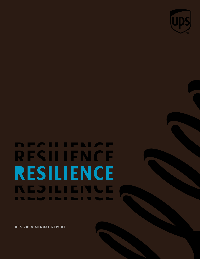

# **DECILIFMAP RESILIENCE RESILIENCE** REJILIENUE **IVESTEINVER**

**ups 2008 annual report**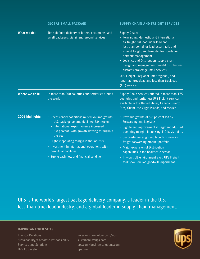| What we do:            | Time-definite delivery of letters, documents, and<br>small packages, via air and ground services                                                                                                                                                                                                                                                                       | Supply Chain:<br>• Forwarding: domestic and international<br>air freight; full-container-load and<br>less-than-container load ocean, rail, and<br>ground freight; multi-modal transportation<br>network management<br>· Logistics and Distribution: supply chain<br>design and management, freight distribution,<br>customs brokerage, mail services                                                                                       |
|------------------------|------------------------------------------------------------------------------------------------------------------------------------------------------------------------------------------------------------------------------------------------------------------------------------------------------------------------------------------------------------------------|--------------------------------------------------------------------------------------------------------------------------------------------------------------------------------------------------------------------------------------------------------------------------------------------------------------------------------------------------------------------------------------------------------------------------------------------|
|                        |                                                                                                                                                                                                                                                                                                                                                                        | UPS Freight": regional, inter-regional, and<br>long-haul truckload and less-than-truckload<br>(LTL) services.                                                                                                                                                                                                                                                                                                                              |
| <b>Where we do it:</b> | In more than 200 countries and territories around<br>the world                                                                                                                                                                                                                                                                                                         | Supply Chain services offered in more than 175<br>countries and territories; UPS Freight services<br>available in the United States, Canada, Puerto<br>Rico, Guam, the Virgin Islands, and Mexico.                                                                                                                                                                                                                                         |
| 2008 highlights:       | • Recessionary conditions muted volume growth<br>- U.S. package volume declined 2.0 percent<br>- International export volume increased<br>6.8 percent, with growth slowing throughout<br>the year<br>• Highest operating margin in the industry<br>· Investment in international operations with<br>new Asian facilities<br>• Strong cash flow and financial condition | · Revenue growth of 5.8 percent led by<br><b>Forwarding and Logistics</b><br>· Significant improvement in segment adjusted<br>operating margin, increasing 110 basis points<br>• Successful redesign and launch of new air<br>freight forwarding product portfolio<br>• Major expansion of Distribution<br>capabilities in the healthcare sector<br>· In worst LTL environment ever, UPS Freight<br>took \$548 million goodwill impairment |

**Global Small Package Supply Chain and Freight Services**

UPS is the world's largest package delivery company, a leader in the U.S. less-than-truckload industry, and a global leader in supply chain management.

# **important web sites**

Investor Relations investor.shareholder.com/ups Sustainability/Corporate Responsibility sustainability.ups.com Services and Solutions ups.com/businesssolutions.com UPS Corporate ups.com

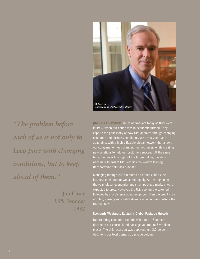

*"The problem before each of us is not only to keep pace with changing conditions, but to keep ahead of them."*

> **— Jim Casey UPS Founder 1932**

**JIM CASEY'S WORDS** are as appropriate today as they were in 1932 when our nation was in economic turmoil. They capture the philosophy of how UPS operates through changing economic and business conditions. We are resilient and adaptable, with a highly flexible global network that allows our company to meet changing market forces, while creating new solutions to help our customers succeed. At the same time, we never lose sight of the future, taking the steps necessary to ensure UPS remains the world's leading transportation solutions provider.

Managing through 2008 required all of our skills as the business environment worsened rapidly. At the beginning of the year, global economies and small package markets were expected to grow. However, the U.S. economy weakened, followed by sharply escalating fuel prices. Then the credit crisis erupted, causing substantial slowing of economies outside the United States.

## **Economic Weakness Restrains Global Package Growth**

Deteriorating economic conditions led to a 1.3 percent decline in our consolidated package volume, to 3.9 billion pieces. The U.S. recession was apparent in a 2.0 percent decline in our total domestic package volume.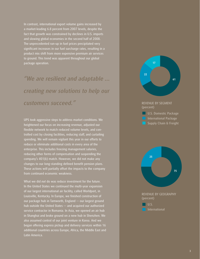In contrast, international export volume gains increased by a market-leading 6.8 percent from 2007 levels, despite the fact that growth was constrained by declines in U.S. imports and slowing global economies in the second half of 2008. The unprecedented run-up in fuel prices precipitated very significant increases in our fuel surcharge rates, resulting in a product mix shift from more expensive premium air services to ground. This trend was apparent throughout our global package operation.

# *"We are resilient and adaptable ... creating new solutions to help our customers succeed."*

UPS took aggressive steps to address market conditions. We heightened our focus on increasing revenue, adjusted our flexible network to match reduced volume levels, and controlled cost by closing facilities, reducing staff, and curtailing spending. We will remain vigilant this year in our efforts to reduce or eliminate additional costs in every area of the enterprise. This includes freezing management salaries, reducing other forms of compensation and suspending the company's 401(k) match. However, we did not make any changes to our long-standing defined benefit pension plans. These actions will partially offset the impacts to the company from continued economic weakness.

What we did *not* do was reduce investment for the future. In the United States we continued the multi-year expansion of our largest international air facility, called Worldport, in Louisville, Kentucky. In Europe, we finished construction of our package hub in Tamworth, England — our largest ground hub outside the United States — and acquired our authorized service contractor in Romania. In Asia, we opened an air hub in Shanghai and broke ground on a new hub in Shenzhen. We also assumed control of our joint venture in Korea. And we began offering express pickup and delivery services within 16 additional countries across Europe, Africa, the Middle East and Latin America.

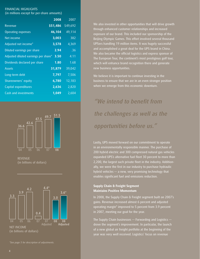# Financial Highlights

(in millions except for per-share amounts)

|                                      | 2008     | 2007     |
|--------------------------------------|----------|----------|
| Revenue                              | \$51,486 | \$49,692 |
| <b>Operating expenses</b>            | 46,104   | 49,114   |
| Net income                           | 3,003    | 382      |
| Adjusted net income*                 | 3,578    | 4,369    |
| Diluted earnings per share           | 2.94     | .36      |
| Adjusted diluted earnings per share* | 3.50     | 4.11     |
| Dividends declared per share         | 1.80     | 1.68     |
| <b>Assets</b>                        | 31,879   | 39,042   |
| Long-term debt                       | 7,797    | 7,506    |
| Shareowners' equity                  | 6,780    | 12, 183  |
| Capital expenditures                 | 2,636    | 2,820    |
| Cash and investments                 | 1,049    | 2,604    |



REVENUE (in billions of dollars)



*\*See page 5 for description of adjustments.*

We also invested in other opportunities that will drive growth through enhanced customer relationships and increased exposure of our brand. This included our sponsorship of the Beijing Olympic Games. This effort involved several thousand UPSers handling 19 million items. It was hugely successful and accomplished a great deal for the UPS brand in China. We also became the official logistics and express sponsor of The European Tour, the continent's most prestigious golf tour, which will enhance brand recognition there and generate new business opportunities.

We believe it is important to continue investing in the business to ensure that we are in an even stronger position when we emerge from this economic downturn.

*"We intend to benefit from the challenges as well as the opportunities before us."*

Lastly, UPS moved forward on our commitment to operate in an environmentally responsible manner. The purchase of 200 hybrid electric and 300 compressed natural gas vehicles expanded UPS's alternative fuel fleet 30 percent to more than 2,200, the largest such private fleet in the industry. Additionally, we were the first in our industry to purchase hydraulic hybrid vehicles — a new, very promising technology that enables significant fuel and emissions reduction.

# **Supply Chain & Freight Segment Maintains Positive Momentum**

In 2008, the Supply Chain & Freight segment built on 2007's gains. Revenue increased almost 6 percent and adjusted operating margin\* improved to 5 percent from 3.9 percent in 2007, meeting our goal for the year.

The Supply Chain businesses — Forwarding and Logistics drove the segment's improvement. In particular, the launch of a new global air freight portfolio at the beginning of the year was very well received. Logistics' focus on revenue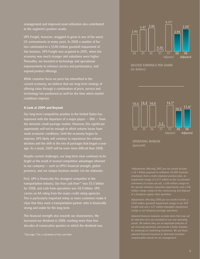management and improved asset utilization also contributed to the segment's positive results.

UPS Freight, however, struggled to grow in one of the worst LTL environments in many years. In 2008 a number of factors culminated in a \$548 million goodwill impairment of this business. UPS Freight was acquired in 2005, when the economy was much stronger and valuations were higher. Thereafter, we invested in technology and operational improvements to enhance service and performance, and expand product offerings.

While customer focus on price has intensified in the current economy, we believe that our long-term strategy of offering value through a combination of price, service and technology has positioned us well for the time when market conditions improve.

# **A Look at 2009 and Beyond**

Our long-term competitive position in the United States has improved with the departure of a major player  $-$  DHL  $-$  from the domestic small package market. However, this significant opportunity will not be enough to offset volume losses from weak economic conditions. Until the economy begins to improve, UPS likely will continue to experience the volume declines and the shift in the mix of packages that began a year ago. As a result, 2009 will be even more difficult than 2008.

Despite current challenges, our long-term view continues to be bright as the result of several competitive advantages inherent to our company — such as UPS's financial strength, global presence, and our unique business model. Let me elaborate.

First, UPS is financially the strongest competitor in the transportation industry. Our free cash flow\*\* was \$5.5 billion for 2008, and cash from operations was \$8.4 billion. UPS carries an AA rating from the major credit rating agencies. This is particularly important today as more customers make it clear that they want a transportation partner who is financially strong and stable for the long term.

This financial strength also rewards our shareowners. We increased our dividend in 2008, marking more than four decades of consecutive quarters in which the dividend was

*\*\*See page 7 for a calculation of free cash flow.*









*\*Adjustments affecting 2007 pre-tax results include: impairment charge of \$221 million on the accelerated retirement of certain aircraft, a \$68 million charge for the special voluntary separation opportunity, and a \$46 million charge related to the restructuring and disposal of a European supply chain operation.* 

*Adjustments affecting 2008 pre-tax results include: a \$548 million goodwill impairment charge in our UPS Freight unit and a \$27 million intangible impairment charge in our European package operations.*

*be indicative of or are unrelated to our core operating our recurring operations and provide a better baseline for analyzing our underlying businesses. We use these adjusted financial measures to determine incentive compensation awards for our management.*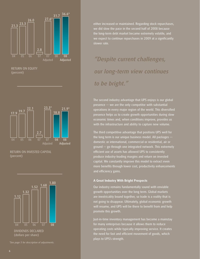

Return on Equity (percent)



Return on Invested Capital (percent)



*\*See page 5 for description of adjustments.*

either increased or maintained. Regarding stock repurchases, we did slow the pace in the second half of 2008 because the long-term debt market became extremely volatile, and we expect to continue repurchases in 2009 at a significantly slower rate.

# *"Despite current challenges, our long-term view continues to be bright."*

The second industry advantage that UPS enjoys is our global presence — we are the only competitor with substantial operations in every major region of the world. This diversified presence helps us to create growth opportunities during slow economic times and, when conditions improve, provides us with the infrastructure and ability to capture new volume.

The third competitive advantage that positions UPS well for the long term is our unique business model. All packages domestic or international, commercial or residential, air or ground — go through one integrated network. This extremely efficient use of assets has allowed UPS to consistently produce industry-leading margins and return on invested capital. We constantly improve this model to extract even more benefits through lower cost, productivity enhancements and efficiency gains.

# **A Great Industry With Bright Prospects**

Our industry remains fundamentally sound with enviable growth opportunities over the long term. Global markets are inextricably bound together, so trade is a reality that is not going to disappear. Ultimately, global economic growth will resume, and UPS will be there to benefit from and help promote this growth.

Just-in-time inventory management has become a mainstay for many enterprises because it allows them to reduce operating costs while typically improving service. It creates the need for fast and efficient movement of goods, which plays to UPS's strength.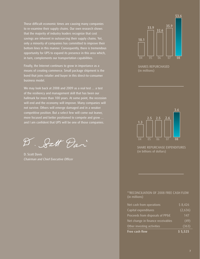These difficult economic times are causing many companies to re-examine their supply chains. Our own research shows that the majority of industry leaders recognize that cost savings are inherent in outsourcing their supply chains. Yet, only a minority of companies has committed to improve their bottom lines in this manner. Consequently, there is tremendous opportunity for UPS to expand its presence in this area which, in turn, complements our transportation capabilities.

Finally, the Internet continues to grow in importance as a means of creating commerce. Small package shipment is the bond that joins retailer and buyer in this direct-to-consumer business model.

We may look back at 2008 and 2009 as a real test … a test of the resiliency and management skill that has been our hallmark for more than 100 years. At some point, the recession will end and the economy will improve. Many companies will not survive. Others will emerge damaged and in a weaker competitive position. But a select few will come out leaner, more focused and better positioned to compete and grow ... and I am confident that UPS will be one of those companies.

D. Satt Dan

D. Scott Davis *Chairman and Chief Executive Officer*



SHARES REPURCHASED (number of shares-in millions)



**0.92** (in billions of dollars) SHARE REPURCHASE EXPENDITURES

\*\*RECONCILIATION OF 2008 FREE CASH FLOW

| <b>Free cash flow</b>             | \$5,525 |
|-----------------------------------|---------|
| Other investing activities        | (363)   |
| Net change in finance receivables | (49)    |
| Proceeds from disposals of PP&E   | 147     |
| Capital expenditures              | (2,636) |
| Net cash from operations          | \$8,426 |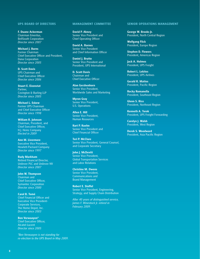#### **ups board of directors**

**F. Duane Ackerman** Chairman Emeritus, BellSouth Corporation *Director since 2007*

**Michael J. Burns** Former Chairman Chief Executive Officer and President, Dana Corporation *Director since 2005*

**D. Scott Davis**  UPS Chairman and Chief Executive Officer *Director since 2006*

**Stuart E. Eizenstat** Partner, Covington & Burling LLP *Director since 2005*

**Michael L. Eskew** Former UPS Chairman and Chief Executive Officer *Director since 1998*

**William R. Johnson** Chairman, President, and Chief Executive Officer, H.J. Heinz Company *Elected in 2009* 

**Ann M. Livermore** Executive Vice President, Hewlett-Packard Company *Director since 1997*

**Rudy Markham** Retired Financial Director, Unilever PLC and Unilever NV *Director since 2007*

**John W. Thompson** Chairman and Chief Executive Officer, Symantec Corporation *Director since 2000*

**Carol B. Tomé**  Chief Financial Officer and Executive Vice President– Corporate Services, The Home Depot, Inc. *Director since 2003*

**Ben Verwaayen\*** Chief Executive Officer, Alcatel-Lucent *Director since 2005*

*\*Ben Verwaayen is not standing for re-election to the UPS Board in May 2009.*

#### **management committee**

**David P. Abney** Senior Vice President and Chief Operating Officer

**David A. Barnes** Senior Vice President and Chief Information Officer

**Daniel J. Brutto** Senior Vice President and President, UPS International

**D. Scott Davis** Chairman and Chief Executive Officer

**Alan Gershenhorn** Senior Vice President, Worldwide Sales and Marketing

**Myron Gray** Senior Vice President, U.S. Operations

**Allen E. Hill** Senior Vice President, Human Resources

**Kurt P. Kuehn** Senior Vice President and Chief Financial Officer

**Teri P. McClure** Senior Vice President, General Counsel, and Corporate Secretary

**John J. McDevitt** Senior Vice President, Global Transportation Services and Labor Relations

**Christine M. Owens**

Senior Vice President, Communications and Brand Management

**Robert E. Stoffel** Senior Vice President, Engineering, Strategy, and Supply Chain Distribution

*After 40 years of distinguished service, James F. Winestock Jr. retired in February 2009.*

#### **senior operations management**

**George W. Brooks Jr.** President, North Central Region

**Wolfgang Flick** President, Europe Region

**Stephen D. Flowers** President, Americas Region

**Jack A. Holmes** President, UPS Freight

**Robert L. Lekites** President, UPS Airlines

**Gerald R. Mattes** President, Pacific Region

**Rocky Romanella** President, Southeast Region

**Glenn S. Rice** President, Northeast Region

**Kenneth A. Torok** President, UPS Freight Forwarding

**Carolyn J. Walsh**  President, West Region

**Derek S. Woodward** President, Asia Pacific Region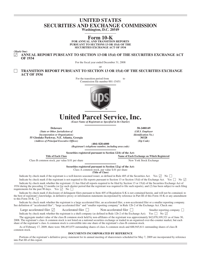# **UNITED STATES SECURITIES AND EXCHANGE COMMISSION**

**Washington, D.C. 20549**

#### **Form 10-K FOR ANNUAL AND TRANSITION REPORTS PURSUANT TO SECTIONS 13 OR 15(d) OF THE SECURITIES EXCHANGE ACT OF 1934**

**(Mark One)**

Í **ANNUAL REPORT PURSUANT TO SECTION 13 OR 15(d) OF THE SECURITIES EXCHANGE ACT OF 1934**

For the fiscal year ended December 31, 2008

or

' **TRANSITION REPORT PURSUANT TO SECTION 13 OR 15(d) OF THE SECURITIES EXCHANGE ACT OF 1934**

> For the transition period from to Commission file number 001-15451



# **United Parcel Service, Inc.**

*(Exact Name of Registrant as Specified in Its Charter)*

*(State or Other Jurisdiction of Incorporation or Organization)* **55 Glenlake Parkway, N.E. Atlanta, Georgia** 30328 *(Address of Principal Executive Offices)* (*Zip Code*) *(Zip Code) (Address of Principal Executive Offices)* 

**Delaware 58-2480149** *(I.R.S. Employer Identification No.)*

**(404) 828-6000**

*(Registrant's telephone number, including area code)*

**Securities registered pursuant to Section 12(b) of the Act:**

**Title of Each Class Name of Each Exchange on Which Registered**

Class B common stock, par value \$.01 per share New York Stock Exchange

**Securities registered pursuant to Section 12(g) of the Act:** Class A common stock, par value \$.01 per share **(Title of Class)**

Indicate by check mark if the registrant is a well-known seasoned issuer, as defined in Rule 405 of the Securities Act. Yes  $\Box$  No  $\Box$ 

Indicate by check mark if the registrant is not required to file reports pursuant to Section 13 or Section 15(d) of the Exchange Act. Yes  $\Box$  No  $\Box$ Indicate by check mark whether the registrant: (1) has filed all reports required to be filed by Section 13 or 15(d) of the Securities Exchange Act of 1934 during the preceding 12 months (or for such shorter period that the registrant was required to file such reports), and (2) has been subject to such filing

requirements for the past 90 days. Yes  $\nabla$  No  $\nabla$ Indicate by check mark if disclosure of delinquent filers pursuant to Item 405 of Regulation S-K is not contained herein, and will not be contained, to the best of registrant's knowledge, in definitive proxy or information statements incorporated by reference in Part III of this Form 10-K or any amendment to this Form  $10-K$ .

Indicate by check mark whether the registrant is a large accelerated filer, an accelerated filer, a non-accelerated filer or a smaller reporting company. See definition of "accelerated filer", "large accelerated filer" and "smaller reporting company" in Rule 12b-2 of the Exchange Act. Check one:

Large accelerated filer  $\Box$  Accelerated filer  $\Box$  Non-accelerated filer  $\Box$  Smaller reporting company  $\Box$ 

Indicate by check mark whether the registrant is a shell company (as defined in Rule 12b-2 of the Exchange Act). Yes  $\Box$  No  $\Box$ 

The aggregate market value of the class B common stock held by non-affiliates of the registrant was approximately \$42,078,109,321 as of June 30, 2008. The registrant's class A common stock is not listed on a national securities exchange or traded in an organized over-the-counter market, but each share of the registrant's class A common stock is convertible into one share of the registrant's class B common stock.

As of February 17, 2009, there were 306,493,075 outstanding shares of class A common stock and 688,945,611 outstanding shares of class B common stock.

#### **DOCUMENTS INCORPORATED BY REFERENCE**

Portions of the registrant's definitive proxy statement for its annual meeting of shareowners scheduled for May 7, 2009 are incorporated by reference into Part III of this report.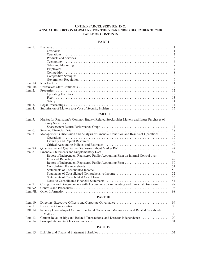# **UNITED PARCEL SERVICE, INC. ANNUAL REPORT ON FORM 10-K FOR THE YEAR ENDED DECEMBER 31, 2008 TABLE OF CONTENTS**

### **PART I**

| Item 1.  |                                                                                            | 1              |
|----------|--------------------------------------------------------------------------------------------|----------------|
|          |                                                                                            | 1              |
|          |                                                                                            | $\overline{c}$ |
|          |                                                                                            | 5              |
|          |                                                                                            | 6              |
|          |                                                                                            | 7              |
|          |                                                                                            | 7              |
|          |                                                                                            | 8              |
|          |                                                                                            | 8              |
|          |                                                                                            | 9              |
| Item 1A. |                                                                                            | 11             |
| Item 1B. |                                                                                            | 12             |
| Item 2.  |                                                                                            | 12             |
|          |                                                                                            | 12             |
|          |                                                                                            | 13             |
|          |                                                                                            | 14             |
| Item 3.  |                                                                                            | 14             |
| Item 4.  |                                                                                            | 15             |
|          | <b>PART II</b>                                                                             |                |
| Item 5.  | Market for Registrant's Common Equity, Related Stockholder Matters and Issuer Purchases of |                |
|          |                                                                                            | 16             |
|          |                                                                                            | 17             |
| Item 6.  |                                                                                            | 18             |
| Item 7.  | Management's Discussion and Analysis of Financial Condition and Results of Operations      | 19             |
|          |                                                                                            | 19             |
|          |                                                                                            | 32             |
|          |                                                                                            | 40             |
| Item 7A. | Quantitative and Qualitative Disclosures about Market Risk                                 | 47             |
| Item 8.  | Report of Independent Registered Public Accounting Firm on Internal Control over           | 49             |
|          |                                                                                            | 49             |
|          | Report of Independent Registered Public Accounting Firm                                    | 50             |
|          |                                                                                            | 51             |
|          |                                                                                            | 52             |
|          | Statements of Consolidated Comprehensive Income                                            | 52             |
|          |                                                                                            | 53             |
|          |                                                                                            | 54             |
| Item 9.  | Changes in and Disagreements with Accountants on Accounting and Financial Disclosure       | 97             |
| Item 9A. |                                                                                            | 98             |
| Item 9B. |                                                                                            | 98             |
|          | <b>PART III</b>                                                                            |                |
| Item 10. |                                                                                            | 99             |
| Item 11. |                                                                                            | 100            |
| Item 12. | Security Ownership of Certain Beneficial Owners and Management and Related Stockholder     |                |
|          |                                                                                            | 100            |
| Item 13. | Certain Relationships and Related Transactions, and Director Independence                  | 100            |
| Item 14. |                                                                                            | 101            |
|          | <b>PART IV</b>                                                                             |                |
| Item 15. |                                                                                            | 102            |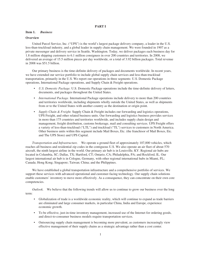### **PART I**

#### **Item 1.** *Business*

#### **Overview**

United Parcel Service, Inc. ("UPS") is the world's largest package delivery company, a leader in the U.S. less-than-truckload industry, and a global leader in supply chain management. We were founded in 1907 as a private messenger and delivery service in Seattle, Washington. Today, we deliver packages each business day for 1.8 million shipping customers to 6.1 million consignees in over 200 countries and territories. In 2008, we delivered an average of 15.5 million pieces per day worldwide, or a total of 3.92 billion packages. Total revenue in 2008 was \$51.5 billion.

Our primary business is the time-definite delivery of packages and documents worldwide. In recent years, we have extended our service portfolio to include global supply chain services and less-than-truckload transportation, primarily in the U.S. We report our operations in three segments: U.S. Domestic Package operations, International Package operations, and Supply Chain & Freight operations.

- *U.S. Domestic Package.* U.S. Domestic Package operations include the time-definite delivery of letters, documents, and packages throughout the United States.
- *International Package.* International Package operations include delivery to more than 200 countries and territories worldwide, including shipments wholly outside the United States, as well as shipments from or to the United States with another country as the destination or origin point.
- *Supply Chain & Freight.* Supply Chain & Freight includes our forwarding and logistics operations, UPS Freight, and other related business units. Our forwarding and logistics business provides services in more than 175 countries and territories worldwide, and includes supply chain design and management, freight distribution, customs brokerage, mail and consulting services. UPS Freight offers a variety of less-than-truckload ("LTL") and truckload ("TL") services to customers in North America. Other business units within this segment include Mail Boxes, Etc. (the franchisor of Mail Boxes, Etc. and The UPS Store) and UPS Capital.

*Transportation and Infrastructure.* We operate a ground fleet of approximately 107,000 vehicles, which reaches all business and residential zip codes in the contiguous U.S. We also operate an air fleet of about 570 aircraft, the ninth largest airline in the world. Our primary air hub is in Louisville, KY. Regional air hubs are located in Columbia, SC; Dallas, TX; Hartford, CT; Ontario, CA; Philadelphia, PA; and Rockford, IL. Our largest international air hub is in Cologne, Germany, with other regional international hubs in Miami, FL; Canada; Hong Kong; Singapore; Taiwan; China; and the Philippines.

We have established a global transportation infrastructure and a comprehensive portfolio of services. We support these services with advanced operational and customer-facing technology. Our supply chain solutions enable customers' inventory to move more effectively. As a consequence, they can concentrate on their own core competencies.

*Outlook.* We believe that the following trends will allow us to continue to grow our business over the long term:

- Globalization of trade is a worldwide economic reality, which will continue to expand as trade barriers are eliminated and large consumer markets, in particular China, India and Europe, experience economic growth.
- To be effective, just-in-time inventory management, increased use of the Internet for ordering goods, and direct-to-consumer business models require transportation services.
- Outsourcing supply chain management is becoming more prevalent, as customers increasingly view effective management of their supply chains as a strategic advantage rather than a cost center.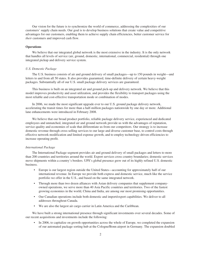Our vision for the future is to synchronize the world of commerce, addressing the complexities of our customers' supply chain needs. Our goal is to develop business solutions that create value and competitive advantages for our customers, enabling them to achieve supply chain efficiencies, better customer service for *their* customers and improved cash flow.

#### **Operations**

We believe that our integrated global network is the most extensive in the industry. It is the only network that handles all levels of service (air, ground, domestic, international, commercial, residential) through one integrated pickup and delivery service system.

#### *U.S. Domestic Package*

The U.S. business consists of air and ground delivery of small packages—up to 150 pounds in weight—and letters to and from all 50 states. It also provides guaranteed, time-definite delivery of certain heavy-weight packages. Substantially all of our U.S. small package delivery services are guaranteed.

This business is built on an integrated air and ground pick-up and delivery network. We believe that this model improves productivity and asset utilization, and provides the flexibility to transport packages using the most reliable and cost-effective transportation mode or combination of modes.

In 2006, we made the most significant upgrade ever to our U.S. ground package delivery network, accelerating the transit times for more than a half-million packages nationwide by one day or more. Additional lane enhancements were introduced in February 2008.

We believe that our broad product portfolio, reliable package delivery service, experienced and dedicated employees and unmatched, integrated air and ground network provide us with the advantages of reputation, service quality and economies of scale that differentiate us from our competitors. Our strategy is to increase domestic revenue through cross-selling services to our large and diverse customer base, to control costs through effective network modification and limited expense growth, and to employ technology-driven efficiencies to increase operating profit.

#### *International Package*

The International Package segment provides air and ground delivery of small packages and letters to more than 200 countries and territories around the world. Export services cross country boundaries; domestic services move shipments within a country's borders. UPS's global presence grew out of its highly refined U.S. domestic business.

- Europe is our largest region outside the United States—accounting for approximately half of our international revenue. In Europe we provide both express and domestic service, much like the service portfolio we offer in the U.S., and based on the same integrated network.
- Through more than two dozen alliances with Asian delivery companies that supplement companyowned operations, we serve more than 40 Asia Pacific countries and territories. Two of the fastest growing economies in the world, China and India, are among our most promising opportunities.
- Our Canadian operations include both domestic and import/export capabilities. We deliver to all addresses throughout Canada.
- We are also the largest air cargo carrier in Latin America and the Caribbean.

We have built a strong international presence through significant investments over several decades. Some of our recent acquisitions and investments include the following:

• In 2006, to capitalize on growth opportunities across the whole of Europe, we completed the expansion of our automated package sorting hub at the Cologne/Bonn airport in Germany. The expansion doubled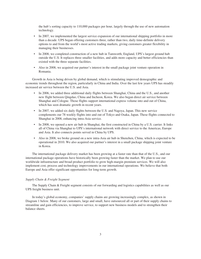the hub's sorting capacity to 110,000 packages per hour, largely through the use of new automation technology.

- In 2007, we implemented the largest service expansion of our international shipping portfolio in more than a decade. UPS began offering customers three, rather than two, daily time-definite delivery options to and from the world's most active trading markets, giving customers greater flexibility in managing their businesses.
- In 2008, we completed construction of a new hub in Tamworth, England, UPS's largest ground hub outside the U.S. It replaces three smaller facilities, and adds more capacity and better efficiencies than existed with the three separate facilities.
- Also in 2008, we acquired our partner's interest in the small package joint venture operation in Romania.

Growth in Asia is being driven by global demand, which is stimulating improved demographic and economic trends throughout the region, particularly in China and India. Over the last few years UPS has steadily increased air service between the U.S. and Asia.

- In 2006, we added three additional daily flights between Shanghai, China and the U.S., and another new flight between Qingdao, China and Incheon, Korea. We also began direct air service between Shanghai and Cologne. Those flights support international express volume into and out of China, which has seen dramatic growth in recent years.
- In 2007, we added six daily flights between the U.S. and Nagoya, Japan. This new service complements our 78 weekly flights into and out of Tokyo and Osaka, Japan. These flights connected to Shanghai in 2008, enhancing intra-Asia service.
- In 2008, we opened a new air hub in Shanghai, the first constructed in China by a U.S. carrier. It links all of China via Shanghai to UPS's international network with direct service to the Americas, Europe and Asia. It also connects points served in China by UPS.
- Also in 2008, we broke ground on a new intra-Asia air hub in Shenzhen, China, which is expected to be operational in 2010. We also acquired our partner's interest in a small package shipping joint venture in Korea.

The international package delivery market has been growing at a faster rate than that of the U.S., and our international package operations have historically been growing faster than the market. We plan to use our worldwide infrastructure and broad product portfolio to grow high-margin premium services. We will also implement cost, process and technology improvements in our international operations. We believe that both Europe and Asia offer significant opportunities for long-term growth.

#### *Supply Chain & Freight Segment*

The Supply Chain & Freight segment consists of our forwarding and logistics capabilities as well as our UPS freight business unit.

In today's global economy, companies' supply chains are growing increasingly complex, as shown in Diagram 1 below. Many of our customers, large and small, have outsourced all or part of their supply chains to streamline and gain efficiencies, to improve service, to support new business models and to strengthen their balance sheets.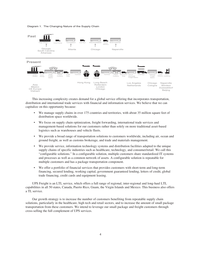Diagram 1. The Changing Nature of the Supply Chain



This increasing complexity creates demand for a global service offering that incorporates transportation, distribution and international trade services with financial and information services. We believe that we can capitalize on this opportunity because:

- We manage supply chains in over 175 countries and territories, with about 35 million square feet of distribution space worldwide.
- We focus on supply chain optimization, freight forwarding, international trade services and management-based solutions for our customers rather than solely on more traditional asset-based logistics such as warehouses and vehicle fleets.
- We provide a broad range of transportation solutions to customers worldwide, including air, ocean and ground freight, as well as customs brokerage, and trade and materials management.
- We provide service, information technology systems and distribution facilities adapted to the unique supply chains of specific industries such as healthcare, technology, and consumer/retail. We call this "configurable solutions." In a configurable solution, multiple customers share standardized IT systems and processes as well as a common network of assets. A configurable solution is repeatable for multiple customers and has a package transportation component.
- We offer a portfolio of financial services that provides customers with short-term and long-term financing, secured lending, working capital, government guaranteed lending, letters of credit, global trade financing, credit cards and equipment leasing.

UPS Freight is an LTL service, which offers a full range of regional, inter-regional and long-haul LTL capabilities in all 50 states, Canada, Puerto Rico, Guam, the Virgin Islands and Mexico. This business also offers a TL service.

Our growth strategy is to increase the number of customers benefiting from repeatable supply chain solutions, particularly in the healthcare, high tech and retail sectors, and to increase the amount of small package transportation from these customers. We intend to leverage our small package and freight customers through cross-selling the full complement of UPS services.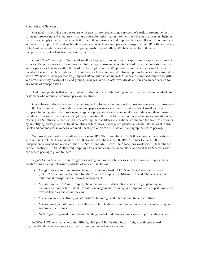#### **Products and Services**

Our goal is to provide our customers with easy-to-use products and services. We seek to streamline their shipment processing and integrate critical transportation information into their own business processes, helping them create supply chain efficiencies, better serve their customers and improve their cash flows. These products and services support LTL and air freight shipments, as well as small package transportation. UPS offers a variety of technology solutions for automated shipping, visibility and billing. We believe we have the most comprehensive suite of such services in the industry.

*Global Small Package.* Our global small package portfolio consists of a spectrum of export and domestic services. Export services are those provided for packages crossing a country's borders, while domestic services are for packages that stay within the borders of a single country. We provide domestic services in 23 major countries outside the United States. This portfolio includes guaranteed delivery options to major cities around the world. We handle packages that weigh up to 150 pounds and are up to 165 inches in combined length and girth. We offer same-day pickup of air and ground packages. We also offer worldwide customs clearance service for any mode of transportation.

Additional products that provide enhanced shipping, visibility, billing and returns services are available to customers who require customized package solutions.

Our enhanced, data-driven package pick-up and delivery technology is the basis for new services introduced in 2007. For example, UPS introduced a unique paperless invoice service for international small package shippers that integrates order processing, shipment preparation and commercial invoice data and then transmits that data to customs offices across the globe, eliminating the need for paper commercial invoices. Another new offering, UPS Returns, is the first industry offering that facilitates international commerce for any size customer by simplifying package returns to 98 countries or territories. Package recipients can obtain international return labels and commercial invoices via e-mail, local post or from a UPS driver picking up the return package.

We provide our customers with easy access to UPS. There are almost 150,000 domestic and international access points to UPS. These include: 38,800 branded drop-boxes, 1,000 UPS Customer Centers, 6,000 independently owned and operated The UPS Store® and Mail Boxes Etc.® locations worldwide, 2,800 alliance partner locations, 13,200 Authorized Shipping Outlets and commercial counters, and 87,000 UPS drivers who can accept packages given to them.

*Supply Chain Services*. Our freight forwarding and logistics businesses meet customers' supply chain needs through a comprehensive portfolio of services, including:

- *Freight Forwarding:* international air, full container load ("FCL") and less than container load ("LCL") ocean, rail and ground freight for all size shipments utilizing UPS and other carriers, and multimodal transportation network management.
- *Logistics and Distribution:* supply chain management, distribution center design, planning and management, order fulfillment, inventory management, receiving and shipping, critical parts logistics, reverse logistics and cross docking.
- *International Trade Management:* customs brokerage and international trade consulting.
- *Industry-specific Solutions:* for healthcare, retail, high tech, automotive, industrial manufacturing and government customers.
- *UPS Capital*SM provides asset-based lending, global trade finance and export-import lending services.

In 2008, UPS launched a new, simplified global portfolio for shipping air freight, with guaranteed day-specific, door-to-door service as well as non-guaranteed service options.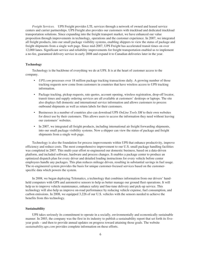*Freight Services.* UPS Freight provides LTL services through a network of owned and leased service centers and carrier partnerships. UPS Freight also provides our customers with truckload and dedicated truckload transportation solutions. Since expanding into the freight transport market, we have enhanced our value proposition through improvements in technology, operations and the customer experience. In 2007, we integrated all freight products, into our small package visibility systems, enabling shippers to view the status of package and freight shipments from a single web page. Since mid-2007, UPS Freight has accelerated transit times on over 12,000 lanes. Significant service and reliability improvements for freight transportation enabled us to implement a no-fee, guaranteed delivery service in early 2008 and expand it to Canadian deliveries later in the year.

#### **Technology**

Technology is the backbone of everything we do at UPS. It is at the heart of customer access to the company.

- *UPS.com* processes over 18 million package tracking transactions daily. A growing number of those tracking requests now come from customers in countries that have wireless access to UPS tracking information.
- Package tracking, pickup requests, rate quotes, account opening, wireless registration, drop-off locator, transit times and supply ordering services are all available at customers' desktops or laptops. The site also displays full domestic and international service information and allows customers to process outbound shipments as well as return labels for their customers.
- Businesses in a number of countries also can download UPS *OnLine Tools SM* to their own websites for direct use by their customers. This allows users to access the information they need without leaving our customers' websites.
- In 2007, we integrated all freight products, including international air freight forwarding shipments, into our small package visibility systems. Now a shipper can view the status of package and freight shipments from a single web page.

Technology is also the foundation for process improvements within UPS that enhance productivity, improve efficiency and reduce costs. The most comprehensive improvement to our U.S. small package handling facilities was completed in 2007. This multi-year effort re-engineered our domestic business, based on a data-driven platform, and included software, hardware and process changes. It enables a package center to produce an optimized dispatch plan for every driver and detailed loading instructions for every vehicle before center employees handle any packages. This plan reduces mileage driven, resulting in substantial savings in fuel usage. The re-engineered system provides the basis for unique customer-focused services based on the customerspecific data which powers the system.

In 2008, we began deploying Telematics, a technology that combines information from our drivers' handheld computers with GPS and automotive sensors to help us better manage our ground fleet operations. It will help us to improve vehicle maintenance, enhance safety and fine-tune delivery and pick-up service. This technology will also help us improve on-road performance by reducing vehicle expense, fuel consumption, and carbon emissions. In 2008, we equipped 3,226 of our U.S. vehicles with the sensors needed to achieve the benefits from this technology.

#### **Sustainability**

UPS takes seriously its commitment to operate in a socially, environmentally and economically sustainable manner. In 2003, the company was the first in its industry to publish a sustainability report that set forth its fiveyear goals – and then to provide annual updates on progress toward attaining those goals. The website *sustainability.ups.com* provides complete information on these efforts.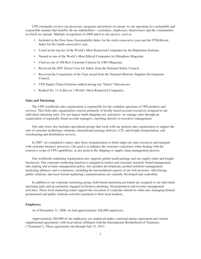UPS constantly reviews our processes, programs and policies to ensure we are operating in a sustainable and responsible manner that benefits all our stakeholders—customers, employees, shareowners and the communities in which we operate. Multiple recognitions in 2008 attest to our success, such as:

- Included in the Dow Jones Sustainability Index for the sixth consecutive year and the FTSE4Good Index for the fourth consecutive year,
- Listed in the top tier of the World's Most Respected Companies by the Reputation Institute,
- Named as one of the World's Most Ethical Companies by Ethisphere Magazine,
- Cited as one of 100 Best Corporate Citizens by CRO Magazine,
- Received the 2007 Green Cross for Safety from the National Safety Council,
- Received the Corporation of the Year award from the National Minority Supplier Development Council,
- UPS Supply Chain Solutions ranked among top "Green" Outsourcers,
- Ranked No. 11 in *Barron's* World's Most Respected Companies.

#### **Sales and Marketing**

The UPS worldwide sales organization is responsible for the complete spectrum of UPS products and services. This field sales organization consists primarily of locally based account executives assigned to our individual operating units. For our largest multi-shipping-site customers, we manage sales through an organization of regionally based account managers, reporting directly to executive management.

Our sales force also includes specialized groups that work with our general sales organization to support the sale of customer technology solutions, international package delivery, LTL and freight transportation, and warehousing and distribution services.

In 2007, we completed a major sales force reorganization to better align our sales resources and integrate with customer business processes. Our goal is to enhance the customer experience when dealing with the extensive scope of UPS capabilities, at any point in the shipping or supply chain management process.

Our worldwide marketing organization also supports global small package and our supply chain and freight businesses. Our corporate marketing function is engaged in market and customer research, brand management, rate-making and revenue management policy, new product development, product portfolio management, marketing alliances and e-commerce, including the non-technical aspects of our web presence. Advertising, public relations, and most formal marketing communications are centrally developed and controlled.

In addition to our corporate marketing group, field-based marketing personnel are assigned to our individual operating units and are primarily engaged in business planning, bid preparation and revenue management activities. These local marketing teams support the execution of corporate initiatives while also managing limited promotional and public relations activities pertinent to their local markets.

#### **Employees**

As of December 31, 2008, we had approximately 426,000 employees.

Approximately 260,000 of our employees are employed under a national master agreement and various supplemental agreements with local unions affiliated with the International Brotherhood of Teamsters ("Teamsters"). These agreements run through July 31, 2013.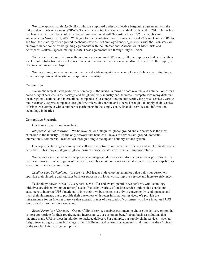We have approximately 2,900 pilots who are employed under a collective bargaining agreement with the Independent Pilots Association ("IPA"). The current contract becomes amendable at the end of 2011. Our airline mechanics are covered by a collective bargaining agreement with Teamsters Local 2727, which became amendable on November 1, 2006. We began formal negotiations with Teamsters Local 2727 in October 2006. In addition, the majority of our ground mechanics who are not employed under agreements with the Teamsters are employed under collective bargaining agreements with the International Association of Machinists and Aerospace Workers (approximately 3,000). These agreements run through July 31, 2009.

We believe that our relations with our employees are good. We survey all our employees to determine their level of job satisfaction. Areas of concern receive management attention as we strive to keep UPS the employer of choice among our employees.

We consistently receive numerous awards and wide recognition as an employer-of-choice, resulting in part from our emphasis on diversity and corporate citizenship.

#### **Competition**

We are the largest package delivery company in the world, in terms of both revenue and volume. We offer a broad array of services in the package and freight delivery industry and, therefore, compete with many different local, regional, national and international companies. Our competitors include worldwide postal services, various motor carriers, express companies, freight forwarders, air couriers and others. Through our supply chain service offerings, we compete with a number of participants in the supply chain, financial services and information technology industries.

#### **Competitive Strengths**

Our competitive strengths include:

*Integrated Global Network.* We believe that our integrated global ground and air network is the most extensive in the industry. It is the only network that handles all levels of service (air, ground, domestic, international, commercial, residential) through a single pickup and delivery service system.

Our sophisticated engineering systems allow us to optimize our network efficiency and asset utilization on a daily basis. This unique, integrated global business model creates consistent and superior returns.

We believe we have the most comprehensive integrated delivery and information services portfolio of any carrier in Europe. In other regions of the world, we rely on both our own and local service providers' capabilities to meet our service commitments.

*Leading-edge Technology.* We are a global leader in developing technology that helps our customers optimize their shipping and logistics business processes to lower costs, improve service and increase efficiency.

Technology powers virtually every service we offer and every operation we perform. Our technology initiatives are driven by our customers' needs. We offer a variety of on-line service options that enable our customers to integrate UPS functionality into their own businesses not only to conveniently send, manage and track their shipments, but to provide their customers with better information services. We provide the infrastructure for an Internet presence that extends to tens of thousands of customers who have integrated UPS tools directly into their own web sites.

*Broad Portfolio of Services.* Our portfolio of services enables customers to choose the delivery option that is most appropriate for their requirements. Increasingly, our customers benefit from business solutions that integrate many UPS services in addition to package delivery. For example, our supply chain services—such as freight forwarding, customs brokerage, order fulfillment, and returns management—help improve the efficiency of the supply chain management process.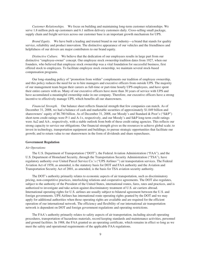*Customer Relationships.* We focus on building and maintaining long-term customer relationships. We serve 1.8 million pick-up customers and 6.1 million delivery customers daily. Cross-selling small package, supply chain and freight services across our customer base is an important growth mechanism for UPS.

*Brand Equity.* We have built a leading and trusted brand in our industry—a brand that stands for quality service, reliability and product innovation. The distinctive appearance of our vehicles and the friendliness and helpfulness of our drivers are major contributors to our brand equity.

*Distinctive Culture.* We believe that the dedication of our employees results in large part from our distinctive "employee-owner" concept. Our employee stock ownership tradition dates from 1927, when our founders, who believed that employee stock ownership was a vital foundation for successful business, first offered stock to employees. To facilitate employee stock ownership, we maintain several stock-based compensation programs.

Our long-standing policy of "promotion from within" complements our tradition of employee ownership, and this policy reduces the need for us to hire managers and executive officers from outside UPS. The majority of our management team began their careers as full-time or part-time hourly UPS employees, and have spent their entire careers with us. Many of our executive officers have more than 30 years of service with UPS and have accumulated a meaningful ownership stake in our company. Therefore, our executive officers have a strong incentive to effectively manage UPS, which benefits all our shareowners.

*Financial Strength.* Our balance sheet reflects financial strength that few companies can match. As of December 31, 2008, we had a balance of cash and marketable securities of approximately \$1.049 billion and shareowners' equity of \$6.780 billion. As of December 31, 2008, our Moody's and Standard & Poor's ("S&P") short-term credit ratings were P-1 and A-1+, respectively, and our Moody's and S&P long-term credit ratings were Aa2 and AA-, respectively, with a stable outlook from both of these credit rating agencies. This reflects our strong capacity to service our obligations. Our financial strength gives us the resources to achieve global scale; to invest in technology, transportation equipment and buildings; to pursue strategic opportunities that facilitate our growth; and to return value to our shareowners in the form of dividends and share repurchases.

#### **Government Regulation**

#### *Air Operations*

The U.S. Department of Transportation ("DOT"), the Federal Aviation Administration ("FAA"), and the U.S. Department of Homeland Security, through the Transportation Security Administration ("TSA"), have regulatory authority over United Parcel Service Co.'s ("UPS Airlines'") air transportation services. The Federal Aviation Act of 1958, as amended, is the statutory basis for DOT and FAA authority and the Aviation and Transportation Security Act of 2001, as amended, is the basis for TSA aviation security authority.

The DOT's authority primarily relates to economic aspects of air transportation, such as discriminatory pricing, non-competitive practices, interlocking relations and cooperative agreements. The DOT also regulates, subject to the authority of the President of the United States, international routes, fares, rates and practices, and is authorized to investigate and take action against discriminatory treatment of U.S. air carriers abroad. International operating rights for U.S. airlines are usually subject to bilateral agreement between the U.S. and foreign governments. UPS Airlines has international route operating rights granted by the DOT and we may apply for additional authorities when those operating rights are available and are required for the efficient operation of our international network. The efficiency and flexibility of our international air transportation network is dependent on DOT and foreign government regulations and operating restrictions.

The FAA's authority primarily relates to safety aspects of air transportation, including aircraft operating procedures, transportation of hazardous materials, record keeping standards and maintenance activities, personnel and ground facilities. In 1988, the FAA granted us an operating certificate, which remains in effect so long as we meet the safety and operational requirements of the applicable FAA regulations.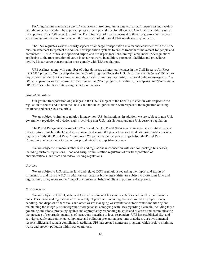FAA regulations mandate an aircraft corrosion control program, along with aircraft inspection and repair at periodic intervals specified by approved programs and procedures, for all aircraft. Our total expenditures under these programs for 2008 were \$12 million. The future cost of repairs pursuant to these programs may fluctuate according to aircraft condition, age and the enactment of additional FAA regulatory requirements.

The TSA regulates various security aspects of air cargo transportation in a manner consistent with the TSA mission statement to "protect the Nation's transportation systems to ensure freedom of movement for people and commerce." UPS Airlines, and specified airport and off airport locations, are regulated under TSA regulations applicable to the transportation of cargo in an air network. In addition, personnel, facilities and procedures involved in air cargo transportation must comply with TSA regulations.

UPS Airlines, along with a number of other domestic airlines, participates in the Civil Reserve Air Fleet ("CRAF") program. Our participation in the CRAF program allows the U.S. Department of Defense ("DOD") to requisition specified UPS Airlines wide-body aircraft for military use during a national defense emergency. The DOD compensates us for the use of aircraft under the CRAF program. In addition, participation in CRAF entitles UPS Airlines to bid for military cargo charter operations.

#### *Ground Operations*

Our ground transportation of packages in the U.S. is subject to the DOT's jurisdiction with respect to the regulation of routes and to both the DOT's and the states' jurisdiction with respect to the regulation of safety, insurance and hazardous materials.

We are subject to similar regulation in many non-U.S. jurisdictions. In addition, we are subject to non-U.S. government regulation of aviation rights involving non-U.S. jurisdictions, and non-U.S. customs regulation.

The Postal Reorganization Act of 1970 created the U.S. Postal Service as an independent establishment of the executive branch of the federal government, and vested the power to recommend domestic postal rates in a regulatory body, the Postal Rate Commission. We participate in the proceedings before the Postal Rate Commission in an attempt to secure fair postal rates for competitive services.

We are subject to numerous other laws and regulations in connection with our non-package businesses, including customs regulations, Food and Drug Administration regulation of our transportation of pharmaceuticals, and state and federal lending regulations.

#### *Customs*

We are subject to U.S. customs laws and related DOT regulations regarding the import and export of shipments to and from the U.S. In addition, our customs brokerage entities are subject to those same laws and regulations as they relate to the filing of documents on behalf of client importers and exporters.

#### *Environmental*

We are subject to federal, state, and local environmental laws and regulations across all of our business units. These laws and regulations cover a variety of processes, including, but not limited to: proper storage, handling, and disposal of hazardous and other waste; managing wastewater and storm water; monitoring and maintaining the integrity of underground storage tanks; complying with laws regarding clean air, including those governing emissions; protecting against and appropriately responding to spills and releases; and communicating the presence of reportable quantities of hazardous materials to local responders. UPS has established site- and activity-specific environmental compliance and pollution prevention programs to address our environmental responsibilities and remain compliant. In addition, UPS has created numerous programs which seek to minimize waste and prevent pollution within our operations.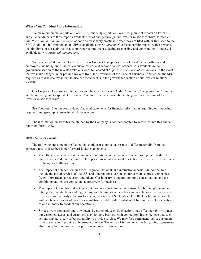### **Where You Can Find More Information**

We make our annual reports on Form 10-K, quarterly reports on Form 10-Q, current reports on Form 8-K, and all amendments to these reports available free of charge through our investor relations website, located at *http://investor.shareholder.com/ups,* as soon as reasonably practicable after they are filed with or furnished to the SEC. Additional information about UPS is available at *www.ups.com.* Our sustainability report, which presents the highlights of our activities that support our commitment to acting responsibly and contributing to society, is available at *www.sustainability.ups.com.*

We have adopted a written Code of Business Conduct that applies to all of our directors, officers and employees, including our principal executive officer and senior financial officers. It is available in the governance section of the investor relations website, located at *http://investor.shareholder.com/ups*. In the event that we make changes in, or provide waivers from, the provisions of the Code of Business Conduct that the SEC requires us to disclose, we intend to disclose these events in the governance section of our investor relations website.

Our Corporate Governance Guidelines and the charters for our Audit Committee, Compensation Committee and Nominating and Corporate Governance Committee are also available in the governance section of the investor relations website.

See Footnote 12 to our consolidated financial statements for financial information regarding our reporting segments and geographic areas in which we operate.

The information on websites maintained by the Company is not incorporated by reference into this annual report on Form 10-K.

#### **Item 1A.** *Risk Factors*

The following are some of the factors that could cause our actual results to differ materially from the expected results described in our forward-looking statements:

- The effect of general economic and other conditions in the markets in which we operate, both in the United States and internationally. Our operations in international markets are also affected by currency exchange and inflation risks.
- The impact of competition on a local, regional, national, and international basis. Our competitors include the postal services of the U.S. and other nations, various motor carriers, express companies, freight forwarders, air couriers and others. Our industry is undergoing rapid consolidation, and the combining entities are competing aggressively for business.
- The impact of complex and stringent aviation, transportation, environmental, labor, employment and other governmental laws and regulations, and the impact of new laws and regulations that may result from increased security concerns following the events of September 11, 2001. Our failure to comply with applicable laws, ordinances or regulations could result in substantial fines or possible revocation of our authority to conduct our operations.
- Strikes, work stoppages and slowdowns by our employees. Such actions may affect our ability to meet our customers needs, and customers may do more business with competitors if they believe that such actions may adversely affect our ability to provide service. We may face permanent loss of customers if we are unable to provide uninterrupted service. The terms of future collective bargaining agreements also may affect our competitive position and results of operations.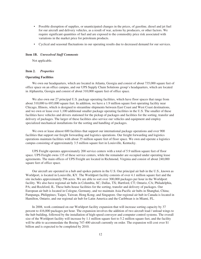- Possible disruption of supplies, or unanticipated changes in the prices, of gasoline, diesel and jet fuel for our aircraft and delivery vehicles, as a result of war, actions by producers, or other factors. We require significant quantities of fuel and are exposed to the commodity price risk associated with variations in the market price for petroleum products.
- Cyclical and seasonal fluctuations in our operating results due to decreased demand for our services.

#### **Item 1B.** *Unresolved Staff Comments*

Not applicable.

#### **Item 2.** *Properties*

#### **Operating Facilities**

We own our headquarters, which are located in Atlanta, Georgia and consist of about 735,000 square feet of office space on an office campus, and our UPS Supply Chain Solutions group's headquarters, which are located in Alpharetta, Georgia and consist of about 310,000 square feet of office space.

We also own our 27 principal U.S. package operating facilities, which have floor spaces that range from about 310,000 to 693,000 square feet. In addition, we have a 1.9 million square foot operating facility near Chicago, Illinois, which is designed to streamline shipments between East Coast and West Coast destinations, and we own or lease over 1,100 additional smaller package operating facilities in the U.S. The smaller of these facilities have vehicles and drivers stationed for the pickup of packages and facilities for the sorting, transfer and delivery of packages. The larger of these facilities also service our vehicles and equipment and employ specialized mechanical installations for the sorting and handling of packages.

We own or lease almost 600 facilities that support our international package operations and over 900 facilities that support our freight forwarding and logistics operations. Our freight forwarding and logistics operations maintain facilities with about 35 million square feet of floor space. We own and operate a logistics campus consisting of approximately 3.5 million square feet in Louisville, Kentucky.

UPS Freight operates approximately 200 service centers with a total of 5.9 million square feet of floor space. UPS Freight owns 135 of these service centers, while the remainder are occupied under operating lease agreements. The main offices of UPS Freight are located in Richmond, Virginia and consist of about 240,000 square feet of office space.

Our aircraft are operated in a hub and spokes pattern in the U.S. Our principal air hub in the U.S., known as Worldport, is located in Louisville, KY. The Worldport facility consists of over 4.1 million square feet and the site includes approximately 596 acres. We are able to sort over 300,000 packages per hour in the Worldport facility. We also have regional air hubs in Columbia, SC; Dallas, TX; Hartford, CT; Ontario, CA; Philadelphia, PA; and Rockford, IL. These hubs house facilities for the sorting, transfer and delivery of packages. Our European air hub is located in Cologne, Germany, and we maintain Asia-Pacific air hubs in Shanghai, China; Pampanga, Philippines; Taipei, Taiwan; Hong Kong; and Singapore. Our regional air hub in Canada is located in Hamilton, Ontario, and our regional air hub for Latin America and the Caribbean is in Miami, FL.

In 2008, work continued on our Worldport facility expansion that will increase sorting capacity by 37 percent to 416,000 packages per hour. The expansion involves the addition of two aircraft load / unload wings to the hub building, followed by the installation of high-speed conveyor and computer control systems. The overall size of the Worldport facility will increase by 1.1 million square feet to 5.2 million square feet, and the facility will be able to accommodate the Boeing 747-400 aircraft currently on order. The expansion will cost over \$1 billion and is expected to be completed by 2010.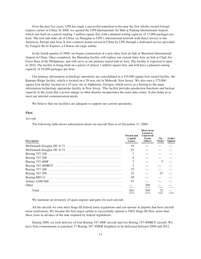Over the past five years, UPS has made a successful transition to become the first wholly-owned foreign express carrier in China. In 2008, we opened the UPS International Air Hub at Pudong International Airport, which was built on a parcel totaling 1 million square feet with a planned sorting capacity of 17,000 packages per hour. The new hub links all of China via Shanghai to UPS's international network with direct service to the Americas, Europe and Asia. It also connects points served in China by UPS through a dedicated service provided by Yangtze River Express, a Chinese all-cargo airline.

In the fourth quarter of 2008, we began construction of a new intra-Asia air hub at Shenzhen International Airport in China. Once completed, the Shenzhen facility will replace our current intra-Asia air hub at Clark Air Force Base in the Philippines, and will serve as our primary transit hub in Asia. The facility is expected to open in 2010. The facility is being built on a parcel of almost 1 million square feet, and will have a planned sorting capacity of 18,000 packages per hour.

Our primary information technology operations are consolidated in a 435,000 square foot owned facility, the Ramapo Ridge facility, which is located on a 39-acre site in Mahwah, New Jersey. We also own a 175,000 square foot facility located on a 25-acre site in Alpharetta, Georgia, which serves as a backup to the main information technology operations facility in New Jersey. This facility provides production functions and backup capacity in the event that a power outage or other disaster incapacitates the main data center. It also helps us to meet our internal communication needs.

We believe that our facilities are adequate to support our current operations.

#### **Fleet**

#### *Aircraft*

The following table shows information about our aircraft fleet as of December 31, 2008:

| <b>Description</b> | Owned and<br>Capital<br><b>Leases</b> | <b>Short-term</b><br>Leased or<br><b>Chartered</b><br>From<br><b>Others</b> | On.<br>Order | Under<br>Option |
|--------------------|---------------------------------------|-----------------------------------------------------------------------------|--------------|-----------------|
|                    | 19                                    |                                                                             |              |                 |
|                    | 25                                    |                                                                             |              |                 |
|                    |                                       |                                                                             |              |                 |
|                    |                                       |                                                                             |              |                 |
|                    |                                       |                                                                             | 5            |                 |
|                    | $\mathcal{L}$                         |                                                                             |              |                 |
|                    | 75                                    |                                                                             |              |                 |
|                    | 32                                    |                                                                             | 27           |                 |
|                    | 38                                    |                                                                             |              |                 |
|                    | 53                                    |                                                                             |              |                 |
|                    |                                       | 309                                                                         |              |                 |
|                    | 262                                   | 309                                                                         | 32           |                 |

We maintain an inventory of spare engines and parts for each aircraft.

All the aircraft we own meet Stage III federal noise regulations and can operate at airports that have aircraft noise restrictions. We became the first major airline to successfully operate a 100% Stage III fleet, more than three years in advance of the date required by federal regulations.

During 2008, we took delivery of four Boeing 747-400F aircraft and two Boeing 747-400BCF aircraft. We have firm commitments to purchase 27 Boeing 767-300ER freighters to be delivered between 2009 and 2012,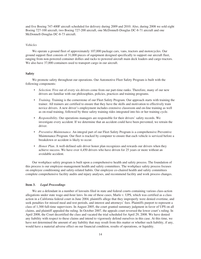and five Boeing 747-400F aircraft scheduled for delivery during 2009 and 2010. Also, during 2008 we sold eight Boeing 727-100 aircraft, two Boeing 727-200 aircraft, one McDonnell-Douglas DC-8-71 aircraft and one McDonnell-Douglas DC-8-73 aircraft.

#### *Vehicles*

We operate a ground fleet of approximately 107,000 package cars, vans, tractors and motorcycles. Our ground support fleet consists of 31,000 pieces of equipment designed specifically to support our aircraft fleet, ranging from non-powered container dollies and racks to powered aircraft main deck loaders and cargo tractors. We also have 37,000 containers used to transport cargo in our aircraft.

#### **Safety**

We promote safety throughout our operations. Our Automotive Fleet Safety Program is built with the following components:

- *Selection.* Five out of every six drivers come from our part-time ranks. Therefore, many of our new drivers are familiar with our philosophies, policies, practices and training programs.
- *Training.* Training is the cornerstone of our Fleet Safety Program. Our approach starts with training the trainer. All trainers are certified to ensure that they have the skills and motivation to effectively train novice drivers. A new driver's employment includes extensive classroom and on-line training as well as on-road training, followed by three safety training rides integrated into his or her training cycle.
- *Responsibility.* Our operations managers are responsible for their drivers' safety records. We investigate every accident. If we determine that an accident could have been prevented, we retrain the driver.
- *Preventive Maintenance.* An integral part of our Fleet Safety Program is a comprehensive Preventive Maintenance Program. Our fleet is tracked by computer to ensure that each vehicle is serviced before a breakdown or accident is likely to occur.
- *Honor Plan.* A well-defined safe driver honor plan recognizes and rewards our drivers when they achieve success. We have over 4,450 drivers who have driven for 25 years or more without an avoidable accident.

Our workplace safety program is built upon a comprehensive health and safety process. The foundation of this process is our employee-management health and safety committees. The workplace safety process focuses on employee conditioning and safety-related habits. Our employee co-chaired health and safety committees complete comprehensive facility audits and injury analyses, and recommend facility and work process changes.

#### **Item 3.** *Legal Proceedings*

We are a defendant in a number of lawsuits filed in state and federal courts containing various class-action allegations under state wage-and-hour laws. In one of these cases, Marlo v. UPS, which was certified as a class action in a California federal court in June 2004, plaintiffs allege that they improperly were denied overtime, and seek penalties for missed meal and rest periods, and interest and attorneys' fees. Plaintiffs purport to represent a class of 1,300 full-time supervisors. In August 2005, the court granted summary judgment in favor of UPS on all claims, and plaintiff appealed the ruling. In October 2007, the appeals court reversed the lower court's ruling. In April 2008, the Court decertified the class and vacated the trial scheduled for April 29, 2008. We have denied any liability with respect to these claims and intend to vigorously defend ourselves in this case. At this time, we have not determined the amount of any liability that may result from this matter or whether such liability, if any, would have a material adverse effect on our financial condition, results of operations, or liquidity.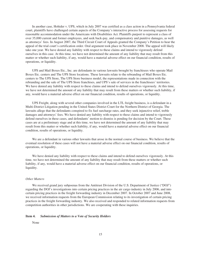In another case, Hohider v. UPS, which in July 2007 was certified as a class action in a Pennsylvania federal court, plaintiffs have challenged certain aspects of the Company's interactive process for assessing requests for reasonable accommodation under the Americans with Disabilities Act. Plaintiffs purport to represent a class of over 35,000 current and former employees, and seek back-pay, and compensatory and punitive damages, as well as attorneys' fees. In August 2007, the Third Circuit Court of Appeals granted the Company's Petition to hear the appeal of the trial court's certification order. Oral argument took place in November 2008. The appeal will likely take one year. We have denied any liability with respect to these claims and intend to vigorously defend ourselves in this case. At this time, we have not determined the amount of any liability that may result from this matter or whether such liability, if any, would have a material adverse effect on our financial condition, results of operations, or liquidity.

UPS and Mail Boxes Etc., Inc. are defendants in various lawsuits brought by franchisees who operate Mail Boxes Etc. centers and The UPS Store locations. These lawsuits relate to the rebranding of Mail Boxes Etc. centers to The UPS Store, The UPS Store business model, the representations made in connection with the rebranding and the sale of The UPS Store franchises, and UPS's sale of services in the franchisees' territories. We have denied any liability with respect to these claims and intend to defend ourselves vigorously. At this time, we have not determined the amount of any liability that may result from these matters or whether such liability, if any, would have a material adverse effect on our financial condition, results of operations, or liquidity.

UPS Freight, along with several other companies involved in the LTL freight business, is a defendant in a Multi-District Litigation pending in the United States District Court for the Northern District of Georgia. The lawsuits allege that the defendants conspired to fix fuel surcharge rates, and they seek injunctive relief, treble damages and attorneys' fees. We have denied any liability with respect to these claims and intend to vigorously defend ourselves in these cases, and defendants' motion to dismiss is pending for decision by the Court. These cases are at a preliminary stage and at this time, we have not determined the amount of any liability that may result from this matter or whether such liability, if any, would have a material adverse effect on our financial condition, results of operations, or liquidity.

We are a defendant in various other lawsuits that arose in the normal course of business. We believe that the eventual resolution of these cases will not have a material adverse effect on our financial condition, results of operations, or liquidity.

We have denied any liability with respect to these claims and intend to defend ourselves vigorously. At this time, we have not determined the amount of any liability that may result from these matters or whether such liability, if any, would have a material adverse effect on our financial condition, results of operations, or liquidity.

#### *Other Matters*

We received grand jury subpoenas from the Antitrust Division of the U.S. Department of Justice ("DOJ") regarding the DOJ's investigations into certain pricing practices in the air cargo industry in July 2006, and into certain pricing practices in the freight forwarding industry in December 2007. In October 2007 and June 2008, we received information requests from the European Commission relating to its investigation of certain pricing practices in the freight forwarding industry. We also received and responded to related information requests from competition authorities in other jurisdictions. We are cooperating with these inquiries.

#### **Item 4.** *Submission of Matters to a Vote of Security Holders*

None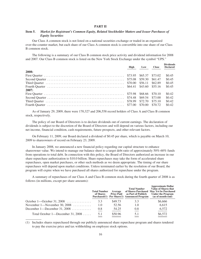#### **PART II**

## **Item 5.** *Market for Registrant's Common Equity, Related Stockholder Matters and Issuer Purchases of Equity Securities*

Our Class A common stock is not listed on a national securities exchange or traded in an organized over-the-counter market, but each share of our Class A common stock is convertible into one share of our Class B common stock.

The following is a summary of our Class B common stock price activity and dividend information for 2008 and 2007. Our Class B common stock is listed on the New York Stock Exchange under the symbol "UPS."

|       | High | Low | <b>Close</b> | <b>Dividends</b><br><b>Declared</b> |
|-------|------|-----|--------------|-------------------------------------|
| 2008: |      |     |              |                                     |
|       |      |     |              | \$0.45                              |
|       |      |     |              | \$0.45                              |
|       |      |     |              | \$0.45                              |
|       |      |     |              | \$0.45                              |
| 2007: |      |     |              |                                     |
|       |      |     |              | \$0.42                              |
|       |      |     |              | \$0.42                              |
|       |      |     |              | \$0.42                              |
|       |      |     |              | \$0.42                              |

As of January 29, 2009, there were 170,327 and 206,558 record holders of Class A and Class B common stock, respectively.

The policy of our Board of Directors is to declare dividends out of current earnings. The declaration of dividends is subject to the discretion of the Board of Directors and will depend on various factors, including our net income, financial condition, cash requirements, future prospects, and other relevant factors.

On February 11, 2009, our Board declared a dividend of \$0.45 per share, which is payable on March 10, 2009 to shareowners of record on February 23, 2009.

In January 2008, we announced a new financial policy regarding our capital structure to enhance shareowner value. We intend to manage our balance sheet to a target debt ratio of approximately 50%-60% funds from operations to total debt. In connection with this policy, the Board of Directors authorized an increase in our share repurchase authorization to \$10.0 billion. Share repurchases may take the form of accelerated share repurchases, open market purchases, or other such methods as we deem appropriate. The timing of our share repurchases will depend upon market conditions. Unless terminated earlier by the resolution of our Board, the program will expire when we have purchased all shares authorized for repurchase under the program.

A summary of repurchases of our Class A and Class B common stock during the fourth quarter of 2008 is as follows (in millions, except per share amounts):

|                                           | <b>Total Number</b><br>of Shares | Average<br><b>Price Paid</b>          | <b>Total Number</b><br>as Part of Publicly<br>Purchased(1) Per Share(1) Announced Program | <b>Approximate Dollar</b><br><b>Value of Shares that</b><br>of Shares Purchased May Yet be Purchased<br><b>Under the Program</b><br>(as of month-end) |
|-------------------------------------------|----------------------------------|---------------------------------------|-------------------------------------------------------------------------------------------|-------------------------------------------------------------------------------------------------------------------------------------------------------|
| October 1—October 31, 2008 $\dots$        | 3.3                              | \$49.73                               | 3.3                                                                                       | \$6,666                                                                                                                                               |
| November 1—November 30, $2008$            | 1.0                              | 52.56                                 | 1.0                                                                                       | 6.615                                                                                                                                                 |
| December 1—December 31, 2008              | 0.8                              | 54.25                                 | 0.8                                                                                       | 6,572                                                                                                                                                 |
| Total October 1—December 31, 2008 $\dots$ | 5.1<br>$=$                       | \$50.96<br>the control of the control | 5.1                                                                                       | \$6,572                                                                                                                                               |

(1) Includes shares repurchased through our publicly announced share repurchase program and shares tendered to pay the exercise price and tax withholding on employee stock options.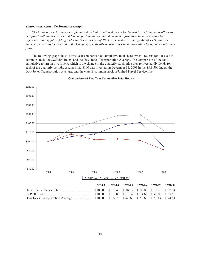#### **Shareowner Return Performance Graph**

*The following Performance Graph and related information shall not be deemed "soliciting material" or to be "filed" with the Securities and Exchange Commission, nor shall such information be incorporated by reference into any future filing under the Securities Act of 1933 or Securities Exchange Act of 1934, each as amended, except to the extent that the Company specifically incorporates such information by reference into such filing.*

The following graph shows a five-year comparison of cumulative total shareowners' returns for our class B common stock, the S&P 500 Index, and the Dow Jones Transportation Average. The comparison of the total cumulative return on investment, which is the change in the quarterly stock price plus reinvested dividends for each of the quarterly periods, assumes that \$100 was invested on December 31, 2003 in the S&P 500 Index, the Dow Jones Transportation Average, and the class B common stock of United Parcel Service, Inc.



#### **Comparison of Five Year Cumulative Total Return**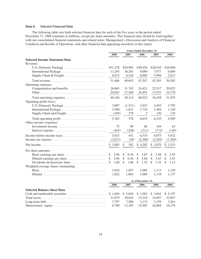### **Item 6.** *Selected Financial Data*

The following table sets forth selected financial data for each of the five years in the period ended December 31, 2008 (amounts in millions, except per share amounts). This financial data should be read together with our consolidated financial statements and related notes, Management's Discussion and Analysis of Financial Condition and Results of Operations, and other financial data appearing elsewhere in this report.

|                                                                                          | <b>Years Ended December 31,</b> |          |          |         |    |                    |            |    |          |
|------------------------------------------------------------------------------------------|---------------------------------|----------|----------|---------|----|--------------------|------------|----|----------|
|                                                                                          |                                 | 2008     | 2007     |         |    | 2006               | 2005       |    | 2004     |
| <b>Selected Income Statement Data</b><br>Revenue:                                        |                                 |          |          |         |    |                    |            |    |          |
| U.S. Domestic Package                                                                    |                                 | \$31,278 | \$30,985 |         |    | \$30,456           | \$28,610   |    | \$26,960 |
| International Package                                                                    |                                 | 11,293   |          | 10,281  |    | 9,089              | 7,977      |    | 6,809    |
| Supply Chain & Freight                                                                   |                                 | 8,915    |          | 8,426   |    | 8,002              | 5,994      |    | 2,813    |
| Total revenue<br>Operating expenses:                                                     |                                 | 51,486   |          | 49,692  |    | 47.547             | 42,581     |    | 36,582   |
| Compensation and benefits                                                                |                                 | 26,063   |          | 31,745  |    | 24,421             | 22,517     |    | 20,823   |
|                                                                                          |                                 | 20,041   |          | 17,369  |    | 16,491             | 13,921     |    | 10,770   |
| Total operating expenses<br>Operating profit (loss):                                     |                                 | 46,104   |          | 49,114  |    | 40,912             | 36,438     |    | 31,593   |
| U.S. Domestic Package                                                                    |                                 | 3,907    |          | (1,531) |    | 4,923              | 4,493      |    | 3,702    |
| International Package                                                                    |                                 | 1,580    |          | 1,831   |    | 1,710              | 1,494      |    | 1,149    |
|                                                                                          |                                 | (105)    |          | 278     |    | 2                  | 156        |    | 138      |
| Total operating profit<br>Other income (expense):                                        |                                 | 5,382    |          | 578     |    | 6,635              | 6,143      |    | 4,989    |
| Investment income                                                                        |                                 | 75       |          | 99      |    | 86                 | 104        |    | 82       |
| Interest expense $\dots\dots\dots\dots\dots\dots\dots\dots\dots\dots\dots\dots$          |                                 | (442)    |          | (246)   |    | (211)              | (172)      |    | (149)    |
|                                                                                          |                                 | 5,015    |          | 431     |    | 6,510              | 6,075      |    | 4,922    |
| Income tax expense $\dots\dots\dots\dots\dots\dots\dots\dots\dots\dots\dots\dots\dots$   |                                 | (2,012)  |          | (49)    |    | (2,308)            | (2,205)    |    | (1,589)  |
| Net income $\dots\dots\dots\dots\dots\dots\dots\dots\dots\dots\dots\dots\dots\dots\dots$ | \$                              | 3,003    | \$       | 382     | \$ | 4,202              | \$ 3,870   |    | \$ 3,333 |
| Per share amounts:                                                                       |                                 |          |          |         |    |                    |            |    |          |
|                                                                                          | \$                              | 2.96     | \$       | 0.36    | \$ | 3.87               | \$<br>3.48 | \$ | 2.95     |
| Diluted earnings per share                                                               | \$                              | 2.94     | \$       | 0.36    | \$ | 3.86               | \$<br>3.47 | \$ | 2.93     |
| Dividends declared per share<br>Weighted average shares outstanding:                     | \$                              | 1.80     | \$       | 1.68    | \$ | 1.52               | \$<br>1.32 | \$ | 1.12     |
|                                                                                          |                                 | 1,016    |          | 1,057   |    | 1,085              | 1,113      |    | 1,129    |
|                                                                                          |                                 | 1,022    |          | 1,063   |    | 1,089              | 1,116      |    | 1,137    |
|                                                                                          |                                 |          |          |         |    | As of December 31, |            |    |          |
|                                                                                          |                                 | 2008     | 2007     |         |    | 2006               | 2005       |    | 2004     |
| <b>Selected Balance Sheet Data</b>                                                       |                                 |          |          |         |    |                    |            |    |          |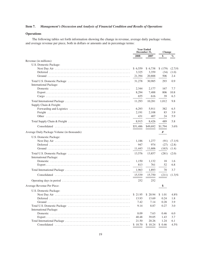# **Item 7.** *Management's Discussion and Analysis of Financial Condition and Results of Operations*

# **Operations**

The following tables set forth information showing the change in revenue, average daily package volume, and average revenue per piece, both in dollars or amounts and in percentage terms:

|                                              | <b>Year Ended</b><br>December 31, |                   | <b>Change</b> |           |  |
|----------------------------------------------|-----------------------------------|-------------------|---------------|-----------|--|
|                                              | 2008                              | 2007              | \$            | $\%$      |  |
| Revenue (in millions):                       |                                   |                   |               |           |  |
| U.S. Domestic Package:                       |                                   |                   |               |           |  |
|                                              | \$ 6,559                          | \$6,738           | \$(179)       | $(2.7)\%$ |  |
|                                              | 3,325                             | 3,359             | (34)          | (1.0)     |  |
|                                              | 21,394                            | 20,888            | 506           | 2.4       |  |
| <b>International Package:</b>                | 31,278                            | 30,985            | 293           | 0.9       |  |
|                                              | 2,344                             | 2,177             | 167           | 7.7       |  |
|                                              | 8,294                             | 7,488             | 806           | 10.8      |  |
|                                              | 655                               | 616               | 39            | 6.3       |  |
| Supply Chain & Freight:                      | 11,293                            | 10,281            | 1,012         | 9.8       |  |
|                                              | 6,293                             | 5,911             | 382           | 6.5       |  |
|                                              | 2,191                             | 2,108             | 83            | 3.9       |  |
|                                              | 431                               | 407               | 24            | 5.9       |  |
|                                              | 8,915                             | 8,426             | 489           | 5.8       |  |
|                                              | \$51,486                          | \$49,692          | \$1,794       | $3.6\%$   |  |
| Average Daily Package Volume (in thousands): |                                   |                   | #             |           |  |
| U.S. Domestic Package:                       |                                   |                   |               |           |  |
|                                              | 1,186                             | 1,277             | (91)          | $(7.1)\%$ |  |
|                                              | 947                               | 974               | (27)          | (2.8)     |  |
|                                              | 11,443                            | 11,606            | (163)         | (1.4)     |  |
| International Package:                       | 13,576                            | 13,857            | (281)         | (2.0)     |  |
|                                              | 1,150                             | 1,132             | 18            | 1.6       |  |
|                                              | 813                               | 761               | 52            | 6.8       |  |
|                                              | 1,963                             | 1,893             | 70            | 3.7       |  |
|                                              | 15,539                            | 15,750            | (211)         | $(1.3)\%$ |  |
|                                              | 252                               | 252               |               |           |  |
| Average Revenue Per Piece:                   |                                   |                   | \$            |           |  |
| U.S. Domestic Package:                       |                                   |                   |               |           |  |
|                                              |                                   | $$21.95$ $$20.94$ | \$ 1.01       | $4.8\%$   |  |
|                                              | 13.93                             | 13.69             | 0.24          | 1.8       |  |
|                                              | 7.42                              | 7.14              | 0.28          | 3.9       |  |
|                                              | 9.14                              | 8.87              | 0.27          | 3.0       |  |
| International Package:                       |                                   |                   |               |           |  |
|                                              | 8.09                              | 7.63              | 0.46          | 6.0       |  |
|                                              | 40.48                             | 39.05             | 1.43          | 3.7       |  |
|                                              | 21.50                             | 20.26             | 1.24          | 6.1       |  |
|                                              | \$10.70                           | \$10.24           | \$0.46        | $4.5\%$   |  |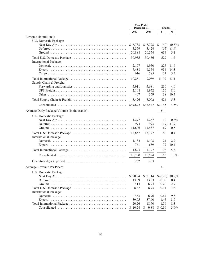|                                              | <b>Year Ended</b><br>December 31, |            | Change     |           |
|----------------------------------------------|-----------------------------------|------------|------------|-----------|
|                                              | 2007                              | 2006       | \$         | $\%$      |
| Revenue (in millions):                       |                                   |            |            |           |
| U.S. Domestic Package:                       |                                   |            |            |           |
|                                              | \$6,738                           | \$6,778    | \$<br>(40) | $(0.6)\%$ |
|                                              | 3,359                             | 3,424      | (65)       | (1.9)     |
|                                              | 20,888                            | 20,254     | 634        | 3.1       |
| <b>International Package:</b>                | 30,985                            | 30,456     | 529        | 1.7       |
|                                              | 2.177                             | 1,950      | 227        | 11.6      |
|                                              | 7,488                             | 6,554      | 934        | 14.3      |
|                                              | 616                               | 585        | 31         | 5.3       |
| Supply Chain & Freight:                      | 10,281                            | 9,089      | 1,192      | 13.1      |
|                                              | 5,911                             | 5,681      | 230        | 4.0       |
|                                              | 2,108                             | 1,952      | 156        | 8.0       |
|                                              | 407                               | 369        | 38         | 10.3      |
|                                              | 8,426                             | 8,002      | 424        | 5.3       |
|                                              | \$49,692                          | \$47,547   | \$2,145    | $4.5\%$   |
| Average Daily Package Volume (in thousands): |                                   |            | #          |           |
| U.S. Domestic Package:                       |                                   |            |            |           |
|                                              | 1,277                             | 1,267      | 10         | $0.8\%$   |
|                                              | 974                               | 993        | (19)       | (1.9)     |
|                                              | 11,606                            | 11,537     | 69         | 0.6       |
| <b>International Package:</b>                | 13,857                            | 13,797     | 60         | 0.4       |
|                                              | 1,132                             | 1,108      | 24         | 2.2       |
|                                              | 761                               | 689        | 72         | 10.4      |
|                                              | 1,893                             | 1,797      | 96         | 5.3       |
|                                              | 15,750                            | 15,594     | 156        | $1.0\%$   |
|                                              | 252                               | 253        |            |           |
| Average Revenue Per Piece:                   |                                   |            | \$         |           |
| U.S. Domestic Package:                       |                                   |            |            |           |
|                                              | \$20.94                           | \$21.14    | \$(0.20)   | (0.9)%    |
|                                              | 13.69                             | 13.63      | 0.06       | 0.4       |
|                                              | 7.14                              | 6.94       | 0.20       | 2.9       |
|                                              | 8.87                              | 8.73       | 0.14       | 1.6       |
| <b>International Package:</b>                |                                   |            |            |           |
|                                              | 7.63                              | 6.96       | 0.67       | 9.6       |
|                                              | 39.05                             | 37.60      | 1.45       | 3.9       |
|                                              | 20.26                             | 18.70      | 1.56       | 8.3       |
|                                              | \$10.24                           | \$<br>9.88 | \$0.36     | 3.6%      |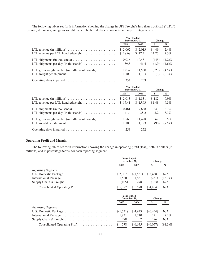The following tables set forth information showing the change in UPS Freight's less-than-truckload ("LTL") revenue, shipments, and gross weight hauled, both in dollars or amounts and in percentage terms:

|                                                                      | <b>Year Ended</b><br>December 31, |          | <b>Change</b> |           |
|----------------------------------------------------------------------|-----------------------------------|----------|---------------|-----------|
|                                                                      | 2008                              | 2007     | \$            | $\%$      |
|                                                                      | \$2,062                           | \$ 2,013 | \$49          | $2.4\%$   |
| LTL revenue per LTL hundredweight                                    | \$18.68                           | \$17.41  | \$1.27        | $7.3\%$   |
|                                                                      | 10,036                            | 10.481   | (445)         | $(4.2)\%$ |
| LTL shipments per day (in thousands) $\dots \dots \dots \dots \dots$ | 39.5                              | 41.4     | (1.9)         | $(4.6)\%$ |
| LTL gross weight hauled (in millions of pounds) $\dots \dots$        | 11,037                            | 11,560   | (523)         | $(4.5)\%$ |
|                                                                      | 1,100                             | 1,103    | (3)           | $(0.3)\%$ |
|                                                                      | 254                               | 253      |               |           |

|                                                                                   | <b>Year Ended</b><br>December 31, |         | <b>Change</b> |           |
|-----------------------------------------------------------------------------------|-----------------------------------|---------|---------------|-----------|
|                                                                                   | 2007                              | 2006    | \$            | $\%$      |
| LTL revenue (in millions) $\dots \dots \dots \dots \dots \dots \dots \dots \dots$ | \$ 2,013                          | \$1,831 | \$182         | $9.9\%$   |
| LTL revenue per LTL hundredweight                                                 | \$17.41                           | \$15.93 | \$1.48        | $9.3\%$   |
|                                                                                   | 10,481                            | 9,638   | 843           | 8.7%      |
| LTL shipments per day (in thousands) $\dots \dots \dots \dots \dots$              | 41.4                              | 38.2    | 3.2           | 8.3%      |
| LTL gross weight hauled (in millions of pounds) $\dots\dots\dots\dots$            | 11,560                            | 11,498  | 62            | $0.5\%$   |
|                                                                                   | 1,103                             | 1,193   | (90)          | $(7.5)\%$ |
|                                                                                   | 253                               | 252     |               |           |

### **Operating Profit and Margin**

The following tables set forth information showing the change in operating profit (loss), both in dollars (in millions) and in percentage terms, for each reporting segment:

|                   | <b>Year Ended</b><br>December 31, |           | <b>Change</b> |            |
|-------------------|-----------------------------------|-----------|---------------|------------|
|                   | 2008                              | 2007      |               | $\%$       |
| Reporting Segment |                                   |           |               |            |
|                   |                                   | \$(1,531) | \$5.438       | N/A        |
|                   | 1.580                             | 1.831     | (251)         | $(13.7)\%$ |
|                   | (105)                             | 278       | (383)         | N/A        |
|                   | \$5,382                           | 578<br>S. | \$4.804       | N/A        |

|                               | <b>Year Ended</b><br>December 31, |         | <b>Change</b> |            |
|-------------------------------|-----------------------------------|---------|---------------|------------|
|                               | 2007                              | 2006    |               | $\%$       |
| Reporting Segment             |                                   |         |               |            |
|                               | \$(1,531)                         | \$4,923 | \$(6,454)     | N/A        |
|                               | 1.831                             | 1.710   | -121          | $7.1\%$    |
|                               | 278                               |         | 276           | N/A        |
| Consolidated Operating Profit | \$578                             | \$6,635 | \$(6,057)     | $(91.3)\%$ |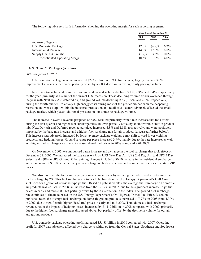The following table sets forth information showing the operating margin for each reporting segment:

|                   | <b>Year Ended December 31,</b> |      |      |
|-------------------|--------------------------------|------|------|
|                   | 2008                           | 2007 | 2006 |
| Reporting Segment |                                |      |      |
|                   |                                |      |      |
|                   |                                |      |      |
|                   |                                |      |      |
|                   |                                |      |      |

#### *U.S. Domestic Package Operations*

#### *2008 compared to 2007*

U.S. domestic package revenue increased \$293 million, or 0.9%, for the year, largely due to a 3.0% improvement in revenue per piece, partially offset by a 2.0% decrease in average daily package volume.

Next Day Air volume, deferred air volume and ground volume declined 7.1%, 2.8%, and 1.4%, respectively for the year, primarily as a result of the current U.S. recession. These declining volume trends worsened through the year with Next Day Air, deferred air, and ground volume declining 8.6%, 3.5%, and 2.1%, respectively, during the fourth quarter. Relatively high energy costs during most of the year combined with the deepening recession and weak output within the industrial production and retail sales sectors adversely affected the small package market, which places additional pressure on our domestic package volume.

The increase in overall revenue per piece of 3.0% resulted primarily from a rate increase that took effect during the first quarter and higher fuel surcharge rates, but was partially offset by an unfavorable shift in product mix. Next Day Air and Deferred revenue per piece increased 4.8% and 1.8%, respectively, and were positively impacted by the base rate increase and a higher fuel surcharge rate for air products (discussed further below). This increase was adversely impacted by lower average package weights, a mix shift toward lower yielding products, and hedging losses. Ground revenue per piece increased 3.9%, mainly due to the rate increase, as well as a higher fuel surcharge rate due to increased diesel fuel prices in 2008 compared with 2007.

On November 9, 2007, we announced a rate increase and a change in the fuel surcharge that took effect on December 31, 2007. We increased the base rates 6.9% on UPS Next Day Air, UPS 2nd Day Air, and UPS 3 Day Select, and 4.9% on UPS Ground. Other pricing changes included a \$0.10 increase in the residential surcharge, and an increase of \$0.10 in the delivery area surcharge on both residential and commercial services to certain ZIP codes.

We also modified the fuel surcharge on domestic air services by reducing the index used to determine the fuel surcharge by 2%. This fuel surcharge continues to be based on the U.S. Energy Department's Gulf Coast spot price for a gallon of kerosene-type jet fuel. Based on published rates, the average fuel surcharge on domestic air products was 25.17% in 2008, an increase from the 12.17% in 2007, due to the significant increase in jet fuel prices in early and mid-2008, but partially offset by the 2% reduction in the index. The ground fuel surcharge rate continues to fluctuate based on the U.S. Energy Department's On-Highway Diesel Fuel Price. Based on published rates, the average fuel surcharge on domestic ground products increased to 7.97% in 2008 from 4.30% in 2007, due to significantly higher diesel fuel prices in early and mid-2008. Total domestic fuel surcharge revenue, net of the impact of hedging losses, increased by \$1.119 billion in 2008 compared with 2007, primarily due to the higher fuel surcharge rates discussed above, but partially offset by the decline in volume for our air and ground products.

U.S. domestic package operating profit increased \$5.438 billion in 2008 compared with 2007. Operating profit for 2007 was adversely affected by a charge to withdraw from the Central States, Southeast and Southwest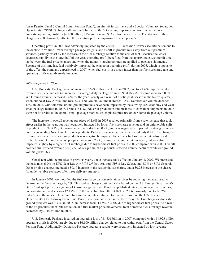Areas Pension Fund ("Central States Pension Fund"), an aircraft impairment and a Special Voluntary Separation Opportunity ("SVSO") charge (all discussed further in the "Operating Expenses" section), which reduced domestic operating profit by \$6.100 billion, \$159 million and \$53 million, respectively. The absence of these charges in 2008 favorably affected the operating profit comparison between periods.

Operating profit in 2008 was adversely impacted by the current U.S. recession, lower asset utilization due to the decline in volume, lower average package weights, and a shift in product mix away from our premium services, partially offset by the increase in the fuel surcharge relative to the cost of fuel. Because fuel costs decreased rapidly in the latter half of the year, operating profit benefited from the approximate two month time lag between the fuel price changes and when the monthly surcharge rates are applied to package shipments. Because of this time lag, fuel positively impacted the change in operating profit during 2008, which is opposite of the effect the company experienced in 2007, when fuel costs rose much faster than the fuel surcharge rate and operating profit was adversely impacted.

#### *2007 compared to 2006*

U.S. Domestic Package revenue increased \$529 million, or 1.7%, in 2007, due to a 1.6% improvement in revenue per piece and a 0.4% increase in average daily package volume. Next Day Air volume increased 0.8% and Ground volume increased 0.6% for the year, largely as a result of a solid peak season in the fourth quarter, when our Next Day Air volume rose 2.2% and Ground volume increased 1.5%. Deferred air volume declined 1.9% in 2007. Our domestic air and ground products have been impacted by the slowing U.S. economy and weak small package market in 2007. Trends in U.S. industrial production and business-to-consumer shipments in 2007 were not favorable to the overall small package market, which places pressure on our domestic package volume.

The increase in overall revenue per piece of 1.6% in 2007 resulted primarily from a rate increase that took effect earlier in the year, but was negatively impacted by lower fuel surcharge revenue and an unfavorable shift in product mix. Next Day Air revenue per piece declined 0.9%, and was negatively impacted by strong growth in our lower-yielding Next Day Air Saver products. Deferred revenue per piece increased only 0.4%. The change in revenue per piece for all our air products was negatively impacted by a lower fuel surcharge rate (discussed further below). Ground revenue per piece increased 2.9%, primarily due to the rate increase, but was also impacted slightly by a higher fuel surcharge due to higher diesel fuel prices in 2007 compared with 2006. Overall product mix reduced revenue per piece, as our premium air products suffered volume declines while our ground volume grew 0.6%.

Consistent with the practice in previous years, a rate increase took effect on January 1, 2007. We increased the base rates 6.9% on UPS Next Day Air, UPS 2nd Day Air, and UPS 3 Day Select, and 4.9% on UPS Ground. Other pricing changes included a \$0.10 increase in the residential surcharge, and a \$0.75 increase in the charge for undeliverable packages after three delivery attempts.

In January 2007, we modified the fuel surcharge on domestic air services by reducing the index used to determine the fuel surcharge by 2%. This fuel surcharge continued to be based on the U.S. Energy Department's Gulf Coast spot price for a gallon of kerosene-type jet fuel. Based on published rates, the average fuel surcharge on domestic air products was 12.17% in 2007, a decline from the 14.02% in 2006, primarily due to the 2% reduction in the index. The ground fuel surcharge rate continued to fluctuate based on the U.S. Energy Department's On-Highway Diesel Fuel Price. Based on published rates, the average fuel surcharge on domestic ground products was 4.30% in 2007, an increase from 4.13% in 2006, due to higher diesel fuel prices. As a result of the air products index rate reduction and fuel market price movements, total domestic fuel surcharge revenue decreased by \$110 million in 2007.

U.S. Domestic Package incurred an operating loss of \$1.531 billion in 2007, compared with a \$4.923 billion operating profit in 2006, largely due to a \$6.100 billion charge related to our withdrawal from the Central States Pension Fund. Additionally, Domestic Package operating results were negatively impacted by low revenue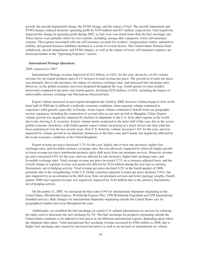growth, the aircraft impairment charge, the SVSO charge, and the impact of fuel. The aircraft impairment and SVSO charges reduced domestic operating profit by \$159 million and \$53 million, respectively. Fuel negatively impacted the change in operating profit during 2007, as fuel costs rose much faster than the fuel surcharge rate. These factors were partially offset by cost controls, including, among other categories, lower self-insurance expense. The expense associated with our self-insurance accruals for workers' compensation claims, automotive liability and general business liabilities declined as a result of several factors. The Central States Pension Fund withdrawal, aircraft impairment, and SVSO charges, as well as the impact of lower self-insurance expense, are discussed further in the "Operating Expenses" section.

#### *International Package Operations*

#### *2008 compared to 2007*

International Package revenue improved \$1.012 billion, or 9.8%, for the year, driven by a 6.8% volume increase for our export products and a 6.1% increase in total revenue per piece. The growth in revenue per piece was primarily due to rate increases, the impact of currency exchange rates, and increased fuel surcharge rates. However, as the global economic recession deepened throughout the year, fourth quarter revenue trended downward compared to the prior year fourth quarter, declining \$230 million, or 8.0%, including the impact of unfavorable currency exchange rate fluctuations discussed later.

Export volume increased in each region throughout the world in 2008, however volume began to slow in the latter half of 2008 due to difficult worldwide economic conditions. Intra-regional volume continued to experience solid growth, especially in Europe. Asian export volume continued to benefit from our geographic service expansion, including the connection of several cities to our new air hub in Shanghai, China. Export volume growth was negatively impacted by declines in shipments to the U.S. from other regions in the world, due to the slowing U.S. economy. Export volume trends weakened in the latter half of the year, due to the severe global economic slowdown, with fourth quarter export volume increasing at a much slower rate than what has been experienced over the last several years. Non-U.S. domestic volume increased 1.6% for the year, and was impacted by volume growth in our domestic businesses in the Euro zone and Canada, but negatively affected by the weak economic conditions in the United Kingdom.

Export revenue per piece increased 3.7% for the year, largely due to base rate increases, higher fuel surcharge rates, and favorable currency exchange rates, but was adversely impacted by relatively higher growth in lower revenue per piece transborder products and a shift away from our premium services. Domestic revenue per piece increased 6.0% for the year, and was affected by rate increases, higher fuel surcharge rates, and favorable exchange rates. Total average revenue per piece increased 2.7% on a currency-adjusted basis, and the overall change in segment revenue was positively affected by \$324 million during the year due to currency fluctuations, net of hedging activity. Total revenue per piece declined 8.2% in the fourth quarter of 2008, primarily due to the strengthening of the U.S. Dollar (currency-adjusted revenue per piece declined 3.0%), but also impacted by an acceleration in the shift away from our premium services and lower package weights. Fourth quarter 2008 total segment revenue was negatively impacted by \$144 million due to the currency fluctuations, net of hedging activity.

On December 31, 2007, we increased the base rates 6.9% for international shipments originating in the United States (Worldwide Express, Worldwide Express Plus, UPS Worldwide Expedited and UPS International Standard service). Rate changes for international shipments originating outside the United States vary by geographical market and occur throughout the year.

Additionally, we modified the fuel surcharge on certain U.S.-related international air services by reducing the index used to determine the fuel surcharge by 2%. The fuel surcharge for products originating outside the United States continues to be indexed to fuel prices in our different international regions, depending upon where the shipment takes place. Total international fuel surcharge revenue increased by \$586 million in 2008, due to higher fuel surcharge rates caused by increased fuel prices as well as an increase in international air volume.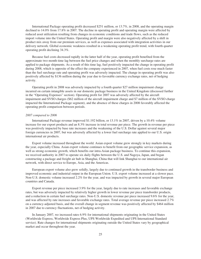International Package operating profit decreased \$251 million, or 13.7%, in 2008, and the operating margin declined to 14.0% from 17.8% in 2007. The decline in operating profit and operating margin were affected by reduced asset utilization resulting from changes in economic conditions and trade flows, such as the reduced import volume into the United States. Operating profit and margin were also negatively affected by a shift in product mix away from our premium services, as well as expenses associated with integration activities in our delivery network. Global economic weakness resulted in a weakening operating profit trend, with fourth quarter operating profit declining 34.3%.

Because fuel costs decreased rapidly in the latter half of the year, operating profit benefited from the approximate two month time lag between the fuel price changes and when the monthly surcharge rates are applied to package shipments. As a result of this time lag, fuel positively impacted the change in operating profit during 2008, which is opposite of the effect the company experienced in 2007, when fuel costs rose much faster than the fuel surcharge rate and operating profit was adversely impacted. The change in operating profit was also positively affected by \$136 million during the year due to favorable currency exchange rates, net of hedging activity.

Operating profit in 2008 was adversely impacted by a fourth quarter \$27 million impairment charge incurred on certain intangible assets in our domestic package business in the United Kingdom (discussed further in the "Operating Expenses" section). Operating profit for 2007 was adversely affected by the aircraft impairment and SVSO charges (\$62 million of the aircraft impairment charge and \$7 million of the SVSO charge impacted the International Package segment), and the absence of these charges in 2008 favorably affected the operating profit comparison between periods.

#### *2007 compared to 2006*

International Package revenue improved \$1.192 billion, or 13.1% in 2007, driven by a 10.4% volume increase for our export products and an 8.3% increase in total revenue per piece. The growth in revenue per piece was positively impacted by base rate increases and the weakening of the U.S. Dollar against several major foreign currencies in 2007, but was adversely affected by a lower fuel surcharge rate applied to our U.S. origin international air products.

Export volume increased throughout the world. Asian export volume grew strongly in key markets during the year, especially China. Asian export volume continues to benefit from our geographic service expansion, as well as strong economic growth, which benefits our intra-Asian package business. To continue this expansion, we received authority in 2007 to operate six daily flights between the U.S. and Nagoya, Japan, and began constructing a package and freight air hub in Shanghai, China that will link Shanghai to our international air network, with direct service to Europe, Asia, and the Americas.

European export volume also grew solidly, largely due to continued growth in the transborder business and improved economic and industrial output in the European Union. U.S. export volume increased at a slower pace. Non-U.S. domestic volume increased 2.2% for the year, and was impacted by growth in several major European countries and Canada.

Export revenue per piece increased 3.9% for the year, largely due to rate increases and favorable exchange rates, but was adversely impacted by relatively higher growth in lower revenue per piece transborder products, and a reduction in certain fuel surcharge rates. Non-U.S. domestic revenue per piece increased 9.6% for the year, and was affected by rate increases and favorable exchange rates. Total average revenue per piece increased 2.7% on a currency-adjusted basis, and the overall change in segment revenue was positively affected by \$464 million in 2007 due to currency fluctuations, net of hedging activity.

In January 2007, we increased rates 6.9% for international shipments originating in the United States (Worldwide Express, Worldwide Express Plus, UPS Worldwide Expedited and UPS International Standard service). Rate changes for international shipments originating outside the United States vary by geographical market and occur throughout the year.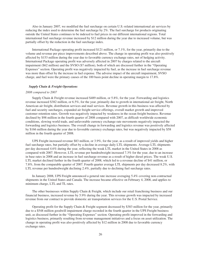Also in January 2007, we modified the fuel surcharge on certain U.S.-related international air services by reducing the index used to determine the fuel surcharge by 2%. The fuel surcharge for products originating outside the United States continues to be indexed to fuel prices in our different international regions. Total international fuel surcharge revenue increased by \$12 million during the year due to increased volume, but was partially offset by the reduction in the fuel surcharge index.

International Package operating profit increased \$121 million, or 7.1%, for the year, primarily due to the volume and revenue per piece improvements described above. The change in operating profit was also positively affected by \$153 million during the year due to favorable currency exchange rates, net of hedging activity. International Package operating profit was adversely affected in 2007 by charges related to the aircraft impairment (\$62 million) and the SVSO (\$7 million), both of which are discussed further in the "Operating Expenses" section. Operating profit was negatively impacted by fuel, as the increase in fuel surcharge revenue was more than offset by the increase in fuel expense. The adverse impact of the aircraft impairment, SVSO charge, and fuel were the primary causes of the 100 basis point decline in operating margin to 17.8%.

### *Supply Chain & Freight Operations*

### *2008 compared to 2007*

Supply Chain & Freight revenue increased \$489 million, or 5.8%, for the year. Forwarding and logistics revenue increased \$382 million, or 6.5%, for the year, primarily due to growth in international air freight, North American air freight, distribution services and mail services. Revenue growth in this business was affected by fuel and security surcharges, expanded air freight service offerings, overall market growth and improved customer retention rates. Growth was negatively impacted by weakness in the ocean freight business. Revenue declined by \$98 million in the fourth quarter of 2008 compared with 2007, as difficult worldwide economic conditions, slowing world trade, and unfavorable currency exchange rate movements negatively impacted the forwarding and logistics business. The overall change in forwarding and logistics revenue was positively affected by \$166 million during the year due to favorable currency exchange rates, but was negatively impacted by \$58 million in the fourth quarter of 2008.

UPS Freight increased revenue \$83 million, or 3.9%, for the year, as a result of improved yields and higher fuel surcharge rates, but partially offset by a decline in average daily LTL shipments. Average LTL shipments per day decreased 4.6% during the year, reflecting the weak LTL market in the United States in 2008 as compared with 2007. However, LTL revenue per hundredweight increased 7.3% for the year, due to an increase in base rates in 2008 and an increase in fuel surcharge revenue as a result of higher diesel prices. The weak U.S. LTL market declined further in the fourth quarter of 2008, which led to a revenue decline of \$41 million, or 7.8%, from the comparable quarter of 2007. Fourth quarter average LTL shipments per day decreased 8.2%, with LTL revenue per hundredweight declining 2.4%, partially due to declining fuel surcharge rates.

In January 2008, UPS Freight announced a general rate increase averaging 5.4% covering non-contractual shipments in the United States and Canada. The increase became effective on February 4, 2008, and applies to minimum charge, LTL and TL rates.

The other businesses within Supply Chain & Freight, which include our retail franchising business and our financial business, increased revenue by 5.9% during the year. This revenue growth was impacted by increased revenue from our contract to provide domestic air transportation services for the U.S. Postal Service.

Operating profit for the Supply Chain & Freight segment decreased by \$383 million for the year, primarily due to a \$548 million goodwill impairment charge recorded in the fourth quarter in the UPS Freight business unit, as discussed further in the "Operating Expenses" section. Operating profit improved in the forwarding and logistics business, primarily resulting from revenue management initiatives and a focus on asset utilization. The change in operating profit was also positively affected by \$12 million in 2008 due to favorable currency exchange rates.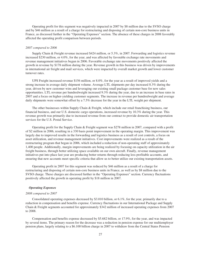Operating profit for this segment was negatively impacted in 2007 by \$8 million due to the SVSO charge and by \$46 million as a result of a charge for restructuring and disposing of certain non-core business units in France, as discussed further in the "Operating Expenses" section. The absence of these charges in 2008 favorably affected the operating profit comparison between periods.

### *2007 compared to 2006*

Supply Chain & Freight revenue increased \$424 million, or 5.3%, in 2007. Forwarding and logistics revenue increased \$230 million, or 4.0%, for the year, and was affected by favorable exchange rate movements and revenue management initiatives begun in 2006. Favorable exchange rate movements positively affected the growth in revenue by \$178 million during the year. Revenue growth in this business was driven by improvements in international air freight and mail services, which were impacted by overall market growth and lower customer turnover rates.

UPS Freight increased revenue \$156 million, or 8.0%, for the year as a result of improved yields and a strong increase in average daily shipment volume. Average LTL shipments per day increased 8.3% during the year, driven by new customer wins and leveraging our existing small package customer base for new sales opportunities. LTL revenue per hundredweight increased 9.3% during the year, due to an increase in base rates in 2007 and a focus on higher-yielding customer segments. The increase in revenue per hundredweight and average daily shipments were somewhat offset by a 7.5% decrease for the year in the LTL weight per shipment.

The other businesses within Supply Chain & Freight, which include our retail franchising business, our financial business, and our U.S. domestic cargo operations, increased revenue by 10.3% during the year. This revenue growth was primarily due to increased revenue from our contract to provide domestic air transportation services for the U.S. Postal Service.

Operating profit for the Supply Chain & Freight segment was \$278 million in 2007, compared with a profit of \$2 million in 2006, resulting in a 330 basis point improvement in the operating margin. This improvement was largely due to improved results in the forwarding and logistics business as a result of cost controls, a focus on asset utilization, and revenue management initiatives. Cost improvements were realized as a result of the restructuring program that began in 2006, which included a reduction of non-operating staff of approximately 1,400 people. Additionally, margin improvements are being realized by focusing on capacity utilization in the air freight business, through better utilizing space available on our own aircraft. Finally, revenue management initiatives put into place last year are producing better returns through reducing less profitable accounts, and ensuring that new accounts meet specific criteria that allow us to better utilize our existing transportation assets.

Operating profit in 2007 for this segment was reduced by \$46 million as a result of a charge for restructuring and disposing of certain non-core business units in France, as well as by \$8 million due to the SVSO charge. These charges are discussed further in the "Operating Expenses" section. Currency fluctuations positively affected the growth in operating profit by \$18 million in 2007.

### *Operating Expenses*

### *2008 compared to 2007*

Consolidated operating expenses decreased by \$3.010 billion, or 6.1%, for the year, primarily due to a reduction in compensation and benefits expense. Currency fluctuations in our International Package and Supply Chain & Freight segments accounted for approximately \$342 million of increased operating expenses from 2007 to 2008.

Compensation and benefits expense decreased by \$5.682 billion, or 17.9%, for the year, and was impacted by several items. The primary reason for the decrease was a reduction in pension expense for our multiemployer pension plans, largely relating to a \$6.100 billion charge in 2007 to withdraw from the Central States Pension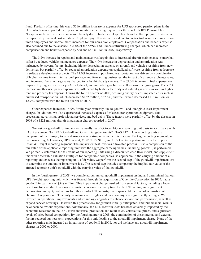Fund. Partially offsetting this was a \$216 million increase in expense for UPS-sponsored pension plans in the U.S., which was impacted by expense recognition now being required for the new UPS IBT Pension Plan. Non-pension benefits expense increased largely due to higher employee health and welfare program costs, which is impacted by medical cost inflation. Employee payroll costs increased due to contractual wage increases for our union employees and normal merit increases for our non-union employees. Compensation and benefits expense also declined due to the absence in 2008 of the SVSO and France restructuring charges, which had increased compensation and benefits expense by \$68 and \$42 million in 2007, respectively.

The 3.2% increase in repairs and maintenance was largely due to increased aircraft maintenance, somewhat offset by reduced vehicle maintenance expense. The 4.0% increase in depreciation and amortization was influenced by several factors, including higher depreciation expense on aircraft and vehicles resulting from new deliveries, but partially offset by reduced amortization expense on capitalized software resulting from a decrease in software development projects. The 11.0% increase in purchased transportation was driven by a combination of higher volume in our international package and forwarding businesses, the impact of currency exchange rates, and increased fuel surcharge rates charged to us by third-party carriers. The 39.0% increase in fuel expense was impacted by higher prices for jet-A fuel, diesel, and unleaded gasoline as well as lower hedging gains. The 7.2% increase in other occupancy expense was influenced by higher electricity and natural gas costs, as well as higher rent and property tax expense. During the fourth quarter of 2008, declining energy prices impacted costs such as purchased transportation, which decreased \$132 million, or 7.6%, and fuel, which decreased \$118 million, or 12.7%, compared with the fourth quarter of 2007.

Other expenses increased 14.9% for the year primarily due to goodwill and intangible asset impairment charges. In addition, we also experienced increased expenses for leased transportation equipment, data processing, advertising, professional services, and bad debts. These factors were partially offset by the absence in 2008 of a \$221 million aircraft impairment charge recorded in 2007.

We test our goodwill for impairment annually, as of October 1<sup>st</sup>, on a reporting unit basis in accordance with FASB Statement No. 142 "Goodwill and Other Intangible Assets" ("FAS 142"). Our reporting units are comprised of the Europe, Asia, and Americas reporting units in the International Package reporting segment, and the Forwarding & Logistics, UPS Freight, MBE / UPS Store, and UPS Capital reporting units in the Supply Chain & Freight reporting segment. The impairment test involves a two-step process. First, a comparison of the fair value of the applicable reporting unit with the aggregate carrying values, including goodwill, is performed. We primarily determine the fair value of our reporting units using a discounted cash flow model, and supplement this with observable valuation multiples for comparable companies, as applicable. If the carrying amount of a reporting unit exceeds the reporting unit's fair value, we perform the second step of the goodwill impairment test to determine the amount of impairment loss. The second step includes comparing the implied fair value of the affected reporting unit's goodwill with the carrying value of that goodwill.

In the fourth quarter of 2008, we completed our annual goodwill impairment testing and determined that our UPS Freight reporting unit, which was formed through the acquisition of Overnite Corporation in 2005, had a goodwill impairment of \$548 million. This impairment charge resulted from several factors, including a lower cash flow forecast due to a longer estimated economic recovery time for the LTL sector, and significant deterioration in equity valuations for other similar LTL industry participants. At the time of acquisition of Overnite Corporation, LTL equity valuations were higher and the economy was significantly stronger. We invested in operational improvements and technology upgrades to enhance service and performance, as well as expand service offerings. However, this process took longer than initially anticipated, and thus financial results have been below our expectations. Additionally, the LTL sector in 2008 has been adversely impacted by the economic recession in the U.S., lower industrial production and retail sales, volatile fuel prices, and significant levels of price-based competition. By the fourth quarter of 2008, the combination of these internal and external factors reduced our near term expectations for this unit, leading to the goodwill impairment charge. None of the other reporting units incurred an impairment of goodwill in 2008, nor did we have any goodwill impairment charges in 2007 or 2006.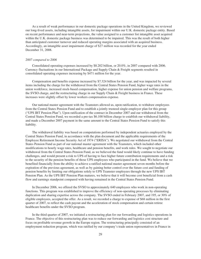As a result of weak performance in our domestic package operations in the United Kingdom, we reviewed our long-lived assets, including intangible assets, for impairment within our U.K. domestic package entity. Based on recent performance and near-term projections, the value assigned to a customer list intangible asset acquired within the U.K. domestic package business was determined to be impaired. This was the result of both higher than anticipated customer turnover and reduced operating margins associated with an acquired business. Accordingly, an intangible asset impairment charge of \$27 million was recorded for the year ended December 31, 2008.

### *2007 compared to 2006*

Consolidated operating expenses increased by \$8.202 billion, or 20.0%, in 2007 compared with 2006. Currency fluctuations in our International Package and Supply Chain & Freight segments resulted in consolidated operating expenses increasing by \$471 million for the year.

Compensation and benefits expense increased by \$7.324 billion for the year, and was impacted by several items including the charge for the withdrawal from the Central States Pension Fund, higher wage rates in the union workforce, increased stock-based compensation, higher expense for union pension and welfare programs, the SVSO charge, and the restructuring charge in our Supply Chain & Freight business in France. These increases were slightly offset by lower workers compensation expense.

Our national master agreement with the Teamsters allowed us, upon ratification, to withdraw employees from the Central States Pension Fund and to establish a jointly trusteed single-employer plan for this group ("UPS IBT Pension Plan"). Upon ratification of the contract in December 2007 and our withdrawal from the Central States Pension Fund, we recorded a pre-tax \$6.100 billion charge to establish our withdrawal liability, and made a December 2007 payment in the same amount to the Central States Pension Fund to satisfy this liability.

The withdrawal liability was based on computations performed by independent actuaries employed by the Central States Pension Fund, in accordance with the plan document and the applicable requirements of the Employee Retirement Income Security Act of 1974 ("ERISA"). We negotiated our withdrawal from the Central States Pension Fund as part of our national master agreement with the Teamsters, which included other modifications to hourly wage rates, healthcare and pension benefits, and work rules. We sought to negotiate our withdrawal from the Central States Pension Fund, as we believed the fund would likely continue to have funding challenges, and would present a risk to UPS of having to face higher future contribution requirements and a risk to the security of the pension benefits of those UPS employees who participated in the fund. We believe that we benefited financially from the ability to achieve a ratified national master agreement seven months before the expiration of the previous agreement, as well as by gaining better control over the future cost and funding of pension benefits by limiting our obligations solely to UPS Teamster employees through the new UPS IBT Pension Plan. As the UPS IBT Pension Plan matures, we believe that it will become cost beneficial from a cash flow and earnings standpoint compared with having remained in the Central States Pension Fund.

In December 2006, we offered the SVSO to approximately 640 employees who work in non-operating functions. This program was established to improve the efficiency of non-operating processes by eliminating duplication and sharing expertise across the company. The SVSO ended in February 2007, and 195, or 30% of eligible employees, accepted the offer. As a result, we recorded a charge to expense of \$68 million in the first quarter of 2007, to reflect the cash payout and the acceleration of stock compensation and certain retiree healthcare benefits under the SVSO program.

In the third quarter of 2007, we initiated a restructuring plan for our forwarding and logistics operations in France. The objective of this restructuring plan was to reduce our forwarding and logistics cost structure and focus on profitable revenue growth in the Europe region. The restructuring principally consisted of an employment reduction program, which was ratified by our company's trade union representatives in France in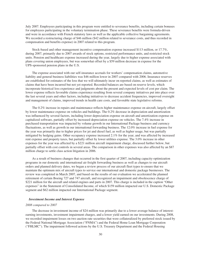July 2007. Employees participating in this program were entitled to severance benefits, including certain bonuses for employees participating in the voluntary termination phase. These severance benefits were formula-driven and were in accordance with French statutory laws as well as the applicable collective bargaining agreements. We recorded a restructuring charge of \$46 million (\$42 million related to severance costs, and thus recorded in compensation and benefits expense) in 2007 related to this program.

Stock-based and other management incentive compensation expense increased \$113 million, or 17.7%, during 2007, primarily due to 2007 awards of stock options, restricted performance units, and restricted stock units. Pension and healthcare expense increased during the year, largely due to higher expense associated with plans covering union employees, but was somewhat offset by a \$59 million decrease in expense for the UPS-sponsored pension plans in the U.S.

The expense associated with our self-insurance accruals for workers' compensation claims, automotive liability and general business liabilities was \$46 million lower in 2007 compared with 2006. Insurance reserves are established for estimates of the loss that we will ultimately incur on reported claims, as well as estimates of claims that have been incurred but not yet reported. Recorded balances are based on reserve levels, which incorporate historical loss experience and judgments about the present and expected levels of cost per claim. The lower expense reflects favorable claims experience resulting from several company initiatives put into place over the last several years and other factors, including initiatives to decrease accident frequencies, improved oversight and management of claims, improved trends in health care costs, and favorable state legislative reforms.

The 0.2% increase in repairs and maintenance reflects higher maintenance expense on aircraft, largely offset by lower maintenance expense on vehicles and buildings. The 0.2% decrease in depreciation and amortization was influenced by several factors, including lower depreciation expense on aircraft and amortization expense on capitalized software, partially offset by increased depreciation expense on vehicles. The 7.4% increase in purchased transportation was impacted by volume growth in our International Package business and currency fluctuations, as well as growth in our international forwarding business. The 12.0% increase in fuel expense for the year was primarily due to higher prices for jet and diesel fuel, as well as higher usage, but was partially mitigated by hedging gains. Other occupancy expense increased 2.1% for the year, and was affected by increased rent expense and property taxes, but partially offset by lower utilities expense. The 3.0% increase in other expenses for the year was affected by a \$221 million aircraft impairment charge, discussed further below, but partially offset with cost controls in several areas. The comparison in other expenses was also affected by an \$87 million charge to settle class action litigation in 2006.

As a result of business changes that occurred in the first quarter of 2007, including capacity-optimization programs in our domestic and international air freight forwarding business as well as changes to our aircraft orders and planned delivery dates, we began a review process of our aircraft fleet types to ensure that we maintain the optimum mix of aircraft types to service our international and domestic package businesses. The review was completed in March 2007, and based on the results of our evaluation we accelerated the planned retirement of certain Boeing 727 and 747 aircraft, and recognized an impairment and obsolescence charge of \$221 million for the aircraft and related engines and parts in 2007. This charge is included in the caption "Other expenses" in the Statement of Consolidated Income, of which \$159 million impacted our U.S. Domestic Package segment and \$62 million impacted our International Package segment.

### *Investment Income and Interest Expense*

### *2008 compared to 2007*

The decrease in investment income of \$24 million was primarily due to a lower average balance of interestearning investments, investment impairment charges, and a lower yield earned on our investments. During 2008, we recorded impairment losses on two auction rate securities that were collateralized by preferred stock issued by the Federal National Mortgage Association ("FNMA") and the Federal Home Loan Mortgage Corporation ("FHLMC"). The impairment followed actions by the U.S. Treasury Department and the Federal Housing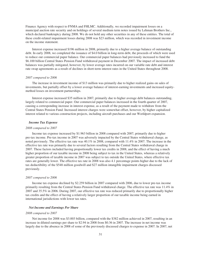Finance Agency with respect to FNMA and FHLMC. Additionally, we recorded impairment losses on a municipal auction rate security and on holdings of several medium term notes issued by Lehman Brothers Inc., which declared bankruptcy during 2008. We do not hold any other securities in any of these entities. The total of these credit-related impairment losses during 2008 was \$23 million, which was recorded in investment income on the income statement.

Interest expense increased \$196 million in 2008, primarily due to a higher average balance of outstanding debt. In early 2008, we completed the issuance of \$4.0 billion in long-term debt, the proceeds of which were used to reduce our commercial paper balance. Our commercial paper balances had previously increased to fund the \$6.100 billion Central States Pension Fund withdrawal payment in December 2007. The impact of increased debt balances was partially mitigated, however, by lower average rates incurred on our variable rate debt and interest rate swap agreements as a result of declines in short-term interest rates in the United States throughout 2008.

### *2007 compared to 2006*

The increase in investment income of \$13 million was primarily due to higher realized gains on sales of investments, but partially offset by a lower average balance of interest-earning investments and increased equitymethod losses on investment partnerships.

Interest expense increased \$35 million in 2007, primarily due to higher average debt balances outstanding, largely related to commercial paper. Our commercial paper balances increased in the fourth quarter of 2007, causing a corresponding increase in interest expense, as a result of the payment made to withdraw from the Central States Pension Fund. Increased interest charges were somewhat offset, however, by higher capitalized interest related to various construction projects, including aircraft purchases and our Worldport expansion.

### *Income Tax Expense*

### *2008 compared to 2007*

Income tax expense increased by \$1.963 billion in 2008 compared with 2007, primarily due to higher pre-tax income. Pre-tax income in 2007 was adversely impacted by the Central States withdrawal charge, as noted previously. The effective tax rate was 40.1% in 2008, compared with 11.4% in 2007. The increase in the effective tax rate was primarily due to several factors resulting from the Central States withdrawal charge in 2007. These factors included having proportionally lower tax credits in 2008, and the effect of having a much higher proportion of our taxable income in 2008 being subject to tax in the United States, whereas a relatively greater proportion of taxable income in 2007 was subject to tax outside the United States, where effective tax rates are generally lower. The effective tax rate in 2008 was also 4.1 percentage points higher due to the lack of tax deductibility of the \$548 million goodwill and \$27 million intangible impairment charges discussed previously.

### *2007 compared to 2006*

Income tax expense declined by \$2.259 billion in 2007 compared with 2006, due to lower pre-tax income primarily resulting from the Central States Pension Fund withdrawal charge. The effective tax rate was 11.4% in 2007 and 35.5% in 2006. During 2007, our effective tax rate was reduced primarily due to proportionally higher tax credits and the effect of having a relatively larger proportion of our taxable income being earned in international jurisdictions with lower tax rates.

#### *Net Income and Earnings Per Share*

### *2008 compared to 2007*

Net income for 2008 was \$3.003 billion, compared with the \$382 million achieved in 2007, resulting in an increase in diluted earnings per share to \$2.94 in 2008 from \$0.36 in 2007. The increase in net income was largely due to the absence in 2008 of some of the previously discussed charges to expense in 2007. In 2007, net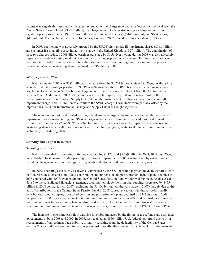income was negatively impacted by the after-tax impact of the charge recorded to reflect our withdrawal from the Central States Pension Fund (\$3.772 billion), the charge related to the restructuring and disposal of certain logistics operations in France (\$31 million), the aircraft impairment charge (\$141 million), and SVSO charge (\$43 million). The combination of these four charges reduced 2007 diluted earnings per share by \$3.75.

In 2008, net income was adversely affected by the UPS Freight goodwill impairment charge (\$548 million) and customer list intangible asset impairment charge in the United Kingdom (\$27 million). The combination of these two charges reduced 2008 diluted earnings per share by \$0.56. Net income during 2008 was also adversely impacted by the deteriorating worldwide economic situation, as previously discussed. Earnings per share was favorably impacted by a reduction in outstanding shares as a result of our ongoing share repurchase program, as the total number of outstanding shares declined by 4.3% during 2008.

### *2007 compared to 2006*

Net income for 2007 was \$382 million, a decrease from the \$4.202 billion achieved in 2006, resulting in a decrease in diluted earnings per share to \$0.36 in 2007 from \$3.86 in 2006. This decrease in net income was largely due to the after-tax \$3.772 billion charge recorded to reflect our withdrawal from the Central States Pension Fund. Additionally, 2007 net income was adversely impacted by \$31 million as a result of the restructuring charge in our France Supply Chain & Freight business, \$141 million as a result of the aircraft impairment charge, and \$43 million as a result of the SVSO charge. These items were partially offset by the improved results in our International Package and Supply Chain & Freight segments.

The reduction in basic and diluted earnings per share were largely due to the pension withdrawal, aircraft impairment, France restructuring, and SVSO charges noted above. These items reduced basic and diluted earnings per share by \$3.77 and \$3.75 in 2007. Earnings per share was favorably impacted by a reduction in outstanding shares as a result of our ongoing share repurchase program, as the total number of outstanding shares declined by 2.7% during 2007.

### **Liquidity and Capital Resources**

#### *Operating Activities*

Net cash provided by operating activities was \$8.426, \$1.123, and \$5.589 billion in 2008, 2007, and 2006, respectively. The increase in 2008 operating cash flows compared with 2007 was impacted by several items, including changes in pension fundings, tax payments and refunds, and rates for our delivery services.

In 2007, operating cash flow was adversely impacted by the \$6.100 billion payment made to withdraw from the Central States Pension Fund. Total contributions to our pension and postretirement benefit plans declined in 2008 compared with 2007, even excluding the Central States Pension Fund withdrawal payment. As discussed in Note 5 to the consolidated financial statements, total multiemployer pension plan fundings decreased by \$473 million in 2008 compared with 2007 (excluding the \$6.100 billion withdrawal charge in 2007), largely due to the lack of contributions to the Central States Pension Fund in 2008 subsequent to our withdrawal. Additionally, contributions to our company-sponsored pension and postretirement plans declined by \$441 million in 2008 compared with 2007, as we had no material minimum funding requirements in 2008 and we made no significant discretionary contributions to our plans. As discussed further in the "Contractual Commitments" section, we do have minimum funding requirements in the next several years, primarily related to the UPS IBT Pension Plan.

The increase in operating cash flow was also favorably impacted by the timing of tax refunds and estimated tax payments in both 2008 and 2007. In 2008, we received an \$850 million U.S. federal tax refund due to prior overpayments of our estimated tax liability, primarily resulting from the deductibility of the Central States Pension Fund withdrawal payment for tax purposes. Additionally, the amount of U.S. federal quarterly estimated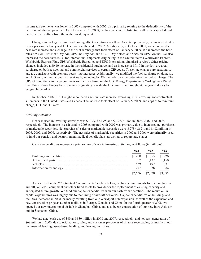income tax payments was lower in 2007 compared with 2006, also primarily relating to the deductibility of the pension withdrawal payment. As of December 31, 2008, we have received substantially all of the expected cash tax benefits resulting from the withdrawal payment.

Changes in package volume and pricing affect operating cash flow. As noted previously, we increased rates in our package delivery and LTL services at the end of 2007. Additionally, in October 2008, we announced a base rate increase and a change in the fuel surcharge that took effect on January 5, 2009. We increased the base rates 6.9% on UPS Next Day Air, UPS 2nd Day Air, and UPS 3 Day Select, and 5.9% on UPS Ground. We also increased the base rates 6.9% for international shipments originating in the United States (Worldwide Express, Worldwide Express Plus, UPS Worldwide Expedited and UPS International Standard service). Other pricing changes included a \$0.10 increase in the residential surcharge, and an increase of \$0.10 in the delivery area surcharge on both residential and commercial services to certain ZIP codes. These rate changes are customary, and are consistent with previous years' rate increases. Additionally, we modified the fuel surcharge on domestic and U.S.-origin international air services by reducing by 2% the index used to determine the fuel surcharge. The UPS Ground fuel surcharge continues to fluctuate based on the U.S. Energy Department's On-Highway Diesel Fuel Price. Rate changes for shipments originating outside the U.S. are made throughout the year and vary by geographic market.

In October 2008, UPS Freight announced a general rate increase averaging 5.9% covering non-contractual shipments in the United States and Canada. The increase took effect on January 5, 2009, and applies to minimum charge, LTL and TL rates.

### *Investing Activities*

Net cash used in investing activities was \$3.179, \$2.199, and \$2.340 billion in 2008, 2007, and 2006, respectively. The increase in cash used in 2008 compared with 2007 was primarily due to increased net purchases of marketable securities. Net (purchases) sales of marketable securities were (\$278), \$621, and \$482 million in 2008, 2007, and 2006, respectively. The net sales of marketable securities in 2007 and 2006 were primarily used to fund our pension and postretirement medical benefit plans, as well as to repurchase shares.

Capital expenditures represent a primary use of cash in investing activities, as follows (in millions):

| 2008 | 2007                    | 2006 |
|------|-------------------------|------|
|      |                         |      |
| 852  | 1.137 1.150             |      |
| 539  | 492                     | 831  |
|      | 338                     | 384  |
|      | \$2,636 \$2,820 \$3,085 |      |

As described in the "Contractual Commitments" section below, we have commitments for the purchase of aircraft, vehicles, equipment and other fixed assets to provide for the replacement of existing capacity and anticipated future growth. We fund our capital expenditures with our cash from operations. The reduction in capital expenditures was largely due to the timing of aircraft deliveries. Capital expenditures on buildings and facilities increased in 2008, primarily resulting from our Worldport hub expansion, as well as the expansion and new construction projects at other facilities in Europe, Canada, and China. In the fourth quarter of 2008, we opened our new international air hub in Shanghai, China, and also began construction of our new intra-Asia air hub in Shenzhen, China.

We had a net cash use of \$49 and \$39 million in 2008 and 2007, respectively, and net cash generation of \$68 million in 2006, due to originations, sales, and customer paydowns of finance receivables, primarily in our commercial lending, asset-based lending, and leasing portfolios.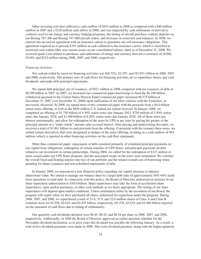Other investing activities reflected a cash outflow of \$363 million in 2008 as compared with a \$46 million outflow in 2007 and a \$120 million cash inflow in 2006, and was impacted by cash settlements of derivative contracts used in our energy and currency hedging programs, the timing of aircraft purchase contract deposits on our Boeing 767-300 and Boeing 747-400 aircraft orders, and increases in restricted cash balances. In 2008, we entered into an escrow agreement with an insurance carrier to guarantee our self-insurance obligations. This agreement required us to provide \$191 million in cash collateral to the insurance carrier, which is classified as restricted cash within other non-current assets on our consolidated balance sheet as of December 31, 2008. We received (paid) cash related to purchases and settlements of energy and currency derivative contracts of (\$208), (\$140), and \$233 million during 2008, 2007, and 2006, respectively.

### *Financing Activities*

Net cash provided by (used in) financing activities was \$(6.702), \$2.297, and (\$3.851) billion in 2008, 2007, and 2006, respectively. Our primary uses of cash flows for financing activities are to repurchase shares, pay cash dividends, and make debt principal repayments.

We repaid debt principal, net of issuances, of \$921 million in 2008, compared with net issuances of debt of \$6.509 billion in 2007. In 2007, we increased our commercial paper borrowings to fund the \$6.100 billion withdrawal payment to the Central States Pension Fund (commercial paper increased \$6.575 billion at December 31, 2007 over December 31, 2006) upon ratification of our labor contract with the Teamsters, as previously discussed. In 2008, we repaid most of this commercial paper with the proceeds from a \$4.0 billion senior notes offering, as well as the \$850 million U.S. federal tax refund received. In January 2008, we completed an offering of \$1.750 billion of 4.50% senior notes due January 2013, \$750 million of 5.50% senior notes due January 2018, and \$1.500 billion of 6.20% senior notes due January 2038. All of these notes pay interest semiannually, and allow for redemption of the notes by UPS at any time by paying the greater of the principal amount or a "make-whole" amount, plus accrued interest. After pricing and underwriting discounts, we received a total of \$3.961 billion in cash proceeds from the offering. Concurrent with the issuance these notes, we settled certain derivatives that were designated as hedges of the notes offering, resulting in a cash outflow of \$84 million (which is reported in other financing activities on the cash flow statement).

Other than commercial paper, repayments of debt consisted primarily of scheduled principal payments on our capital lease obligations, redemption of certain tranches of UPS Notes, and principal payments on debt related to our investment in certain partnerships. During 2008, we called for the redemption of \$327 million of notes issued under our UPS Notes program, and the associated swaps on the notes were terminated. We consider the overall fixed and floating interest rate mix of our portfolio and the related overall cost of borrowing when planning for future issuances and non-scheduled repayments of debt.

In January 2008, we announced a new financial policy regarding our capital structure to enhance shareowner value. We intend to manage our balance sheet to a target debt ratio of approximately 50%-60% funds from operations to total debt. In connection with this policy, the Board of Directors authorized an increase in our share repurchase authorization to \$10.0 billion. Share repurchases may take the form of accelerated share repurchases, open market purchases, or other such methods as we deem appropriate. The timing of our share repurchases will depend upon market conditions. Unless terminated earlier by the resolution of our Board, the program will expire when we have purchased all shares authorized for repurchase under the program. During 2008, 2007, and 2006, we repurchased a total of 53.6, 35.9, and 32.6 million shares of Class A and Class B common stock for \$3.558, \$2.618, and \$2.455 billion, respectively (\$3.570, \$2.639, and \$2.460 billion reported on the statement of cash flows due to timing of settlements).

Our quarterly cash dividends declared were \$0.45, \$0.42, and \$0.38 per share in 2008, 2007, and 2006, respectively. Additionally, in 2008 the Board of Directors approved an earlier payment schedule for the November dividend declaration, as in prior years this dividend was payable the following January. As a result, a total of five dividend payments were made in 2008. This extra dividend payment, along with the higher quarterly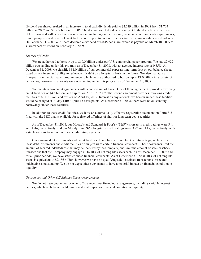dividend per share, resulted in an increase in total cash dividends paid to \$2.219 billion in 2008 from \$1.703 billion in 2007 and \$1.577 billion in 2006. The declaration of dividends is subject to the discretion of the Board of Directors and will depend on various factors, including our net income, financial condition, cash requirements, future prospects, and other relevant factors. We expect to continue the practice of paying regular cash dividends. On February 11, 2009, our Board declared a dividend of \$0.45 per share, which is payable on March 10, 2009 to shareowners of record on February 23, 2009.

### *Sources of Credit*

We are authorized to borrow up to \$10.0 billion under our U.S. commercial paper program. We had \$2.922 billion outstanding under this program as of December 31, 2008, with an average interest rate of 0.55%. At December 31, 2008, we classified \$1.0 billion of our commercial paper as long-term debt on our balance sheet, based on our intent and ability to refinance this debt on a long-term basis in the future. We also maintain a European commercial paper program under which we are authorized to borrow up to  $\epsilon$ 1.0 billion in a variety of currencies, however no amounts were outstanding under this program as of December 31, 2008.

We maintain two credit agreements with a consortium of banks. One of these agreements provides revolving credit facilities of \$4.5 billion, and expires on April 16, 2009. The second agreement provides revolving credit facilities of \$1.0 billion, and expires on April 19, 2012. Interest on any amounts we borrow under these facilities would be charged at 90-day LIBOR plus 15 basis points. At December 31, 2008, there were no outstanding borrowings under these facilities.

In addition to these credit facilities, we have an automatically effective registration statement on Form S-3 filed with the SEC that is available for registered offerings of short or long-term debt securities.

As of December 31, 2008, our Moody's and Standard & Poor's ("S&P") short-term credit ratings were P-1 and A-1+, respectively, and our Moody's and S&P long-term credit ratings were Aa2 and AA-, respectively, with a stable outlook from both of these credit rating agencies.

Our existing debt instruments and credit facilities do not have cross-default or ratings triggers, however these debt instruments and credit facilities do subject us to certain financial covenants. These covenants limit the amount of secured indebtedness that may be incurred by the Company, and limit the amount of sale-leaseback transactions that the Company may engage in, to 10% of net tangible assets each. As of December 31, 2008 and for all prior periods, we have satisfied these financial covenants. As of December 31, 2008, 10% of net tangible assets is equivalent to \$2.156 billion, however we have no qualifying sale-leaseback transactions or secured indebtedness outstanding. We do not expect these covenants to have a material impact on financial condition or liquidity.

### *Guarantees and Other Off-Balance Sheet Arrangements*

We do not have guarantees or other off-balance sheet financing arrangements, including variable interest entities, which we believe could have a material impact on financial condition or liquidity.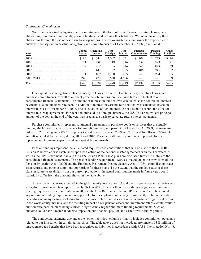### *Contractual Commitments*

We have contractual obligations and commitments in the form of capital leases, operating leases, debt obligations, purchase commitments, pension fundings, and certain other liabilities. We intend to satisfy these obligations through the use of cash flow from operations. The following table summarizes the expected cash outflow to satisfy our contractual obligations and commitments as of December 31, 2008 (in millions):

| Year                                                          | Capital<br><b>Leases</b> | <b>Operating</b><br><b>Leases</b> | Debt<br><b>Principal</b> | Debt<br><b>Interest</b> | <b>Purchase</b><br><b>Commitments</b> | <b>Pension</b><br><b>Fundings</b> | <b>Other</b><br><b>Liabilities</b> |
|---------------------------------------------------------------|--------------------------|-----------------------------------|--------------------------|-------------------------|---------------------------------------|-----------------------------------|------------------------------------|
|                                                               |                          | \$344                             | \$2,007                  | \$ 331                  | \$ 708                                | \$ 778                            | \$74                               |
|                                                               | 121                      | 288                               | 18                       | 326                     | 658                                   | 593                               | 71                                 |
|                                                               | 29                       | 217                               |                          | 326                     | 667                                   | 828                               | -69                                |
| 2012                                                          | 30                       | 147                               | 22                       | 325                     | 406                                   | 945                               | 67                                 |
|                                                               | 31                       | 109                               | 1.768                    | 285                     |                                       | 964                               | -65                                |
|                                                               | 246                      | 423                               | 5.658                    | 4.526                   |                                       |                                   | 139                                |
| $Total \dots \dots \dots \dots \dots \dots \dots \dots \dots$ | \$540                    | \$1,528                           | \$9.478                  | \$6.119                 | \$2,439                               | \$4,108                           | \$485                              |

Our capital lease obligations relate primarily to leases on aircraft. Capital leases, operating leases, and purchase commitments, as well as our debt principal obligations, are discussed further in Note 8 to our consolidated financial statements. The amount of interest on our debt was calculated as the contractual interest payments due on our fixed-rate debt, in addition to interest on variable rate debt that was calculated based on interest rates as of December 31, 2008. The calculations of debt interest do not take into account the effect of interest rate swap agreements. For debt denominated in a foreign currency, the U.S. Dollar equivalent principal amount of the debt at the end of the year was used as the basis to calculate future interest payments.

Purchase commitments represent contractual agreements to purchase goods or services that are legally binding, the largest of which are orders for aircraft, engines, and parts. As of December 31, 2008, we maintain orders for 27 Boeing 767-300ER freighters to be delivered between 2009 and 2012, and five Boeing 747-400F aircraft scheduled for delivery during 2009 and 2010. These aircraft purchase orders will provide for the replacement of existing capacity and anticipated future growth.

Pension fundings represent the anticipated required cash contributions that will be made to the UPS IBT Pension Plan, which was established upon ratification of the national master agreement with the Teamsters, as well as the UPS Retirement Plan and the UPS Pension Plan. These plans are discussed further in Note 5 to the consolidated financial statements. The pension funding requirements were estimated under the provisions of the Pension Protection Act of 2006 and the Employee Retirement Income Security Act of 1974, using discount rates, asset returns, and other assumptions appropriate for these plans. To the extent that the funded status of these plans in future years differs from our current projections, the actual contributions made in future years could materially differ from the amounts shown in the table above.

As a result of losses experienced in the global equity markets, our U.S. domestic pension plans experienced a negative return on assets of approximately 26% in 2008, however these losses did not trigger any minimum funding requirement for contributions in 2009 in the UPS Retirement Plan or UPS Pension Plan. The amount of any minimum funding requirement, as applicable, for these plans could change significantly in future periods, depending on many factors, including future plan asset returns and discount rates. A sustained significant decline in the world equity markets, and the resulting impact on our pension assets and investment returns, could result in our domestic pension plans being subject to significantly higher minimum funding requirements. Such an outcome could have a material adverse impact on our financial position and cash flows in future periods.

The contractual payments due under the "other liabilities" column primarily includes commitment payments related to our investment in certain partnerships. The table above does not include approximately \$388 million of unrecognized tax benefits that have been recognized as liabilities in accordance with FASB Interpretation No. 48,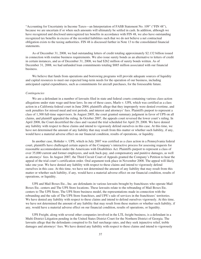"Accounting for Uncertainty in Income Taxes—an Interpretation of FASB Statement No. 109" ("FIN 48"), because we are uncertain if or when such amounts will ultimately be settled in cash. In addition, although we have recognized and disclosed unrecognized tax benefits in accordance with FIN 48, we also have outstanding recognized tax benefits in excess of the recorded liabilities such that we do not believe a net contractual obligation exists to the taxing authorities. FIN 48 is discussed further in Note 13 to the consolidated financial statements.

As of December 31, 2008, we had outstanding letters of credit totaling approximately \$2.132 billion issued in connection with routine business requirements. We also issue surety bonds as an alternative to letters of credit in certain instances, and as of December 31, 2008, we had \$262 million of surety bonds written. As of December 31, 2008, we had unfunded loan commitments totaling \$885 million associated with our financial business.

We believe that funds from operations and borrowing programs will provide adequate sources of liquidity and capital resources to meet our expected long-term needs for the operation of our business, including anticipated capital expenditures, such as commitments for aircraft purchases, for the foreseeable future.

### *Contingencies*

We are a defendant in a number of lawsuits filed in state and federal courts containing various class-action allegations under state wage-and-hour laws. In one of these cases, Marlo v. UPS, which was certified as a class action in a California federal court in June 2004, plaintiffs allege that they improperly were denied overtime, and seek penalties for missed meal and rest periods, and interest and attorneys' fees. Plaintiffs purport to represent a class of 1,300 full-time supervisors. In August 2005, the court granted summary judgment in favor of UPS on all claims, and plaintiff appealed the ruling. In October 2007, the appeals court reversed the lower court's ruling. In April 2008, the Court decertified the class and vacated the trial scheduled for April 29, 2008. We have denied any liability with respect to these claims and intend to vigorously defend ourselves in this case. At this time, we have not determined the amount of any liability that may result from this matter or whether such liability, if any, would have a material adverse effect on our financial condition, results of operations, or liquidity.

In another case, Hohider v. UPS, which in July 2007 was certified as a class action in a Pennsylvania federal court, plaintiffs have challenged certain aspects of the Company's interactive process for assessing requests for reasonable accommodation under the Americans with Disabilities Act. Plaintiffs purport to represent a class of over 35,000 current and former employees, and seek back-pay, and compensatory and punitive damages, as well as attorneys' fees. In August 2007, the Third Circuit Court of Appeals granted the Company's Petition to hear the appeal of the trial court's certification order. Oral argument took place in November 2008. The appeal will likely take one year. We have denied any liability with respect to these claims and intend to vigorously defend ourselves in this case. At this time, we have not determined the amount of any liability that may result from this matter or whether such liability, if any, would have a material adverse effect on our financial condition, results of operations, or liquidity.

UPS and Mail Boxes Etc., Inc. are defendants in various lawsuits brought by franchisees who operate Mail Boxes Etc. centers and The UPS Store locations. These lawsuits relate to the rebranding of Mail Boxes Etc. centers to The UPS Store, The UPS Store business model, the representations made in connection with the rebranding and the sale of The UPS Store franchises, and UPS's sale of services in the franchisees' territories. We have denied any liability with respect to these claims and intend to defend ourselves vigorously. At this time, we have not determined the amount of any liability that may result from these matters or whether such liability, if any, would have a material adverse effect on our financial condition, results of operations, or liquidity.

UPS Freight, along with several other companies involved in the LTL freight business, is a defendant in a Multi-District Litigation pending in the United States District Court for the Northern District of Georgia. The lawsuits allege that the defendants conspired to fix fuel surcharge rates, and they seek injunctive relief, treble damages and attorneys' fees. We have denied any liability with respect to these claims and intend to vigorously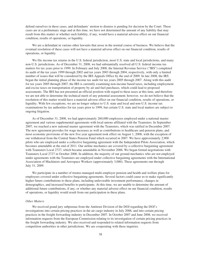defend ourselves in these cases, and defendants' motion to dismiss is pending for decision by the Court. These cases are at a preliminary stage and at this time, we have not determined the amount of any liability that may result from this matter or whether such liability, if any, would have a material adverse effect on our financial condition, results of operations, or liquidity.

We are a defendant in various other lawsuits that arose in the normal course of business. We believe that the eventual resolution of these cases will not have a material adverse effect on our financial condition, results of operations, or liquidity.

We file income tax returns in the U.S. federal jurisdiction, most U.S. state and local jurisdictions, and many non-U.S. jurisdictions. As of December 31, 2008, we had substantially resolved all U.S. federal income tax matters for tax years prior to 1999. In February and July 2008, the Internal Revenue Service ("IRS") completed its audit of the tax years 1999 through 2002 and tax years 2003 through 2004, respectively, with only a limited number of issues that will be considered by the IRS Appeals Office by the end of 2009. In late 2008, the IRS began the initial planning phase of the income tax audit for tax years 2005 through 2007. Along with this audit for tax years 2005 through 2007, the IRS is currently examining non-income based taxes, including employment and excise taxes on transportation of property by air and fuel purchases, which could lead to proposed assessments. The IRS has not presented an official position with regard to these taxes at this time, and therefore we are not able to determine the technical merit of any potential assessment; however, we do not believe that the resolution of this matter would have a material adverse effect on our financial condition, results of operations, or liquidity. With few exceptions, we are no longer subject to U.S. state and local and non-U.S. income tax examinations by tax authorities for tax years prior to 1999, but certain U.S. state and local matters are subject to ongoing litigation.

As of December 31, 2008, we had approximately 260,000 employees employed under a national master agreement and various supplemental agreements with local unions affiliated with the Teamsters. In September 2007, we reached a new national master agreement with the Teamsters, which was ratified in December 2007. The new agreement provides for wage increases as well as contributions to healthcare and pension plans, and most economic provisions of the new five year agreement took effect on August 1, 2008, with the exception of our withdrawal from the Central States Pension Fund which occurred in 2007. We have approximately 2,900 pilots who are employed under a collective bargaining agreement with the Independent Pilots Association, which becomes amendable at the end of 2011. Our airline mechanics are covered by a collective bargaining agreement with Teamsters Local 2727, which became amendable in November 2006. We began formal negotiations with Teamsters Local 2727 in October 2006. In addition, the majority of our ground mechanics who are not employed under agreements with the Teamsters are employed under collective bargaining agreements with the International Association of Machinists and Aerospace Workers (approximately 3,000). These agreements run through July 31, 2009.

We participate in a number of trustee-managed multi-employer pension and health and welfare plans for employees covered under collective bargaining agreements. Several factors could cause us to make significantly higher future contributions to these plans, including unfavorable investment performance, changes in demographics, and increased benefits to participants. At this time, we are unable to determine the amount of additional future contributions, if any, or whether any material adverse effect on our financial condition, results of operations, or liquidity would result from our participation in these plans.

### *Other Matters*

We received grand jury subpoenas from the Antitrust Division of the DOJ regarding the DOJ's investigations into certain pricing practices in the air cargo industry in July 2006, and into certain pricing practices in the freight forwarding industry in December 2007. In October 2007 and June 2008, we received information requests from the European Commission relating to its investigation of certain pricing practices in the freight forwarding industry. We also received and responded to related information requests from competition authorities in other jurisdictions. We are cooperating with these inquiries.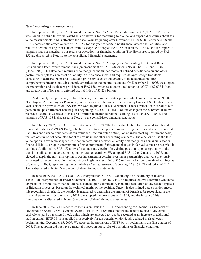### **New Accounting Pronouncements**

In September 2006, the FASB issued Statement No. 157 "Fair Value Measurements" ("FAS 157"), which was issued to define fair value, establish a framework for measuring fair value, and expand disclosures about fair value measurements, and is effective for fiscal years beginning after November 15, 2007. In February 2008, the FASB deferred the effective date of FAS 157 for one year for certain nonfinancial assets and liabilities, and removed certain leasing transactions from its scope. We adopted FAS 157 on January 1, 2008, and the impact of adoption was not material to our results of operations or financial condition. The disclosures required by FAS 157 are discussed in Note 16 to the consolidated financial statements.

In September 2006, the FASB issued Statement No. 158 "Employers' Accounting for Defined Benefit Pension and Other Postretirement Plans (an amendment of FASB Statements No. 87, 88, 106, and 132(R))" ("FAS 158"). This statement requires us to recognize the funded status of defined benefit pension and other postretirement plans as an asset or liability in the balance sheet, and required delayed recognition items, consisting of actuarial gains and losses and prior service costs and credits, to be recognized in other comprehensive income and subsequently amortized to the income statement. On December 31, 2006, we adopted the recognition and disclosure provisions of FAS 158, which resulted in a reduction to AOCI of \$2.097 billion and a reduction of long-term deferred tax liabilities of \$1.258 billion.

Additionally, we previously utilized the early measurement date option available under Statement No. 87 "Employers' Accounting for Pensions", and we measured the funded status of our plans as of September 30 each year. Under the provisions of FAS 158, we were required to use a December 31 measurement date for all of our pension and postretirement benefit plans beginning in 2008. As a result of this change in measurement date, we recorded a cumulative effect after-tax \$44 million reduction to retained earnings as of January 1, 2008. The adoption of FAS 158 is discussed in Note 5 to the consolidated financial statements.

In February 2007, the FASB issued Statement No. 159 "The Fair Value Option for Financial Assets and Financial Liabilities" ("FAS 159"), which gives entities the option to measure eligible financial assets, financial liabilities and firm commitments at fair value (i.e., the fair value option), on an instrument-by-instrument basis, that are otherwise not accounted for at fair value under other accounting standards. The election to use the fair value option is available at specified election dates, such as when an entity first recognizes a financial asset or financial liability or upon entering into a firm commitment. Subsequent changes in fair value must be recorded in earnings. Additionally, FAS 159 allows for a one-time election for existing positions upon adoption, with the transition adjustment recorded to beginning retained earnings. We adopted FAS 159 on January 1, 2008, and elected to apply the fair value option to our investment in certain investment partnerships that were previously accounted for under the equity method. Accordingly, we recorded a \$16 million reduction to retained earnings as of January 1, 2008, representing the cumulative effect adjustment of adopting FAS 159. The adoption of FAS 159 is discussed in Note 16 to the consolidated financial statements.

In June 2006, the FASB issued FASB Interpretation No. 48, "Accounting for Uncertainty in Income Taxes—an Interpretation of FASB Statement No. 109" ("FIN 48"). FIN 48 requires that we determine whether a tax position is more likely than not to be sustained upon examination, including resolution of any related appeals or litigation processes, based on the technical merits of the position. Once it is determined that a position meets this recognition threshold, the position is measured to determine the amount of benefit to be recognized in the financial statements. On January 1, 2007, we adopted the provisions of FIN 48, and the impact of this Interpretation is discussed in Note 13 to the consolidated financial statements.

In June 2007, the EITF reached consensus on Issue No. 06-11, "Accounting for Income Tax Benefits of Dividends on Share-Based Payment Awards." EITF 06-11 requires that the tax benefit related to dividend equivalents paid on restricted stock units, which are expected to vest, be recorded as an increase to additional paid-in capital. EITF 06-11 is applied prospectively for tax benefits on dividends declared in fiscal years beginning after December 15, 2007. We adopted the provisions of EITF 06-11 beginning in the first quarter of 2008. This adoption did not have a material impact on our results of operations or financial condition.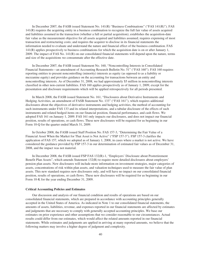In December 2007, the FASB issued Statement No. 141(R) "Business Combinations" ("FAS 141(R)"). FAS 141(R) requires the acquiring entity in a business combination to recognize the full fair value of assets acquired and liabilities assumed in the transaction (whether a full or partial acquisition); establishes the acquisition-date fair value as the measurement objective for all assets acquired and liabilities assumed; requires expensing of most transaction and restructuring costs; and requires the acquirer to disclose in its financial statements the information needed to evaluate and understand the nature and financial effect of the business combination. FAS 141(R) applies prospectively to business combinations for which the acquisition date is on or after January 1, 2009. The impact of FAS No. 141(R) on our consolidated financial statements will depend upon the nature, terms and size of the acquisitions we consummate after the effective date.

In December 2007, the FASB issued Statement No. 160, "Noncontrolling Interests in Consolidated Financial Statements—an amendment of Accounting Research Bulletin No. 51" ("FAS 160"). FAS 160 requires reporting entities to present noncontrolling (minority) interests as equity (as opposed to as a liability or mezzanine equity) and provides guidance on the accounting for transactions between an entity and noncontrolling interests. As of December 31, 2008, we had approximately \$5 million in noncontrolling interests classified in other non-current liabilities. FAS 160 applies prospectively as of January 1, 2009, except for the presentation and disclosure requirements which will be applied retrospectively for all periods presented.

In March 2008, the FASB issued Statement No. 161, "Disclosures about Derivative Instruments and Hedging Activities, an amendment of FASB Statement No. 133" ("FAS 161"), which requires additional disclosures about the objectives of derivative instruments and hedging activities, the method of accounting for such instruments under FAS 133 and its related interpretations, and a tabular disclosure of the effects of such instruments and related hedged items on our financial position, financial performance, and cash flows. We adopted FAS 161 on January 1, 2009. FAS 161 only impacts our disclosures, and does not impact our financial position, results of operations, or cash flows. These new disclosures will be required for us beginning in our Form 10-Q for the quarter ended March 31, 2009.

In October 2008, the FASB issued Staff Position No. FAS 157-3, "Determining the Fair Value of a Financial Asset When the Market for That Asset is Not Active" ("FSP 157-3"). FSP 157-3 clarifies the application of FAS 157, which we adopted as of January 1, 2008, in cases where a market is not active. We have considered the guidance provided by FSP 157-3 in our determination of estimated fair values as of December 31, 2008, and the impact was not material.

In December 2008, the FASB issued FSP FAS 132(R)-1, "Employers' Disclosure about Postretirement Benefit Plan Assets", which amends Statement 132(R) to require more detailed disclosures about employers' pension plan assets. New disclosures will include more information on investment strategies, major categories of assets, concentrations of risk within plan assets, and valuation techniques used to measure the fair value of plan assets. This new standard requires new disclosures only, and will have no impact on our consolidated financial position, results of operations, or cash flows. These new disclosures will be required for us beginning in our Form 10-K for the year ending December 31, 2009.

### **Critical Accounting Policies and Estimates**

Our discussion and analysis of our financial condition and results of operations are based on our consolidated financial statements, which are prepared in accordance with accounting principles generally accepted in the United States of America. As indicated in Note 1 to our consolidated financial statements, the amounts of assets, liabilities, revenue, and expenses reported in our financial statements are affected by estimates and judgments that are necessary to comply with generally accepted accounting principles. We base our estimates on prior experience and other assumptions that we consider reasonable to our circumstances. Actual results could differ from our estimates, which would affect the related amounts reported in our financial statements. While estimates and judgments are applied in arriving at many reported amounts, we believe that the following matters may involve a higher degree of judgment and complexity.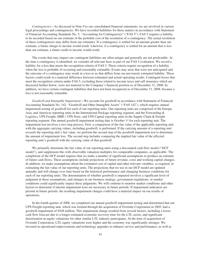*Contingencies*—As discussed in Note 9 to our consolidated financial statements, we are involved in various legal proceedings and contingencies. We have recorded liabilities for these matters in accordance with Statement of Financial Accounting Standards No. 5, "Accounting for Contingencies" ("FAS 5"). FAS 5 requires a liability to be recorded based on our estimate of the probable cost of the resolution of a contingency. The actual resolution of these contingencies may differ from our estimates. If a contingency is settled for an amount greater than our estimate, a future charge to income would result. Likewise, if a contingency is settled for an amount that is less than our estimate, a future credit to income would result.

The events that may impact our contingent liabilities are often unique and generally are not predictable. At the time a contingency is identified, we consider all relevant facts as part of our FAS 5 evaluation. We record a liability for a loss that meets the recognition criteria of FAS 5. These criteria require recognition of a liability when the loss is probable of occurring and reasonably estimable. Events may arise that were not anticipated and the outcome of a contingency may result in a loss to us that differs from our previously estimated liability. These factors could result in a material difference between estimated and actual operating results. Contingent losses that meet the recognition criteria under FAS 5, excluding those related to income taxes and self insurance which are discussed further below, were not material to the Company's financial position as of December 31, 2008. In addition, we have certain contingent liabilities that have not been recognized as of December 31, 2008, because a loss is not reasonably estimable.

*Goodwill and Intangible Impairment*—We account for goodwill in accordance with Statement of Financial Accounting Standards No. 142, "Goodwill and Other Intangible Assets" ("FAS 142"), which requires annual impairment testing of goodwill for each of our reporting units. Our reporting units are comprised of the Europe, Asia, and Americas reporting units in the International Package reporting segment, and the Forwarding & Logistics, UPS Freight, MBE / UPS Store, and UPS Capital reporting units in the Supply Chain & Freight reporting segment. Our annual goodwill impairment testing date is October 1st for each reporting unit. The impairment test involves a two-step process. First, a comparison of the fair value of the applicable reporting unit with the aggregate carrying values, including goodwill, is performed. If the carrying amount of a reporting unit exceeds the reporting unit's fair value, we perform the second step of the goodwill impairment test to determine the amount of impairment loss. The second step includes comparing the implied fair value of the affected reporting unit's goodwill with the carrying value of that goodwill.

We primarily determine the fair value of our reporting units using a discounted cash flow model ("DCF model"), and supplement this with observable valuation multiples for comparable companies, as applicable. The completion of the DCF model requires that we make a number of significant assumptions to produce an estimate of future cash flows. These assumptions include projections of future revenue, costs and working capital changes. In addition, we make assumptions about the estimated cost of capital and other relevant variables, as required, in estimating the fair value of our reporting units. The projections that we use in our DCF model are updated annually and will change over time based on the historical performance and changing business conditions for each of our reporting units. The determination of whether goodwill is impaired involves a significant level of judgment in these assumptions, and changes in our business strategy, government regulations, or market conditions could significantly impact these judgments. We will continue to monitor market conditions and other factors to determine if interim impairment tests are necessary in future periods. If impairment indicators are present in future periods, the resulting impairment charges could have a material impact on our results of operations.

In the fourth quarter of 2008, we completed our annual goodwill impairment testing and determined that our UPS Freight reporting unit, which was formed through the acquisition of Overnite Corporation in 2005, had a goodwill impairment of \$548 million. This impairment charge resulted from several factors, including a lower cash flow forecast due to a longer estimated economic recovery time for the LTL sector, and significant deterioration in equity valuations for other similar LTL industry participants. At the time of acquisition of Overnite Corporation, LTL equity valuations were higher and the economy was significantly stronger. We invested in operational improvements and technology upgrades to enhance service and performance, as well as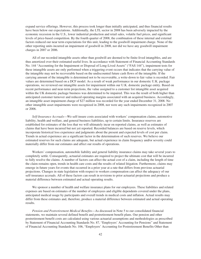expand service offerings. However, this process took longer than initially anticipated, and thus financial results have been below our expectations. Additionally, the LTL sector in 2008 has been adversely impacted by the economic recession in the U.S., lower industrial production and retail sales, volatile fuel prices, and significant levels of price-based competition. By the fourth quarter of 2008, the combination of these internal and external factors reduced our near term expectations for this unit, leading to the goodwill impairment charge. None of the other reporting units incurred an impairment of goodwill in 2008, nor did we have any goodwill impairment charges in 2007 or 2006.

All of our recorded intangible assets other than goodwill are deemed to be finite-lived intangibles, and are thus amortized over their estimated useful lives. In accordance with Statement of Financial Accounting Standards No. 144 "Accounting for the Impairment or Disposal of Long-Lived Assets" ("FAS 144"), impairment tests for these intangible assets are only performed when a triggering event occurs that indicates that the carrying value of the intangible may not be recoverable based on the undiscounted future cash flows of the intangible. If the carrying amount of the intangible is determined not to be recoverable, a write-down to fair value is recorded. Fair values are determined based on a DCF model. As a result of weak performance in our domestic U.K. package operations, we reviewed our intangible assets for impairment within our U.K. domestic package entity. Based on recent performance and near-term projections, the value assigned to a customer list intangible asset acquired within the UK domestic package business was determined to be impaired. This was the result of both higher than anticipated customer turnover and reduced operating margins associated with an acquired business. Accordingly, an intangible asset impairment charge of \$27 million was recorded for the year ended December 31, 2008. No other intangible asset impairments were recognized in 2008, nor were any such impairments recognized in 2007 or 2006.

*Self-Insurance Accruals*—We self-insure costs associated with workers' compensation claims, automotive liability, health and welfare, and general business liabilities, up to certain limits. Insurance reserves are established for estimates of the loss that we will ultimately incur on reported claims, as well as estimates of claims that have been incurred but not yet reported. Recorded balances are based on reserve levels, which incorporate historical loss experience and judgments about the present and expected levels of cost per claim. Trends in actual experience are a significant factor in the determination of such reserves. We believe our estimated reserves for such claims are adequate, but actual experience in claim frequency and/or severity could materially differ from our estimates and affect our results of operations.

Workers' compensation, automobile liability and general liability insurance claims may take several years to completely settle. Consequently, actuarial estimates are required to project the ultimate cost that will be incurred to fully resolve the claims. A number of factors can affect the actual cost of a claim, including the length of time the claim remains open, trends in health care costs and the results of related litigation. Furthermore, claims may emerge in future years for events that occurred in a prior year at a rate that differs from previous actuarial projections. Changes in state legislation with respect to workers compensation can affect the adequacy of our self-insurance accruals. All of these factors can result in revisions to prior actuarial projections and produce a material difference between estimated and actual operating results.

We sponsor a number of health and welfare insurance plans for our employees. These liabilities and related expenses are based on estimates of the number of employees and eligible dependents covered under the plans, anticipated medical usage by participants and overall trends in medical costs and inflation. Actual results may differ from these estimates and, therefore, produce a material difference between estimated and actual operating results.

*Pension and Postretirement Medical Benefits*—As discussed in Note 5 to our consolidated financial statements, we maintain several defined benefit and postretirement benefit plans. Our pension and other postretirement benefit costs are calculated using various actuarial assumptions and methodologies as prescribed by Statement of Financial Accounting Standards No. 87, "Employers' Accounting for Pensions" and Statement of Financial Accounting Standards No. 106, "Employers' Accounting for Postretirement Benefits Other than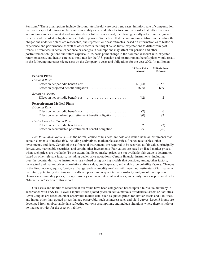Pensions." These assumptions include discount rates, health care cost trend rates, inflation, rate of compensation increases, expected return on plan assets, mortality rates, and other factors. Actual results that differ from our assumptions are accumulated and amortized over future periods and, therefore, generally affect our recognized expense and recorded obligation in such future periods. We believe that the assumptions utilized in recording the obligations under our plans are reasonable, and represent our best estimates, based on information as to historical experience and performance as well as other factors that might cause future expectations to differ from past trends. Differences in actual experience or changes in assumptions may affect our pension and other postretirement obligations and future expense. A 25 basis point change in the assumed discount rate, expected return on assets, and health care cost trend rate for the U.S. pension and postretirement benefit plans would result in the following increases (decreases) on the Company's costs and obligations for the year 2008 (in millions):

|                                                         | 25 Basis Point<br><b>Increase</b> | 25 Basis Point<br><b>Decrease</b> |
|---------------------------------------------------------|-----------------------------------|-----------------------------------|
| <b>Pension Plans</b>                                    |                                   |                                   |
| Discount Rate:                                          |                                   |                                   |
|                                                         | \$(44)                            | \$52                              |
|                                                         | (605)                             | 639                               |
| Return on Assets:                                       |                                   |                                   |
|                                                         | (42)                              | 42                                |
| <b>Postretirement Medical Plans</b>                     |                                   |                                   |
| Discount Rate:                                          |                                   |                                   |
|                                                         | (7)                               | 6                                 |
| Effect on accumulated postretirement benefit obligation | (80)                              | 82                                |
| Health Care Cost Trend Rate:                            |                                   |                                   |
|                                                         | 2                                 | (3)                               |
| Effect on accumulated postretirement benefit obligation | 25                                | [26]                              |

*Fair Value Measurements*—In the normal course of business, we hold and issue financial instruments that contain elements of market risk, including derivatives, marketable securities, finance receivables, other investments, and debt. Certain of these financial instruments are required to be recorded at fair value, principally derivatives, marketable securities, and certain other investments. Fair values are based on listed market prices, when such prices are available. To the extent that listed market prices are not available, fair value is determined based on other relevant factors, including dealer price quotations. Certain financial instruments, including over-the-counter derivative instruments, are valued using pricing models that consider, among other factors, contractual and market prices, correlations, time value, credit spreads, and yield curve volatility factors. Changes in the fixed income, equity, foreign exchange, and commodity markets will impact our estimates of fair value in the future, potentially affecting our results of operations. A quantitative sensitivity analysis of our exposure to changes in commodity prices, foreign currency exchange rates, interest rates, and equity prices is presented in the "Market Risk" section of this report.

Our assets and liabilities recorded at fair value have been categorized based upon a fair value hierarchy in accordance with FAS 157. Level 1 inputs utilize quoted prices in active markets for identical assets or liabilities. Level 2 inputs are based on other observable market data, such as quoted prices for similar assets and liabilities, and inputs other than quoted prices that are observable, such as interest rates and yield curves. Level 3 inputs are developed from unobservable data reflecting our own assumptions, and include situations where there is little or no market activity for the asset or liability.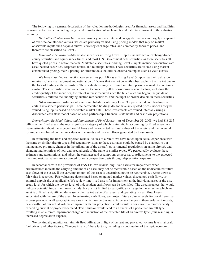The following is a general description of the valuation methodologies used for financial assets and liabilities measured at fair value, including the general classification of such assets and liabilities pursuant to the valuation hierarchy.

*Derivative Contracts*—Our foreign currency, interest rate, and energy derivatives are largely comprised of over-the-counter derivatives, which are primarily valued using pricing models that rely on market observable inputs such as yield curves, currency exchange rates, and commodity forward prices, and therefore are classified as Level 2.

*Marketable Securities*—Marketable securities utilizing Level 1 inputs include active exchange-traded equity securities and equity index funds, and most U.S. Government debt securities, as these securities all have quoted prices in active markets. Marketable securities utilizing Level 2 inputs include non-auction rate asset-backed securities, corporate bonds, and municipal bonds. These securities are valued using market corroborated pricing, matrix pricing, or other models that utilize observable inputs such as yield curves.

We have classified our auction rate securities portfolio as utilizing Level 3 inputs, as their valuation requires substantial judgment and estimation of factors that are not currently observable in the market due to the lack of trading in the securities. These valuations may be revised in future periods as market conditions evolve. These securities were valued as of December 31, 2008 considering several factors, including the credit quality of the securities, the rate of interest received since the failed auctions began, the yields of securities similar to the underlying auction rate securities, and the input of broker-dealers in these securities.

*Other Investments*—Financial assets and liabilities utilizing Level 3 inputs include our holdings in certain investment partnerships. These partnership holdings do not have any quoted prices, nor can they be valued using inputs based on observable market data. These investments are valued internally using a discounted cash flow model based on each partnership's financial statements and cash flow projections.

*Depreciation, Residual Value, and Impairment of Fixed Assets*—As of December 31, 2008, we had \$18.265 billion of net fixed assets, the most significant category of which is aircraft. In accounting for fixed assets, we make estimates about the expected useful lives and the expected residual values of the assets, and the potential for impairment based on the fair values of the assets and the cash flows generated by these assets.

In estimating the lives and expected residual values of aircraft, we have relied upon actual experience with the same or similar aircraft types. Subsequent revisions to these estimates could be caused by changes to our maintenance program, changes in the utilization of the aircraft, governmental regulations on aging aircraft, and changing market prices of new and used aircraft of the same or similar types. We periodically evaluate these estimates and assumptions, and adjust the estimates and assumptions as necessary. Adjustments to the expected lives and residual values are accounted for on a prospective basis through depreciation expense.

In accordance with the provisions of FAS 144, we review long-lived assets for impairment when circumstances indicate the carrying amount of an asset may not be recoverable based on the undiscounted future cash flows of the asset. If the carrying amount of the asset is determined not to be recoverable, a write-down to fair value is recorded. Fair values are determined based on quoted market values, discounted cash flows, or external appraisals, as applicable. We review long-lived assets for impairment at the individual asset or the asset group level for which the lowest level of independent cash flows can be identified. The circumstances that would indicate potential impairment may include, but are not limited to, a significant change in the extent to which an asset is utilized, a significant decrease in the market value of an asset, and operating or cash flow losses associated with the use of the asset. In estimating cash flows, we project future volume levels for our different air express products in all geographic regions in which we do business. Adverse changes in these volume forecasts, or a shortfall of our actual volume compared with our projections, could result in our current aircraft capacity exceeding current or projected demand. This situation would lead to an excess of a particular aircraft type, resulting in an aircraft impairment charge or a reduction of the expected life of an aircraft type (thus resulting in increased depreciation expense).

We continually monitor our aircraft fleet utilization in light of current and projected volume levels, aircraft fuel prices, and other factors. Changes in any of these factors, including a continuation of the rapid economic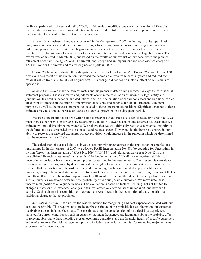decline experienced in the second half of 2008, could result in modifications to our current aircraft fleet plan. Such modifications could result in a reduction in the expected useful life of an aircraft type or in impairment losses related to the early retirement of particular aircraft.

As a result of business changes that occurred in the first quarter of 2007, including capacity-optimization programs in our domestic and international air freight forwarding business as well as changes to our aircraft orders and planned delivery dates, we began a review process of our aircraft fleet types to ensure that we maintain the optimum mix of aircraft types to service our international and domestic package businesses. The review was completed in March 2007, and based on the results of our evaluation, we accelerated the planned retirement of certain Boeing 727 and 747 aircraft, and recognized an impairment and obsolescence charge of \$221 million for the aircraft and related engines and parts in 2007.

During 2006, we reevaluated the anticipated service lives of our Boeing 757, Boeing 767, and Airbus A300 fleets, and as a result of this evaluation, increased the depreciable lives from 20 to 30 years and reduced the residual values from 30% to 10% of original cost. This change did not have a material effect on our results of operations.

*Income Taxes*—We make certain estimates and judgments in determining income tax expense for financial statement purposes. These estimates and judgments occur in the calculation of income by legal entity and jurisdiction, tax credits, benefits, and deductions, and in the calculation of certain tax assets and liabilities, which arise from differences in the timing of recognition of revenue and expense for tax and financial statement purposes, as well as the interest and penalties related to these uncertain tax positions. Significant changes to these estimates may result in an increase or decrease to our tax provision in a subsequent period.

We assess the likelihood that we will be able to recover our deferred tax assets. If recovery is not likely, we must increase our provision for taxes by recording a valuation allowance against the deferred tax assets that we estimate will not ultimately be recoverable. We believe that we will ultimately recover a substantial majority of the deferred tax assets recorded on our consolidated balance sheets. However, should there be a change in our ability to recover our deferred tax assets, our tax provision would increase in the period in which we determined that the recovery was not likely.

The calculation of our tax liabilities involves dealing with uncertainties in the application of complex tax regulations. In the first quarter of 2007, we adopted FASB Interpretation No. 48, "Accounting for Uncertainty in Income Taxes—an interpretation of SFAS No. 109" ("FIN 48"), and related guidance (see Note 13 in the consolidated financial statements). As a result of the implementation of FIN 48, we recognize liabilities for uncertain tax positions based on a two-step process prescribed in the interpretation. The first step is to evaluate the tax position for recognition by determining if the weight of available evidence indicates that it is more likely than not that the position will be sustained on audit, including resolution of related appeals or litigation processes, if any. The second step requires us to estimate and measure the tax benefit as the largest amount that is more than 50% likely to be realized upon ultimate settlement. It is inherently difficult and subjective to estimate such amounts, as we have to determine the probability of various possible outcomes. We reevaluate these uncertain tax positions on a quarterly basis. This evaluation is based on factors including, but not limited to, changes in facts or circumstances, changes in tax law, effectively settled issues under audit, and new audit activity. Such a change in recognition or measurement would result in the recognition of a tax benefit or an additional charge to the tax provision.

*Accounts Receivable*—We utilize the reserve method for recognizing bad debt expense associated with our accounts receivable. This requires us to make our best estimate of the probable losses inherent in our customer receivables at each balance sheet date. These estimates require consideration of historical loss experience, adjusted for current conditions, trends in customer payment frequency, and judgments about the probable effects of relevant observable data, including present economic conditions and the financial health of specific customers and market sectors. Our risk management process includes standards and policies for reviewing major account exposures and concentrations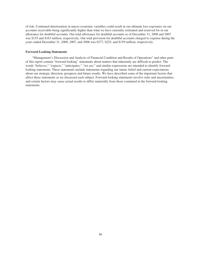of risk. Continued deterioration in macro economic variables could result in our ultimate loss exposures on our accounts receivable being significantly higher than what we have currently estimated and reserved for in our allowance for doubtful accounts. Our total allowance for doubtful accounts as of December 31, 2008 and 2007 was \$155 and \$163 million, respectively. Our total provision for doubtful accounts charged to expense during the years ended December 31, 2008, 2007, and 2006 was \$277, \$225, and \$159 million, respectively.

### **Forward-Looking Statements**

"Management's Discussion and Analysis of Financial Condition and Results of Operations" and other parts of this report contain "forward-looking" statements about matters that inherently are difficult to predict. The words "believes," "expects," "anticipates," "we see," and similar expressions are intended to identify forwardlooking statements. These statements include statements regarding our intent, belief and current expectations about our strategic direction, prospects and future results. We have described some of the important factors that affect these statements as we discussed each subject. Forward-looking statements involve risks and uncertainties, and certain factors may cause actual results to differ materially from those contained in the forward-looking statements.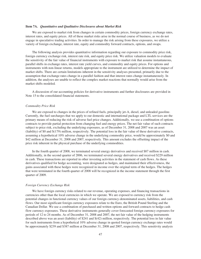### **Item 7A.** *Quantitative and Qualitative Disclosures about Market Risk*

We are exposed to market risk from changes in certain commodity prices, foreign currency exchange rates, interest rates, and equity prices. All of these market risks arise in the normal course of business, as we do not engage in speculative trading activities. In order to manage the risk arising from these exposures, we utilize a variety of foreign exchange, interest rate, equity and commodity forward contracts, options, and swaps.

The following analysis provides quantitative information regarding our exposure to commodity price risk, foreign currency exchange risk, interest rate risk, and equity price risk. We utilize valuation models to evaluate the sensitivity of the fair value of financial instruments with exposure to market risk that assume instantaneous, parallel shifts in exchange rates, interest rate yield curves, and commodity and equity prices. For options and instruments with non-linear returns, models appropriate to the instrument are utilized to determine the impact of market shifts. There are certain limitations inherent in the sensitivity analyses presented, primarily due to the assumption that exchange rates change in a parallel fashion and that interest rates change instantaneously. In addition, the analyses are unable to reflect the complex market reactions that normally would arise from the market shifts modeled*.*

A discussion of our accounting policies for derivative instruments and further disclosures are provided in Note 15 to the consolidated financial statements.

### *Commodity Price Risk*

We are exposed to changes in the prices of refined fuels, principally jet-A, diesel, and unleaded gasoline. Currently, the fuel surcharges that we apply to our domestic and international package and LTL services are the primary means of reducing the risk of adverse fuel price changes. Additionally, we use a combination of options contracts to provide partial protection from changing fuel and energy prices. The net fair value of such contracts subject to price risk, excluding the underlying exposures, as of December 31, 2008 and 2007 was an asset (liability) of \$0 and \$(179) million, respectively. The potential loss in the fair value of these derivative contracts, assuming a hypothetical 10% adverse change in the underlying commodity price, would be approximately \$0 and \$42 million at December 31, 2008 and 2007, respectively. This amount excludes the offsetting impact of the price risk inherent in the physical purchase of the underlying commodities.

In the fourth quarter of 2008, we terminated several energy derivatives and received \$87 million in cash. Additionally, in the second quarter of 2006, we terminated several energy derivatives and received \$229 million in cash. These transactions are reported in other investing activities in the statement of cash flows. As these derivatives qualified for hedge accounting, were designated as hedges, and maintained their effectiveness, the gains associated with these hedges were recognized in income over the original term of the hedges. The hedges that were terminated in the fourth quarter of 2008 will be recognized in the income statement through the first quarter of 2009.

### *Foreign Currency Exchange Risk*

We have foreign currency risks related to our revenue, operating expenses, and financing transactions in currencies other than the local currencies in which we operate. We are exposed to currency risk from the potential changes in functional currency values of our foreign currency-denominated assets, liabilities, and cash flows. Our most significant foreign currency exposures relate to the Euro, the British Pound Sterling and the Canadian Dollar. We use a combination of purchased and written options and forward contracts to hedge cash flow currency exposures. These derivative instruments generally cover forecasted foreign currency exposures for periods of 12 to 24 months. As of December 31, 2008 and 2007, the net fair value of the hedging instruments described above was an asset (liability) of \$241 and \$(42) million, respectively. The potential loss in fair value for such instruments from a hypothetical 10% adverse change in quoted foreign currency exchange rates would be approximately \$239 and \$387 million at December 31, 2008 and 2007, respectively. This sensitivity analysis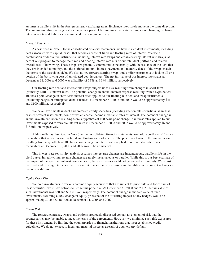assumes a parallel shift in the foreign currency exchange rates. Exchange rates rarely move in the same direction. The assumption that exchange rates change in a parallel fashion may overstate the impact of changing exchange rates on assets and liabilities denominated in a foreign currency.

### *Interest Rate Risk*

As described in Note 8 to the consolidated financial statements, we have issued debt instruments, including debt associated with capital leases, that accrue expense at fixed and floating rates of interest. We use a combination of derivative instruments, including interest rate swaps and cross-currency interest rate swaps, as part of our program to manage the fixed and floating interest rate mix of our total debt portfolio and related overall cost of borrowing. These swaps are generally entered into concurrently with the issuance of the debt that they are intended to modify, and the notional amount, interest payment, and maturity dates of the swaps match the terms of the associated debt. We also utilize forward starting swaps and similar instruments to lock in all or a portion of the borrowing cost of anticipated debt issuances. The net fair value of our interest rate swaps at December 31, 2008 and 2007 was a liability of \$388 and \$94 million, respectively.

Our floating rate debt and interest rate swaps subject us to risk resulting from changes in short-term (primarily LIBOR) interest rates. The potential change in annual interest expense resulting from a hypothetical 100 basis point change in short-term interest rates applied to our floating rate debt and swap instruments (excluding hedges of anticipated debt issuances) at December 31, 2008 and 2007 would be approximately \$41 and \$100 million, respectively.

We have investments in debt and preferred equity securities (including auction rate securities), as well as cash-equivalent instruments, some of which accrue income at variable rates of interest. The potential change in annual investment income resulting from a hypothetical 100 basis point change in interest rates applied to our investments exposed to variable interest rates at December 31, 2008 and 2007 would be approximately \$6 and \$15 million, respectively.

Additionally, as described in Note 3 to the consolidated financial statements, we hold a portfolio of finance receivables that accrue income at fixed and floating rates of interest. The potential change in the annual income resulting from a hypothetical 100 basis point change in interest rates applied to our variable rate finance receivables at December 31, 2008 and 2007 would be immaterial.

This interest rate sensitivity analysis assumes interest rate changes are instantaneous, parallel shifts in the yield curve. In reality, interest rate changes are rarely instantaneous or parallel. While this is our best estimate of the impact of the specified interest rate scenarios, these estimates should not be viewed as forecasts. We adjust the fixed and floating interest rate mix of our interest rate sensitive assets and liabilities in response to changes in market conditions.

### *Equity Price Risk*

We hold investments in various common equity securities that are subject to price risk, and for certain of these securities, we utilize options to hedge this price risk. At December 31, 2008 and 2007, the fair value of such investments was \$30 and \$35 million, respectively. The potential change in the fair value of such investments, assuming a 10% change in equity prices net of the offsetting impact of any hedges, would be approximately \$3 and \$4 million at December 31, 2008 and 2007.

### *Credit Risk*

The forward contracts, swaps, and options previously discussed contain an element of risk that the counterparties may be unable to meet the terms of the agreements. However, we minimize such risk exposures for these instruments by limiting the counterparties to financial institutions that meet established credit guidelines. We do not expect to incur any material losses as a result of counterparty default.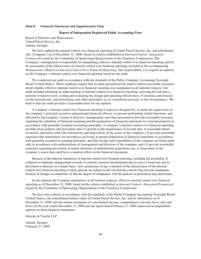### **Item 8.** *Financial Statements and Supplementary Data*

### **Report of Independent Registered Public Accounting Firm**

Board of Directors and Shareowners United Parcel Service, Inc. Atlanta, Georgia

We have audited the internal control over financial reporting of United Parcel Service, Inc. and subsidiaries (the "Company") as of December 31, 2008, based on criteria established in *Internal Control—Integrated Framework* issued by the Committee of Sponsoring Organizations of the Treadway Commission. The Company's management is responsible for maintaining effective internal control over financial reporting and for its assessment of the effectiveness of internal control over financial reporting, included in the accompanying *Management's Report on Internal Control Over Financial Reporting*. Our responsibility is to express an opinion on the Company's internal control over financial reporting based on our audit.

We conducted our audit in accordance with the standards of the Public Company Accounting Oversight Board (United States). Those standards require that we plan and perform the audit to obtain reasonable assurance about whether effective internal control over financial reporting was maintained in all material respects. Our audit included obtaining an understanding of internal control over financial reporting, assessing the risk that a material weakness exists, testing and evaluating the design and operating effectiveness of internal control based on the assessed risk, and performing such other procedures as we considered necessary in the circumstances. We believe that our audit provides a reasonable basis for our opinion.

A company's internal control over financial reporting is a process designed by, or under the supervision of, the company's principal executive and principal financial officers, or persons performing similar functions, and effected by the company's board of directors, management, and other personnel to provide reasonable assurance regarding the reliability of financial reporting and the preparation of financial statements for external purposes in accordance with generally accepted accounting principles. A company's internal control over financial reporting includes those policies and procedures that (1) pertain to the maintenance of records that, in reasonable detail, accurately and fairly reflect the transactions and dispositions of the assets of the company; (2) provide reasonable assurance that transactions are recorded as necessary to permit preparation of financial statements in accordance with generally accepted accounting principles, and that receipts and expenditures of the company are being made only in accordance with authorizations of management and directors of the company; and (3) provide reasonable assurance regarding prevention or timely detection of unauthorized acquisition, use, or disposition of the company's assets that could have a material effect on the financial statements.

Because of the inherent limitations of internal control over financial reporting, including the possibility of collusion or improper management override of controls, material misstatements due to error or fraud may not be prevented or detected on a timely basis. Also, projections of any evaluation of the effectiveness of the internal control over financial reporting to future periods are subject to the risk that the controls may become inadequate because of changes in conditions, or that the degree of compliance with the policies or procedures may deteriorate.

In our opinion, the Company maintained, in all material respects, effective internal control over financial reporting as of December 31, 2008, based on the criteria established in *Internal Control—Integrated Framework* issued by the Committee of Sponsoring Organizations of the Treadway Commission.

We have also audited, in accordance with the standards of the Public Company Accounting Oversight Board (United States), the consolidated balance sheet of United Parcel Service, Inc. and its subsidiaries as of December 31, 2008, and the related statements of consolidated income, comprehensive income (loss), and cash flows for the year ended December 31, 2008 and our report dated February 27, 2009 expressed an unqualified opinion on those financial statements.

Deloitte & Touche LLP

Atlanta, Georgia February 27, 2009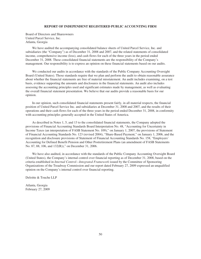### **REPORT OF INDEPENDENT REGISTERED PUBLIC ACCOUNTING FIRM**

Board of Directors and Shareowners United Parcel Service, Inc. Atlanta, Georgia

We have audited the accompanying consolidated balance sheets of United Parcel Service, Inc. and subsidiaries (the "Company") as of December 31, 2008 and 2007, and the related statements of consolidated income, comprehensive income (loss), and cash flows for each of the three years in the period ended December 31, 2008. These consolidated financial statements are the responsibility of the Company's management. Our responsibility is to express an opinion on these financial statements based on our audits.

We conducted our audits in accordance with the standards of the Public Company Accounting Oversight Board (United States). Those standards require that we plan and perform the audit to obtain reasonable assurance about whether the financial statements are free of material misstatement. An audit includes examining, on a test basis, evidence supporting the amounts and disclosures in the financial statements. An audit also includes assessing the accounting principles used and significant estimates made by management, as well as evaluating the overall financial statement presentation. We believe that our audits provide a reasonable basis for our opinion.

In our opinion, such consolidated financial statements present fairly, in all material respects, the financial position of United Parcel Service Inc. and subsidiaries at December 31, 2008 and 2007, and the results of their operations and their cash flows for each of the three years in the period ended December 31, 2008, in conformity with accounting principles generally accepted in the United States of America.

As described in Notes 1, 5, and 13 to the consolidated financial statements, the Company adopted the provisions of Financial Accounting Standards Board Interpretation No. 48, "Accounting for Uncertainty in Income Taxes (an interpretation of FASB Statement No. 109)," on January 1, 2007, the provisions of Statement of Financial Accounting Standards No. 123 (revised 2004), "Share-Based Payment," on January 1, 2006, and the recognition and disclosure provisions of Statement of Financial Accounting Standards No. 158, "Employers' Accounting for Defined Benefit Pension and Other Postretirement Plans (an amendment of FASB Statements No. 87, 88, 106, and 132(R))," on December 31, 2006.

We have also audited, in accordance with the standards of the Public Company Accounting Oversight Board (United States), the Company's internal control over financial reporting as of December 31, 2008, based on the criteria established in *Internal Control—Integrated Framework* issued by the Committee of Sponsoring Organizations of the Treadway Commission and our report dated February 27, 2009 expressed an unqualified opinion on the Company's internal control over financial reporting.

Deloitte & Touche LLP

Atlanta, Georgia February 27, 2009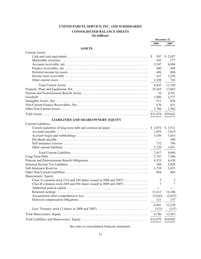# **UNITED PARCEL SERVICE, INC. AND SUBSIDIARIES CONSOLIDATED BALANCE SHEETS (In millions)**

|                                                                     | December 31,                  |          |
|---------------------------------------------------------------------|-------------------------------|----------|
|                                                                     | 2008                          | 2007     |
| <b>ASSETS</b>                                                       |                               |          |
| <b>Current Assets:</b>                                              |                               |          |
|                                                                     | 507<br>S                      | \$2,027  |
|                                                                     | 542                           | 577      |
|                                                                     | 5,547                         | 6,084    |
|                                                                     | 480                           | 468      |
|                                                                     | 494                           | 606      |
|                                                                     | 167                           | 1,256    |
|                                                                     | 1,108                         | 742      |
|                                                                     | 8,845                         | 11,760   |
|                                                                     | 18,265                        | 17,663   |
|                                                                     | 10                            | 4,421    |
|                                                                     | 1,986                         | 2,577    |
|                                                                     | 511                           | 628      |
|                                                                     | 476                           | 431      |
|                                                                     | 1,786                         | 1,562    |
|                                                                     | \$31,879                      | \$39,042 |
| <b>LIABILITIES AND SHAREOWNERS' EQUITY</b>                          |                               |          |
| Current Liabilities:                                                |                               |          |
| Current maturities of long-term debt and commercial paper           | \$2,074                       | \$ 3,512 |
|                                                                     | 1,855                         | 1,819    |
|                                                                     | 1,436                         | 1,414    |
|                                                                     | $\overbrace{\phantom{12333}}$ | 440      |
|                                                                     | 732                           | 704      |
|                                                                     | 1,720                         | 1,951    |
|                                                                     | 7,817                         | 9,840    |
|                                                                     | 7,797                         | 7,506    |
|                                                                     | 6,323                         | 4,438    |
|                                                                     | 588                           | 2,620    |
|                                                                     | 1,710                         | 1,651    |
|                                                                     | 864                           | 804      |
| Shareowners' Equity:                                                |                               |          |
| Class A common stock $(314$ and 349 shares issued in 2008 and 2007) | 3                             | 3        |
| Class B common stock (684 and 694 shares issued in 2008 and 2007)   | 7                             | 7        |
|                                                                     | $\hspace{0.05cm}$             |          |
|                                                                     | 12,412                        | 14,186   |
|                                                                     | (5,642)                       | (2,013)  |
|                                                                     | 121                           | 137      |
|                                                                     | 6,901                         | 12,320   |
| Less: Treasury stock (2 shares in 2008 and 2007)                    | (121)                         | (137)    |
|                                                                     | 6,780                         | 12,183   |
|                                                                     | \$31,879                      | \$39,042 |

See notes to consolidated financial statements.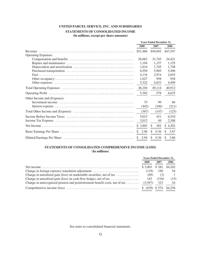## **UNITED PARCEL SERVICE, INC. AND SUBSIDIARIES**

## **STATEMENTS OF CONSOLIDATED INCOME (In millions, except per share amounts)**

|                                                                                                               | <b>Years Ended December 31.</b> |            |              |
|---------------------------------------------------------------------------------------------------------------|---------------------------------|------------|--------------|
|                                                                                                               | 2008                            | 2007       | 2006         |
| Revenue                                                                                                       | \$51,486                        | \$49,692   | \$47,547     |
| <b>Operating Expenses:</b>                                                                                    |                                 |            |              |
|                                                                                                               | 26,063                          | 31,745     | 24.421       |
|                                                                                                               | 1.194                           | 1.157      | 1.155        |
|                                                                                                               | 1.814                           | 1.745      | 1.748        |
|                                                                                                               | 6,550                           | 5,902      | 5,496        |
|                                                                                                               | 4.134                           | 2,974      | 2,655        |
|                                                                                                               | 1.027                           | 958        | 938          |
|                                                                                                               | 5,322                           | 4,633      | 4,499        |
|                                                                                                               | 46,104                          | 49,114     | 40,912       |
|                                                                                                               | 5,382                           | 578        | 6,635        |
| Other Income and (Expense):                                                                                   |                                 |            |              |
| Investment income $\dots \dots \dots \dots \dots \dots \dots \dots \dots \dots \dots \dots \dots \dots \dots$ | 75                              | 99         | 86           |
|                                                                                                               | (442)                           | (246)      | (211)        |
|                                                                                                               | (367)                           | (147)      | (125)        |
|                                                                                                               | 5.015                           | 431        | 6.510        |
|                                                                                                               | 2,012                           | 49         | 2,308        |
|                                                                                                               | \$3,003                         | \$<br>382  | 4,202<br>\$. |
|                                                                                                               | 2.96<br><sup>S</sup>            | \$<br>0.36 | 3.87         |
|                                                                                                               | 2.94<br><sup>S</sup>            | 0.36<br>S. | 3.86<br>\$.  |

## **STATEMENTS OF CONSOLIDATED COMPREHENSIVE INCOME (LOSS) (In millions)**

|                                                                                              | <b>Years Ended December 31,</b> |        |                |  |
|----------------------------------------------------------------------------------------------|---------------------------------|--------|----------------|--|
|                                                                                              | 2008                            | 2007   | 2006           |  |
|                                                                                              | \$ 3,003                        | \$ 382 | \$4,202        |  |
| Change in foreign currency translation adjustment                                            | (119)                           | 190    | 54             |  |
| Change in unrealized gain (loss) on marketable securities, net of $\{ax$ ,                   | (69)                            | (3)    | $\overline{1}$ |  |
| Change in unrealized gain (loss) on cash flow hedges, net of tax $\dots\dots\dots\dots\dots$ | 143                             | (318)  | (15)           |  |
| Change in unrecognized pension and postretirement benefit costs, net of tax $\dots\dots$     | (3,597)                         | 323    | 16             |  |
|                                                                                              | \$ (639) \$574                  |        | \$4,258        |  |

See notes to consolidated financial statements.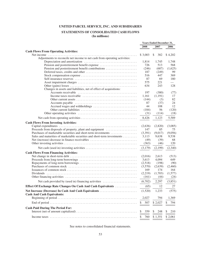## **UNITED PARCEL SERVICE, INC. AND SUBSIDIARIES**

## **STATEMENTS OF CONSOLIDATED CASH FLOWS (In millions)**

| 2008<br>2007<br>2006<br><b>Cash Flows From Operating Activities:</b><br>\$<br>\$4,202<br>\$ 3,003<br>382<br>Adjustments to reconcile net income to net cash from operating activities:<br>1,814<br>1,745<br>1,748<br>726<br>513<br>568<br>Pension and postretirement benefit contributions<br>(687)<br>(246)<br>187<br>99<br>(249)<br>516<br>447<br>369<br>87<br>69<br>180<br>575<br>221<br>128<br>634<br>243<br>Changes in assets and liabilities, net of effect of acquisitions:<br>197<br>(380)<br>(77)<br>(1,191)<br>Income taxes receivable $\dots \dots \dots \dots \dots \dots \dots \dots \dots \dots \dots \dots$<br>1,161<br>17<br>82<br>(144)<br>(3)<br>87<br>(37)<br>24<br>12<br>44<br>108<br>(184)<br>56<br>(120)<br>(31)<br>(114)<br>(18)<br>5,589<br>8,426<br>1,123<br><b>Cash Flows From Investing Activities:</b><br>(2,820)<br>(2,636)<br>Proceeds from disposals of property, plant and equipment<br>147<br>85<br>75<br>Purchases of marketable securities and short-term investments<br>(3,391)<br>(9,017)<br>Sales and maturities of marketable securities and short-term investments<br>3,113<br>9,638<br>9,538<br>Net (increase) decrease in finance receivables<br>(49)<br>68<br>(39)<br>120<br>(363)<br>(46)<br>(3,179)<br>(2,199)<br>(2,340)<br><b>Cash Flows From Financing Activities:</b><br>2,613<br>(2,016)<br>(513)<br>4,094<br>3,613<br>649<br>(2,518)<br>(198)<br>(90)<br>(3,570)<br>(2,639)<br>(2,460)<br>169<br>174<br>164<br>Dividends<br>(2,219)<br>(1,703)<br>(1,577)<br>(161)<br>(44)<br>(24)<br>Net cash provided by (used in) financing activities<br>(6,702)<br>2,297<br>(3,851)<br>Effect Of Exchange Rate Changes On Cash And Cash Equivalents<br>12<br>27<br>(65)<br>Net Increase (Decrease) In Cash And Cash Equivalents<br>(1,520)<br>1,233<br><b>Cash And Cash Equivalents:</b><br>1,369<br>2,027<br>794<br>507<br>\$<br>\$2,027<br>\$<br>794<br><b>Cash Paid During The Period For:</b><br>359<br>210<br>\$<br>248 | <b>Years Ended December 31,</b> |         |          |
|----------------------------------------------------------------------------------------------------------------------------------------------------------------------------------------------------------------------------------------------------------------------------------------------------------------------------------------------------------------------------------------------------------------------------------------------------------------------------------------------------------------------------------------------------------------------------------------------------------------------------------------------------------------------------------------------------------------------------------------------------------------------------------------------------------------------------------------------------------------------------------------------------------------------------------------------------------------------------------------------------------------------------------------------------------------------------------------------------------------------------------------------------------------------------------------------------------------------------------------------------------------------------------------------------------------------------------------------------------------------------------------------------------------------------------------------------------------------------------------------------------------------------------------------------------------------------------------------------------------------------------------------------------------------------------------------------------------------------------------------------------------------------------------------------------------------------------------------------------------------------------------------------------------------------------------------------------------------|---------------------------------|---------|----------|
|                                                                                                                                                                                                                                                                                                                                                                                                                                                                                                                                                                                                                                                                                                                                                                                                                                                                                                                                                                                                                                                                                                                                                                                                                                                                                                                                                                                                                                                                                                                                                                                                                                                                                                                                                                                                                                                                                                                                                                      |                                 |         |          |
|                                                                                                                                                                                                                                                                                                                                                                                                                                                                                                                                                                                                                                                                                                                                                                                                                                                                                                                                                                                                                                                                                                                                                                                                                                                                                                                                                                                                                                                                                                                                                                                                                                                                                                                                                                                                                                                                                                                                                                      |                                 |         |          |
|                                                                                                                                                                                                                                                                                                                                                                                                                                                                                                                                                                                                                                                                                                                                                                                                                                                                                                                                                                                                                                                                                                                                                                                                                                                                                                                                                                                                                                                                                                                                                                                                                                                                                                                                                                                                                                                                                                                                                                      |                                 |         |          |
|                                                                                                                                                                                                                                                                                                                                                                                                                                                                                                                                                                                                                                                                                                                                                                                                                                                                                                                                                                                                                                                                                                                                                                                                                                                                                                                                                                                                                                                                                                                                                                                                                                                                                                                                                                                                                                                                                                                                                                      |                                 |         |          |
|                                                                                                                                                                                                                                                                                                                                                                                                                                                                                                                                                                                                                                                                                                                                                                                                                                                                                                                                                                                                                                                                                                                                                                                                                                                                                                                                                                                                                                                                                                                                                                                                                                                                                                                                                                                                                                                                                                                                                                      |                                 |         |          |
|                                                                                                                                                                                                                                                                                                                                                                                                                                                                                                                                                                                                                                                                                                                                                                                                                                                                                                                                                                                                                                                                                                                                                                                                                                                                                                                                                                                                                                                                                                                                                                                                                                                                                                                                                                                                                                                                                                                                                                      |                                 |         |          |
|                                                                                                                                                                                                                                                                                                                                                                                                                                                                                                                                                                                                                                                                                                                                                                                                                                                                                                                                                                                                                                                                                                                                                                                                                                                                                                                                                                                                                                                                                                                                                                                                                                                                                                                                                                                                                                                                                                                                                                      |                                 |         | (1,625)  |
|                                                                                                                                                                                                                                                                                                                                                                                                                                                                                                                                                                                                                                                                                                                                                                                                                                                                                                                                                                                                                                                                                                                                                                                                                                                                                                                                                                                                                                                                                                                                                                                                                                                                                                                                                                                                                                                                                                                                                                      |                                 |         |          |
|                                                                                                                                                                                                                                                                                                                                                                                                                                                                                                                                                                                                                                                                                                                                                                                                                                                                                                                                                                                                                                                                                                                                                                                                                                                                                                                                                                                                                                                                                                                                                                                                                                                                                                                                                                                                                                                                                                                                                                      |                                 |         |          |
|                                                                                                                                                                                                                                                                                                                                                                                                                                                                                                                                                                                                                                                                                                                                                                                                                                                                                                                                                                                                                                                                                                                                                                                                                                                                                                                                                                                                                                                                                                                                                                                                                                                                                                                                                                                                                                                                                                                                                                      |                                 |         |          |
|                                                                                                                                                                                                                                                                                                                                                                                                                                                                                                                                                                                                                                                                                                                                                                                                                                                                                                                                                                                                                                                                                                                                                                                                                                                                                                                                                                                                                                                                                                                                                                                                                                                                                                                                                                                                                                                                                                                                                                      |                                 |         |          |
|                                                                                                                                                                                                                                                                                                                                                                                                                                                                                                                                                                                                                                                                                                                                                                                                                                                                                                                                                                                                                                                                                                                                                                                                                                                                                                                                                                                                                                                                                                                                                                                                                                                                                                                                                                                                                                                                                                                                                                      |                                 |         |          |
|                                                                                                                                                                                                                                                                                                                                                                                                                                                                                                                                                                                                                                                                                                                                                                                                                                                                                                                                                                                                                                                                                                                                                                                                                                                                                                                                                                                                                                                                                                                                                                                                                                                                                                                                                                                                                                                                                                                                                                      |                                 |         |          |
|                                                                                                                                                                                                                                                                                                                                                                                                                                                                                                                                                                                                                                                                                                                                                                                                                                                                                                                                                                                                                                                                                                                                                                                                                                                                                                                                                                                                                                                                                                                                                                                                                                                                                                                                                                                                                                                                                                                                                                      |                                 |         |          |
|                                                                                                                                                                                                                                                                                                                                                                                                                                                                                                                                                                                                                                                                                                                                                                                                                                                                                                                                                                                                                                                                                                                                                                                                                                                                                                                                                                                                                                                                                                                                                                                                                                                                                                                                                                                                                                                                                                                                                                      |                                 |         |          |
|                                                                                                                                                                                                                                                                                                                                                                                                                                                                                                                                                                                                                                                                                                                                                                                                                                                                                                                                                                                                                                                                                                                                                                                                                                                                                                                                                                                                                                                                                                                                                                                                                                                                                                                                                                                                                                                                                                                                                                      |                                 |         |          |
|                                                                                                                                                                                                                                                                                                                                                                                                                                                                                                                                                                                                                                                                                                                                                                                                                                                                                                                                                                                                                                                                                                                                                                                                                                                                                                                                                                                                                                                                                                                                                                                                                                                                                                                                                                                                                                                                                                                                                                      |                                 |         |          |
|                                                                                                                                                                                                                                                                                                                                                                                                                                                                                                                                                                                                                                                                                                                                                                                                                                                                                                                                                                                                                                                                                                                                                                                                                                                                                                                                                                                                                                                                                                                                                                                                                                                                                                                                                                                                                                                                                                                                                                      |                                 |         |          |
|                                                                                                                                                                                                                                                                                                                                                                                                                                                                                                                                                                                                                                                                                                                                                                                                                                                                                                                                                                                                                                                                                                                                                                                                                                                                                                                                                                                                                                                                                                                                                                                                                                                                                                                                                                                                                                                                                                                                                                      |                                 |         |          |
|                                                                                                                                                                                                                                                                                                                                                                                                                                                                                                                                                                                                                                                                                                                                                                                                                                                                                                                                                                                                                                                                                                                                                                                                                                                                                                                                                                                                                                                                                                                                                                                                                                                                                                                                                                                                                                                                                                                                                                      |                                 |         |          |
|                                                                                                                                                                                                                                                                                                                                                                                                                                                                                                                                                                                                                                                                                                                                                                                                                                                                                                                                                                                                                                                                                                                                                                                                                                                                                                                                                                                                                                                                                                                                                                                                                                                                                                                                                                                                                                                                                                                                                                      |                                 |         |          |
|                                                                                                                                                                                                                                                                                                                                                                                                                                                                                                                                                                                                                                                                                                                                                                                                                                                                                                                                                                                                                                                                                                                                                                                                                                                                                                                                                                                                                                                                                                                                                                                                                                                                                                                                                                                                                                                                                                                                                                      |                                 |         |          |
|                                                                                                                                                                                                                                                                                                                                                                                                                                                                                                                                                                                                                                                                                                                                                                                                                                                                                                                                                                                                                                                                                                                                                                                                                                                                                                                                                                                                                                                                                                                                                                                                                                                                                                                                                                                                                                                                                                                                                                      |                                 |         |          |
|                                                                                                                                                                                                                                                                                                                                                                                                                                                                                                                                                                                                                                                                                                                                                                                                                                                                                                                                                                                                                                                                                                                                                                                                                                                                                                                                                                                                                                                                                                                                                                                                                                                                                                                                                                                                                                                                                                                                                                      |                                 |         | (3,085)  |
|                                                                                                                                                                                                                                                                                                                                                                                                                                                                                                                                                                                                                                                                                                                                                                                                                                                                                                                                                                                                                                                                                                                                                                                                                                                                                                                                                                                                                                                                                                                                                                                                                                                                                                                                                                                                                                                                                                                                                                      |                                 |         |          |
|                                                                                                                                                                                                                                                                                                                                                                                                                                                                                                                                                                                                                                                                                                                                                                                                                                                                                                                                                                                                                                                                                                                                                                                                                                                                                                                                                                                                                                                                                                                                                                                                                                                                                                                                                                                                                                                                                                                                                                      |                                 |         | (9,056)  |
|                                                                                                                                                                                                                                                                                                                                                                                                                                                                                                                                                                                                                                                                                                                                                                                                                                                                                                                                                                                                                                                                                                                                                                                                                                                                                                                                                                                                                                                                                                                                                                                                                                                                                                                                                                                                                                                                                                                                                                      |                                 |         |          |
|                                                                                                                                                                                                                                                                                                                                                                                                                                                                                                                                                                                                                                                                                                                                                                                                                                                                                                                                                                                                                                                                                                                                                                                                                                                                                                                                                                                                                                                                                                                                                                                                                                                                                                                                                                                                                                                                                                                                                                      |                                 |         |          |
|                                                                                                                                                                                                                                                                                                                                                                                                                                                                                                                                                                                                                                                                                                                                                                                                                                                                                                                                                                                                                                                                                                                                                                                                                                                                                                                                                                                                                                                                                                                                                                                                                                                                                                                                                                                                                                                                                                                                                                      |                                 |         |          |
|                                                                                                                                                                                                                                                                                                                                                                                                                                                                                                                                                                                                                                                                                                                                                                                                                                                                                                                                                                                                                                                                                                                                                                                                                                                                                                                                                                                                                                                                                                                                                                                                                                                                                                                                                                                                                                                                                                                                                                      |                                 |         |          |
|                                                                                                                                                                                                                                                                                                                                                                                                                                                                                                                                                                                                                                                                                                                                                                                                                                                                                                                                                                                                                                                                                                                                                                                                                                                                                                                                                                                                                                                                                                                                                                                                                                                                                                                                                                                                                                                                                                                                                                      |                                 |         |          |
|                                                                                                                                                                                                                                                                                                                                                                                                                                                                                                                                                                                                                                                                                                                                                                                                                                                                                                                                                                                                                                                                                                                                                                                                                                                                                                                                                                                                                                                                                                                                                                                                                                                                                                                                                                                                                                                                                                                                                                      |                                 |         |          |
|                                                                                                                                                                                                                                                                                                                                                                                                                                                                                                                                                                                                                                                                                                                                                                                                                                                                                                                                                                                                                                                                                                                                                                                                                                                                                                                                                                                                                                                                                                                                                                                                                                                                                                                                                                                                                                                                                                                                                                      |                                 |         |          |
|                                                                                                                                                                                                                                                                                                                                                                                                                                                                                                                                                                                                                                                                                                                                                                                                                                                                                                                                                                                                                                                                                                                                                                                                                                                                                                                                                                                                                                                                                                                                                                                                                                                                                                                                                                                                                                                                                                                                                                      |                                 |         |          |
|                                                                                                                                                                                                                                                                                                                                                                                                                                                                                                                                                                                                                                                                                                                                                                                                                                                                                                                                                                                                                                                                                                                                                                                                                                                                                                                                                                                                                                                                                                                                                                                                                                                                                                                                                                                                                                                                                                                                                                      |                                 |         |          |
|                                                                                                                                                                                                                                                                                                                                                                                                                                                                                                                                                                                                                                                                                                                                                                                                                                                                                                                                                                                                                                                                                                                                                                                                                                                                                                                                                                                                                                                                                                                                                                                                                                                                                                                                                                                                                                                                                                                                                                      |                                 |         |          |
|                                                                                                                                                                                                                                                                                                                                                                                                                                                                                                                                                                                                                                                                                                                                                                                                                                                                                                                                                                                                                                                                                                                                                                                                                                                                                                                                                                                                                                                                                                                                                                                                                                                                                                                                                                                                                                                                                                                                                                      |                                 |         |          |
|                                                                                                                                                                                                                                                                                                                                                                                                                                                                                                                                                                                                                                                                                                                                                                                                                                                                                                                                                                                                                                                                                                                                                                                                                                                                                                                                                                                                                                                                                                                                                                                                                                                                                                                                                                                                                                                                                                                                                                      |                                 |         |          |
|                                                                                                                                                                                                                                                                                                                                                                                                                                                                                                                                                                                                                                                                                                                                                                                                                                                                                                                                                                                                                                                                                                                                                                                                                                                                                                                                                                                                                                                                                                                                                                                                                                                                                                                                                                                                                                                                                                                                                                      |                                 |         |          |
|                                                                                                                                                                                                                                                                                                                                                                                                                                                                                                                                                                                                                                                                                                                                                                                                                                                                                                                                                                                                                                                                                                                                                                                                                                                                                                                                                                                                                                                                                                                                                                                                                                                                                                                                                                                                                                                                                                                                                                      |                                 |         |          |
|                                                                                                                                                                                                                                                                                                                                                                                                                                                                                                                                                                                                                                                                                                                                                                                                                                                                                                                                                                                                                                                                                                                                                                                                                                                                                                                                                                                                                                                                                                                                                                                                                                                                                                                                                                                                                                                                                                                                                                      |                                 |         |          |
|                                                                                                                                                                                                                                                                                                                                                                                                                                                                                                                                                                                                                                                                                                                                                                                                                                                                                                                                                                                                                                                                                                                                                                                                                                                                                                                                                                                                                                                                                                                                                                                                                                                                                                                                                                                                                                                                                                                                                                      |                                 |         | (575)    |
|                                                                                                                                                                                                                                                                                                                                                                                                                                                                                                                                                                                                                                                                                                                                                                                                                                                                                                                                                                                                                                                                                                                                                                                                                                                                                                                                                                                                                                                                                                                                                                                                                                                                                                                                                                                                                                                                                                                                                                      |                                 |         |          |
|                                                                                                                                                                                                                                                                                                                                                                                                                                                                                                                                                                                                                                                                                                                                                                                                                                                                                                                                                                                                                                                                                                                                                                                                                                                                                                                                                                                                                                                                                                                                                                                                                                                                                                                                                                                                                                                                                                                                                                      |                                 |         |          |
|                                                                                                                                                                                                                                                                                                                                                                                                                                                                                                                                                                                                                                                                                                                                                                                                                                                                                                                                                                                                                                                                                                                                                                                                                                                                                                                                                                                                                                                                                                                                                                                                                                                                                                                                                                                                                                                                                                                                                                      |                                 |         |          |
|                                                                                                                                                                                                                                                                                                                                                                                                                                                                                                                                                                                                                                                                                                                                                                                                                                                                                                                                                                                                                                                                                                                                                                                                                                                                                                                                                                                                                                                                                                                                                                                                                                                                                                                                                                                                                                                                                                                                                                      |                                 |         |          |
|                                                                                                                                                                                                                                                                                                                                                                                                                                                                                                                                                                                                                                                                                                                                                                                                                                                                                                                                                                                                                                                                                                                                                                                                                                                                                                                                                                                                                                                                                                                                                                                                                                                                                                                                                                                                                                                                                                                                                                      |                                 |         |          |
|                                                                                                                                                                                                                                                                                                                                                                                                                                                                                                                                                                                                                                                                                                                                                                                                                                                                                                                                                                                                                                                                                                                                                                                                                                                                                                                                                                                                                                                                                                                                                                                                                                                                                                                                                                                                                                                                                                                                                                      | \$<br>760                       | \$1,351 | \$ 2,061 |

See notes to consolidated financial statements.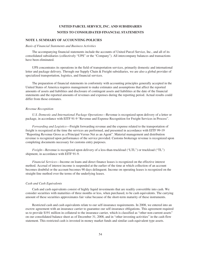### **NOTE 1. SUMMARY OF ACCOUNTING POLICIES**

### *Basis of Financial Statements and Business Activities*

The accompanying financial statements include the accounts of United Parcel Service, Inc., and all of its consolidated subsidiaries (collectively "UPS" or the "Company"). All intercompany balances and transactions have been eliminated.

UPS concentrates its operations in the field of transportation services, primarily domestic and international letter and package delivery. Through our Supply Chain & Freight subsidiaries, we are also a global provider of specialized transportation, logistics, and financial services.

The preparation of financial statements in conformity with accounting principles generally accepted in the United States of America requires management to make estimates and assumptions that affect the reported amounts of assets and liabilities and disclosure of contingent assets and liabilities at the date of the financial statements and the reported amounts of revenues and expenses during the reporting period. Actual results could differ from those estimates.

### *Revenue Recognition*

*U.S. Domestic and International Package Operations*—Revenue is recognized upon delivery of a letter or package, in accordance with EITF 91-9 "Revenue and Expense Recognition for Freight Services in Process".

*Forwarding and Logistics*—Freight forwarding revenue and the expense related to the transportation of freight is recognized at the time the services are performed, and presented in accordance with EITF 99-19 "Reporting Revenue Gross as a Principal Versus Net as an Agent". Material management and distribution revenue is recognized upon performance of the service provided. Customs brokerage revenue is recognized upon completing documents necessary for customs entry purposes.

*Freight*—Revenue is recognized upon delivery of a less-than-truckload ("LTL") or truckload ("TL") shipment, in accordance with EITF 91-9.

*Financial Services*—Income on loans and direct finance leases is recognized on the effective interest method. Accrual of interest income is suspended at the earlier of the time at which collection of an account becomes doubtful or the account becomes 90 days delinquent. Income on operating leases is recognized on the straight-line method over the terms of the underlying leases.

### *Cash and Cash Equivalents*

Cash and cash equivalents consist of highly liquid investments that are readily convertible into cash. We consider securities with maturities of three months or less, when purchased, to be cash equivalents. The carrying amount of these securities approximates fair value because of the short-term maturity of these instruments.

Restricted cash and cash equivalents relate to our self-insurance requirements. In 2008, we entered into an escrow agreement with an insurance carrier to guarantee our self-insurance obligations. This agreement required us to provide \$191 million in collateral to the insurance carrier, which is classified as "other non-current assets" on our consolidated balance sheet as of December 31, 2008, and in "other investing activities" in the cash flow statement. This restricted cash is invested in money market funds and similar cash equivalent type assets.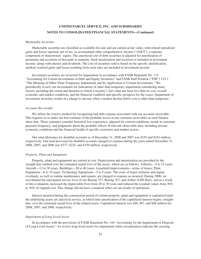### *Marketable Securities*

Marketable securities are classified as available-for-sale and are carried at fair value, with related unrealized gains and losses reported, net of tax, as accumulated other comprehensive income ("AOCI"), a separate component of shareowners' equity. The amortized cost of debt securities is adjusted for amortization of premiums and accretion of discounts to maturity. Such amortization and accretion is included in investment income, along with interest and dividends. The cost of securities sold is based on the specific identification method; realized gains and losses resulting from such sales are included in investment income.

Investment securities are reviewed for impairment in accordance with FASB Statement No. 115 "Accounting for Certain Investments in Debt and Equity Securities" and FASB Staff Position ("FSP") 115-1 "The Meaning of Other-Than-Temporary Impairment and Its Application to Certain Investments." We periodically review our investments for indications of other than temporary impairment considering many factors, including the extent and duration to which a security's fair value has been less than its cost, overall economic and market conditions, and the financial condition and specific prospects for the issuer. Impairment of investment securities results in a charge to income when a market decline below cost is other than temporary.

### *Accounts Receivable*

We utilize the reserve method for recognizing bad debt expense associated with our accounts receivable. This requires us to make our best estimate of the probable losses in our customer receivables at each balance sheet date. These estimates consider historical loss experience, adjusted for current conditions, trends in customer payment frequency, and judgments about the probable effects of relevant observable data, including present economic conditions and the financial health of specific customers and market sectors.

Our total allowance for doubtful accounts as of December 31, 2008 and 2007 was \$155 and \$163 million, respectively. Our total provision for doubtful accounts charged to expense during the years ended December 31, 2008, 2007, and 2006 was \$277, \$225, and \$159 million, respectively.

### *Property, Plant and Equipment*

Property, plant and equipment are carried at cost. Depreciation and amortization are provided by the straight-line method over the estimated useful lives of the assets, which are as follows: Vehicles—5 to 15 years; Aircraft—12 to 30 years; Buildings—20 to 40 years; Leasehold Improvements—terms of leases; Plant Equipment—6 to 10 years; Technology Equipment—3 to 5 years. The costs of major airframe and engine overhauls, as well as routine maintenance and repairs, are charged to expense as incurred. During 2006, we reevaluated the anticipated service lives of our Boeing 757, Boeing 767, and Airbus A300 fleets, and as a result of this evaluation, increased the depreciable lives from 20 to 30 years and reduced the residual values from 30% to 10% of original cost. This change did not have a material effect on our results of operations.

Interest incurred during the construction period of certain property, plant and equipment is capitalized until the underlying assets are placed in service, at which time amortization of the capitalized interest begins, straightline, over the estimated useful lives of the related assets. Capitalized interest was \$48, \$67, and \$48 million for 2008, 2007, and 2006, respectively.

## *Impairment of Long-Lived Assets*

In accordance with the provisions of FASB Statement No. 144 "Accounting for the Impairment or Disposal of Long-Lived Assets," we review long-lived assets for impairment when circumstances indicate the carrying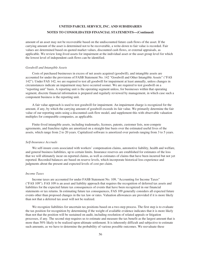amount of an asset may not be recoverable based on the undiscounted future cash flows of the asset. If the carrying amount of the asset is determined not to be recoverable, a write-down to fair value is recorded. Fair values are determined based on quoted market values, discounted cash flows, or external appraisals, as applicable. We review long-lived assets for impairment at the individual asset or the asset group level for which the lowest level of independent cash flows can be identified.

### *Goodwill and Intangible Assets*

Costs of purchased businesses in excess of net assets acquired (goodwill), and intangible assets are accounted for under the provisions of FASB Statement No. 142 "Goodwill and Other Intangible Assets" ("FAS 142"). Under FAS 142, we are required to test all goodwill for impairment at least annually, unless changes in circumstances indicate an impairment may have occurred sooner. We are required to test goodwill on a "reporting unit" basis. A reporting unit is the operating segment unless, for businesses within that operating segment, discrete financial information is prepared and regularly reviewed by management, in which case such a component business is the reporting unit.

A fair value approach is used to test goodwill for impairment. An impairment charge is recognized for the amount, if any, by which the carrying amount of goodwill exceeds its fair value. We primarily determine the fair value of our reporting units using a discounted cash flow model, and supplement this with observable valuation multiples for comparable companies, as applicable.

Finite-lived intangible assets, including trademarks, licenses, patents, customer lists, non-compete agreements, and franchise rights are amortized on a straight-line basis over the estimated useful lives of the assets, which range from 2 to 20 years. Capitalized software is amortized over periods ranging from 3 to 5 years.

### *Self-Insurance Accruals*

We self-insure costs associated with workers' compensation claims, automotive liability, health and welfare, and general business liabilities, up to certain limits. Insurance reserves are established for estimates of the loss that we will ultimately incur on reported claims, as well as estimates of claims that have been incurred but not yet reported. Recorded balances are based on reserve levels, which incorporate historical loss experience and judgments about the present and expected levels of cost per claim.

## *Income Taxes*

Income taxes are accounted for under FASB Statement No. 109, "Accounting for Income Taxes" ("FAS 109"). FAS 109 is an asset and liability approach that requires the recognition of deferred tax assets and liabilities for the expected future tax consequences of events that have been recognized in our financial statements or tax returns. In estimating future tax consequences, FAS 109 generally considers all expected future events other than proposed changes in the tax law or rates. Valuation allowances are provided if it is more likely than not that a deferred tax asset will not be realized.

We recognize liabilities for uncertain tax positions based on a two-step process. The first step is to evaluate the tax position for recognition by determining if the weight of available evidence indicates that it is more likely than not that the position will be sustained on audit, including resolution of related appeals or litigation processes, if any. The second step requires us to estimate and measure the tax benefit as the largest amount that is more than 50% likely to be realized upon ultimate settlement. It is inherently difficult and subjective to estimate such amounts, as we have to determine the probability of various possible outcomes. We reevaluate these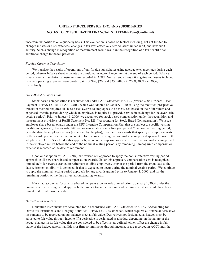uncertain tax positions on a quarterly basis. This evaluation is based on factors including, but not limited to, changes in facts or circumstances, changes in tax law, effectively settled issues under audit, and new audit activity. Such a change in recognition or measurement would result in the recognition of a tax benefit or an additional charge to the tax provision.

### *Foreign Currency Translation*

We translate the results of operations of our foreign subsidiaries using average exchange rates during each period, whereas balance sheet accounts are translated using exchange rates at the end of each period. Balance sheet currency translation adjustments are recorded in AOCI. Net currency transaction gains and losses included in other operating expenses were pre-tax gains of \$46, \$26, and \$23 million in 2008, 2007 and 2006, respectively.

### *Stock-Based Compensation*

Stock-based compensation is accounted for under FASB Statement No. 123 (revised 2004), "Share-Based Payment" ("FAS 123(R)"). FAS 123(R), which was adopted on January 1, 2006 using the modified-prospective transition method, requires all share-based awards to employees to be measured based on their fair values and expensed over the period during which an employee is required to provide service in exchange for the award (the vesting period). Prior to January 1, 2006, we accounted for stock-based compensation under the recognition and measurement provisions of FASB Statement No. 123, "Accounting for Stock-Based Compensation". We issue employee share-based awards under the UPS Incentive Compensation Plan that are subject to specific vesting conditions; generally, the awards cliff vest or vest ratably over a five year period, "the nominal vesting period," or at the date the employee retires (as defined by the plan), if earlier. For awards that specify an employee vests in the award upon retirement, we accounted for the awards using the nominal vesting period approach prior to the adoption of FAS 123(R). Under this approach, we record compensation expense over the nominal vesting period. If the employee retires before the end of the nominal vesting period, any remaining unrecognized compensation expense is recorded at the date of retirement.

Upon our adoption of FAS  $123(R)$ , we revised our approach to apply the non-substantive vesting period approach to all new share-based compensation awards. Under this approach, compensation cost is recognized immediately for awards granted to retirement-eligible employees, or over the period from the grant date to the date retirement eligibility is achieved, if that is expected to occur during the nominal vesting period. We continue to apply the nominal vesting period approach for any awards granted prior to January 1, 2006, and for the remaining portion of the then unvested outstanding awards.

If we had accounted for all share-based compensation awards granted prior to January 1, 2006 under the non-substantive vesting period approach, the impact to our net income and earnings per share would have been immaterial for all prior periods.

#### *Derivative Instruments*

Derivative instruments are accounted for in accordance with FASB Statement No. 133, "Accounting for Derivative Instruments and Hedging Activities" ("FAS 133"), as amended, which requires all financial derivative instruments to be recorded on our balance sheet at fair value. Derivatives not designated as hedges must be adjusted to fair value through income. If a derivative is designated as a hedge, depending on the nature of the hedge, changes in its fair value that are considered to be effective, as defined, either offset the change in fair value of the hedged assets, liabilities, or firm commitments through income, or are recorded in AOCI until the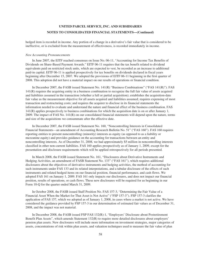hedged item is recorded in income. Any portion of a change in a derivative's fair value that is considered to be ineffective, or is excluded from the measurement of effectiveness, is recorded immediately in income.

### *New Accounting Pronouncements*

In June 2007, the EITF reached consensus on Issue No. 06-11, "Accounting for Income Tax Benefits of Dividends on Share-Based Payment Awards." EITF 06-11 requires that the tax benefit related to dividend equivalents paid on restricted stock units, which are expected to vest, be recorded as an increase to additional paid-in capital. EITF 06-11 is applied prospectively for tax benefits on dividends declared in fiscal years beginning after December 15, 2007. We adopted the provisions of EITF 06-11 beginning in the first quarter of 2008. This adoption did not have a material impact on our results of operations or financial condition.

In December 2007, the FASB issued Statement No. 141(R) "Business Combinations" ("FAS 141(R)"). FAS 141(R) requires the acquiring entity in a business combination to recognize the full fair value of assets acquired and liabilities assumed in the transaction (whether a full or partial acquisition); establishes the acquisition-date fair value as the measurement objective for all assets acquired and liabilities assumed; requires expensing of most transaction and restructuring costs; and requires the acquirer to disclose in its financial statements the information needed to evaluate and understand the nature and financial effect of the business combination. FAS 141(R) applies prospectively to business combinations for which the acquisition date is on or after January 1, 2009. The impact of FAS No. 141(R) on our consolidated financial statements will depend upon the nature, terms and size of the acquisitions we consummate after the effective date.

In December 2007, the FASB issued Statement No. 160, "Noncontrolling Interests in Consolidated Financial Statements—an amendment of Accounting Research Bulletin No. 51" ("FAS 160"). FAS 160 requires reporting entities to present noncontrolling (minority) interests as equity (as opposed to as a liability or mezzanine equity) and provides guidance on the accounting for transactions between an entity and noncontrolling interests. As of December 31, 2008, we had approximately \$5 million in noncontrolling interests classified in other non-current liabilities. FAS 160 applies prospectively as of January 1, 2009, except for the presentation and disclosure requirements which will be applied retrospectively for all periods presented.

In March 2008, the FASB issued Statement No. 161, "Disclosures about Derivative Instruments and Hedging Activities, an amendment of FASB Statement No. 133" ("FAS 161"), which requires additional disclosures about the objectives of derivative instruments and hedging activities, the method of accounting for such instruments under FAS 133 and its related interpretations, and a tabular disclosure of the effects of such instruments and related hedged items on our financial position, financial performance, and cash flows. We adopted FAS 161 on January 1, 2009. FAS 161 only impacts our disclosures, and does not impact our financial position, results of operations, or cash flows. These new disclosures will be required for us beginning in our Form 10-Q for the quarter ended March 31, 2009.

In October 2008, the FASB issued Staff Position No. FAS 157-3, "Determining the Fair Value of a Financial Asset When the Market for That Asset is Not Active" ("FSP 157-3"). FSP 157-3 clarifies the application of FAS 157, which we adopted as of January 1, 2008, in cases where a market is not active. We have considered the guidance provided by FSP 157-3 in our determination of estimated fair values as of December 31, 2008, and the impact was not material.

In December 2008, the FASB issued FSP FAS 132(R)-1, "Employers' Disclosure about Postretirement Benefit Plan Assets", which amends Statement 132(R) to require more detailed disclosures about employers' pension plan assets. New disclosures will include more information on investment strategies, major categories of assets, concentrations of risk within plan assets, and valuation techniques used to measure the fair value of plan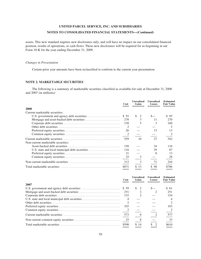assets. This new standard requires new disclosures only, and will have no impact on our consolidated financial position, results of operations, or cash flows. These new disclosures will be required for us beginning in our Form 10-K for the year ending December 31, 2009.

### *Changes in Presentation*

Certain prior year amounts have been reclassified to conform to the current year presentation.

## **NOTE 2. MARKETABLE SECURITIES**

The following is a summary of marketable securities classified as available-for-sale at December 31, 2008 and 2007 (in millions):

|                                                                                  | Cost                        | <b>Unrealized</b><br>Gains | <b>Unrealized</b><br>Losses | <b>Estimated</b><br><b>Fair Value</b> |
|----------------------------------------------------------------------------------|-----------------------------|----------------------------|-----------------------------|---------------------------------------|
| 2008                                                                             |                             |                            |                             |                                       |
| Current marketable securities:                                                   |                             |                            |                             |                                       |
| U.S. government and agency debt securities $\dots\dots\dots\dots\dots\dots\dots$ | \$93                        | S.<br>2                    |                             | \$95                                  |
|                                                                                  | 278                         | 3                          | 11                          | 270                                   |
|                                                                                  | 158                         | 5                          | 3                           | 160                                   |
|                                                                                  | $\mathcal{D}_{\mathcal{L}}$ |                            |                             | 2                                     |
|                                                                                  | 26                          |                            | 13                          | 13                                    |
|                                                                                  |                             |                            |                             |                                       |
| Non-current marketable securities:                                               | 559                         | 10                         | 27                          | 542                                   |
|                                                                                  | 150                         |                            | 34                          | 116                                   |
| U.S. state and local municipal debt securities $\dots \dots \dots \dots \dots$   | 116                         |                            | 29                          | 87                                    |
|                                                                                  | 21                          |                            | 8                           | 13                                    |
|                                                                                  | 25                          | 3                          |                             | 28                                    |
|                                                                                  | 312                         |                            | 71                          | 244                                   |
|                                                                                  | \$871                       | 13                         | \$98                        | \$786                                 |

|                                                                                        | Cost          | <b>Unrealized</b><br>Gains | <b>Unrealized</b><br><b>Losses</b> | <b>Estimated</b><br><b>Fair Value</b> |
|----------------------------------------------------------------------------------------|---------------|----------------------------|------------------------------------|---------------------------------------|
| 2007                                                                                   |               |                            |                                    |                                       |
| U.S. government and agency debt securities $\dots \dots \dots \dots \dots \dots$ \$ 59 |               | $\frac{1}{2}$              |                                    | \$ 61                                 |
|                                                                                        |               |                            |                                    | 251                                   |
|                                                                                        | - 152         |                            |                                    | 154                                   |
|                                                                                        | 4             |                            |                                    |                                       |
|                                                                                        | $\mathcal{D}$ |                            |                                    |                                       |
|                                                                                        | 103           |                            |                                    | 103                                   |
|                                                                                        |               |                            |                                    |                                       |
|                                                                                        |               | -6                         | $\overline{2}$                     | 577                                   |
|                                                                                        |               | 8                          |                                    | 33                                    |
|                                                                                        | \$598         | \$14                       | $\mathcal{S}$<br>$\mathcal{L}$     | \$610                                 |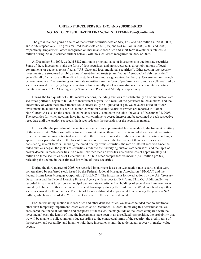The gross realized gains on sales of marketable securities totaled \$19, \$23, and \$12 million in 2008, 2007, and 2006, respectively. The gross realized losses totaled \$10, \$9, and \$21 million in 2008, 2007, and 2006, respectively. Impairment losses recognized on marketable securities and short-term investments totaled \$23 million during 2008 (discussed further below), with no such losses recognized in 2007 or 2006.

At December 31, 2008, we held \$287 million in principal value of investments in auction rate securities. Some of these investments take the form of debt securities, and are structured as direct obligations of local governments or agencies (classified as "U.S. State and local municipal securities"). Other auction rate security investments are structured as obligations of asset-backed trusts (classified as "Asset-backed debt securities"), generally all of which are collateralized by student loans and are guaranteed by the U.S. Government or through private insurance. The remaining auction rate securities take the form of preferred stock, and are collateralized by securities issued directly by large corporations. Substantially all of our investments in auction rate securities maintain ratings of A / A1 or higher by Standard and Poor's and Moody's, respectively.

During the first quarter of 2008, market auctions, including auctions for substantially all of our auction rate securities portfolio, began to fail due to insufficient buyers. As a result of the persistent failed auctions, and the uncertainty of when these investments could successfully be liquidated at par, we have classified all of our investments in auction rate securities to non-current marketable securities (which are reported in "Other Non-Current Assets" on the consolidated balance sheet), as noted in the table above, as of December 31, 2008. The securities for which auctions have failed will continue to accrue interest and be auctioned at each respective reset date until the auction succeeds, the issuer redeems the securities, or the securities mature.

Historically, the par value of the auction rate securities approximated fair value due to the frequent resetting of the interest rate. While we will continue to earn interest on these investments in failed auction rate securities (often at the maximum contractual interest rate), the estimated fair value of the auction rate securities no longer approximates par value due to the lack of liquidity. We estimated the fair value of these securities after considering several factors, including the credit quality of the securities, the rate of interest received since the failed auctions began, the yields of securities similar to the underlying auction rate securities, and the input of broker-dealers in these securities. As a result, we recorded an after-tax unrealized loss of approximately \$47 million on these securities as of December 31, 2008 in other comprehensive income (\$71 million pre-tax), reflecting the decline in the estimated fair value of these securities.

During the third quarter of 2008, we recorded impairment losses on two auction rate securities that were collateralized by preferred stock issued by the Federal National Mortgage Association ("FNMA") and the Federal Home Loan Mortgage Corporation ("FHLMC"). The impairment followed actions by the U.S. Treasury Department and the Federal Housing Finance Agency with respect to FNMA and FHLMC. Additionally, we recorded impairment losses on a municipal auction rate security and on holdings of several medium term notes issued by Lehman Brothers Inc., which declared bankruptcy during the third quarter. We do not hold any other securities issued by these entities. The total of these credit-related impairment losses during the year was \$23 million, which was recorded in "investment income" on the income statement.

For the remaining auction rate securities and other debt securities, we have concluded that no additional other-than-temporary impairment losses existed as of December 31, 2008. In making this determination, we considered the financial condition and prospects of the issuer, the magnitude of the losses compared with the investments' cost, the length of time the investments have been in an unrealized loss position, the probability that we will be unable to collect amounts due according to the contractual terms of the security, the credit rating of the security, and our ability and intent to hold these investments until the anticipated recovery in market value occurs.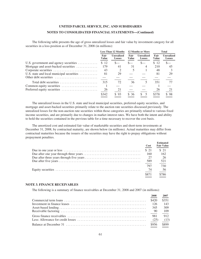### **UNITED PARCEL SERVICE, INC. AND SUBSIDIARIES**

### **NOTES TO CONSOLIDATED FINANCIAL STATEMENTS—(Continued)**

The following table presents the age of gross unrealized losses and fair value by investment category for all securities in a loss position as of December 31, 2008 (in millions):

|                                                    | <b>Less Than 12 Months</b> |                                    | 12 Months or More    |                             | <b>Total</b>         |                                    |
|----------------------------------------------------|----------------------------|------------------------------------|----------------------|-----------------------------|----------------------|------------------------------------|
|                                                    | Fair<br><b>Value</b>       | <b>Unrealized</b><br><b>Losses</b> | Fair<br><b>Value</b> | <b>Unrealized</b><br>Losses | Fair<br><b>Value</b> | <b>Unrealized</b><br><b>Losses</b> |
| U.S. government and agency securities              | \$12                       | $S-$                               |                      |                             | \$ 12                | $S-$                               |
| Mortgage and asset-backed securities               | 179                        | 41                                 | 31                   | 4                           | 210                  | 45                                 |
|                                                    | 43                         |                                    |                      |                             | 48                   |                                    |
| U.S. state and local municipal securities $\ldots$ | 81                         | 29                                 |                      |                             | 81                   | 29                                 |
| Other debt securities                              |                            |                                    |                      |                             |                      |                                    |
| Total debt securities                              | 315                        | 72                                 | 36                   |                             | 351                  | 77                                 |
| Common equity securities                           |                            |                                    |                      |                             |                      |                                    |
| Preferred equity securities                        | 26                         | 21                                 |                      |                             | 26                   | 21                                 |
|                                                    | \$342                      | \$93                               | \$36                 | $\frac{1}{2}$ 5             | \$378                | \$98                               |

The unrealized losses in the U.S. state and local municipal securities, preferred equity securities, and mortgage and asset-backed securities primarily relate to the auction rate securities discussed previously. The unrealized losses for the non-auction rate securities within those categories are primarily related to various fixed income securities, and are primarily due to changes in market interest rates. We have both the intent and ability to hold the securities contained in the previous table for a time necessary to recover the cost basis.

The amortized cost and estimated fair value of marketable securities and short-term investments at December 31, 2008, by contractual maturity, are shown below (in millions). Actual maturities may differ from contractual maturities because the issuers of the securities may have the right to prepay obligations without prepayment penalties.

| Cost  | <b>Estimated</b><br><b>Fair Value</b> |
|-------|---------------------------------------|
| \$21  | \$21                                  |
| 160   | 162                                   |
| 27    | 26                                    |
| 589   | 521                                   |
| 797   | 730                                   |
| -74   | $\frac{56}{1}$                        |
| \$871 | \$786                                 |

### **NOTE 3. FINANCE RECEIVABLES**

The following is a summary of finance receivables at December 31, 2008 and 2007 (in millions):

|                                                                                                                                                         | 2008 | 2007  |
|---------------------------------------------------------------------------------------------------------------------------------------------------------|------|-------|
|                                                                                                                                                         |      | \$351 |
|                                                                                                                                                         |      | 143   |
|                                                                                                                                                         |      | 309   |
|                                                                                                                                                         |      | 109   |
|                                                                                                                                                         |      |       |
| Less: Allowance for credit losses $\dots \dots \dots \dots \dots \dots \dots \dots \dots \dots \dots \dots \dots \dots \dots \dots \dots \tag{25}$ (13) |      |       |
|                                                                                                                                                         |      |       |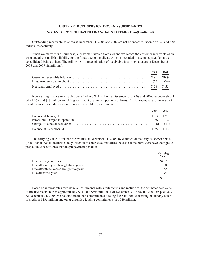Outstanding receivable balances at December 31, 2008 and 2007 are net of unearned income of \$26 and \$30 million, respectively.

When we "factor" (i.e., purchase) a customer invoice from a client, we record the customer receivable as an asset and also establish a liability for the funds due to the client, which is recorded in accounts payable on the consolidated balance sheet. The following is a reconciliation of receivable factoring balances at December 31, 2008 and 2007 (in millions):

| 2008 2007 |  |
|-----------|--|
|           |  |
|           |  |
|           |  |

Non-earning finance receivables were \$94 and \$42 million at December 31, 2008 and 2007, respectively, of which \$57 and \$19 million are U.S. government guaranteed portions of loans. The following is a rollforward of the allowance for credit losses on finance receivables (in millions):

|                                                                                                                      | 2008 2007 |  |
|----------------------------------------------------------------------------------------------------------------------|-----------|--|
|                                                                                                                      |           |  |
| Provisions charged to operations $\ldots \ldots \ldots \ldots \ldots \ldots \ldots \ldots \ldots \ldots \ldots$ 28 2 |           |  |
|                                                                                                                      |           |  |
|                                                                                                                      |           |  |

The carrying value of finance receivables at December 31, 2008, by contractual maturity, is shown below (in millions). Actual maturities may differ from contractual maturities because some borrowers have the right to prepay these receivables without prepayment penalties.

| Carrying<br>Value |
|-------------------|
| \$487             |
| - 68              |
| 32                |
| $\frac{394}{1}$   |
| \$981             |

Based on interest rates for financial instruments with similar terms and maturities, the estimated fair value of finance receivables is approximately \$957 and \$895 million as of December 31, 2008 and 2007, respectively. At December 31, 2008, we had unfunded loan commitments totaling \$885 million, consisting of standby letters of credit of \$136 million and other unfunded lending commitments of \$749 million.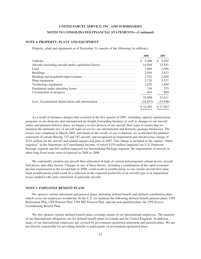## **NOTE 4. PROPERTY, PLANT AND EQUIPMENT**

Property, plant and equipment as of December 31 consists of the following (in millions):

|                                                        | 2008         | 2007     |
|--------------------------------------------------------|--------------|----------|
|                                                        | 5.508<br>\$. | \$5,295  |
| Aircraft (including aircraft under capitalized leases) | 14.564       | 13,541   |
|                                                        | 1.068        | 1.056    |
|                                                        | 2.836        | 2.837    |
|                                                        | 2.702        | 2.604    |
|                                                        | 5.720        | 5.537    |
|                                                        | 1.620        | 1.699    |
|                                                        | 136          | 153      |
|                                                        | 944          | 889      |
|                                                        | 35,098       | 33.611   |
| Less: Accumulated depreciation and amortization        | (16,833)     | (15,948) |
|                                                        | \$18.265     | \$17.663 |
|                                                        |              |          |

As a result of business changes that occurred in the first quarter of 2007, including capacity-optimization programs in our domestic and international air freight forwarding business as well as changes to our aircraft orders and planned delivery dates, we began a review process of our aircraft fleet types to ensure that we maintain the optimum mix of aircraft types to service our international and domestic package businesses. The review was completed in March 2007, and based on the results of our evaluation, we accelerated the planned retirement of certain Boeing 727 and 747 aircraft, and recognized an impairment and obsolescence charge of \$221 million for the aircraft and related engines and parts in 2007. This charge is included in the caption "Other expenses" in the Statements of Consolidated Income, of which \$159 million impacted our U.S. Domestic Package segment and \$62 million impacted our International Package segment. No impairments of aircraft or other long-lived assets were recognized in 2008 or 2006.

We continually monitor our aircraft fleet utilization in light of current and projected volume levels, aircraft fuel prices, and other factors. Changes in any of these factors, including a continuation of the rapid economic decline experienced in the second half of 2008, could result in modifications to our current aircraft fleet plan. Such modifications could result in a reduction in the expected useful life of an aircraft type or in impairment losses related to the early retirement of particular aircraft.

### **NOTE 5. EMPLOYEE BENEFIT PLANS**

We sponsor various retirement and pension plans, including defined benefit and defined contribution plans which cover our employees worldwide. In the U.S. we maintain the following defined benefit pension plans: UPS Retirement Plan, UPS Pension Plan, UPS IBT Pension Plan, and one non-qualified plan, the UPS Excess Coordinating Benefit Plan.

We also sponsor various defined benefit plans covering certain of our International employees. The majority of our International obligations are for defined benefit plans in Canada and the United Kingdom. In addition, many of our International employees are covered by government-sponsored retirement and pension plans. We are not directly responsible for providing benefits to participants of government-sponsored plans.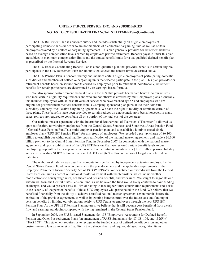The UPS Retirement Plan is noncontributory and includes substantially all eligible employees of participating domestic subsidiaries who are not members of a collective bargaining unit, as well as certain employees covered by a collective bargaining agreement. This plan generally provides for retirement benefits based on average compensation levels earned by employees prior to retirement. Benefits payable under this plan are subject to maximum compensation limits and the annual benefit limits for a tax qualified defined benefit plan as prescribed by the Internal Revenue Service.

The UPS Excess Coordinating Benefit Plan is a non-qualified plan that provides benefits to certain eligible participants in the UPS Retirement Plan for amounts that exceed the benefit limits described above.

The UPS Pension Plan is noncontributory and includes certain eligible employees of participating domestic subsidiaries and members of collective bargaining units that elect to participate in the plan. This plan provides for retirement benefits based on service credits earned by employees prior to retirement. Additionally, retirement benefits for certain participants are determined by an earnings-based formula.

We also sponsor postretirement medical plans in the U.S. that provide health care benefits to our retirees who meet certain eligibility requirements and who are not otherwise covered by multi-employer plans. Generally, this includes employees with at least 10 years of service who have reached age 55 and employees who are eligible for postretirement medical benefits from a Company-sponsored plan pursuant to their domestic subsidiary company or collective bargaining agreements. We have the right to modify or terminate certain of these plans. These benefits have been provided to certain retirees on a noncontributory basis; however, in many cases, retirees are required to contribute all or a portion of the total cost of the coverage.

Our national master agreement with the International Brotherhood of Teamsters ("Teamsters") allowed us, upon ratification, to withdraw employees from the Central States, Southeast and Southwest Areas Pension Fund ("Central States Pension Fund"), a multi-employer pension plan, and to establish a jointly trusteed singleemployer plan ("UPS IBT Pension Plan") for this group of employees. We recorded a pre-tax charge of \$6.100 billion to establish our withdrawal liability upon ratification of the national master agreement, and made a \$6.100 billion payment to the Central States Pension Fund in December 2007. In connection with the national master agreement and upon establishment of the UPS IBT Pension Plan, we restored certain benefit levels to our employee group within the new plan, which resulted in the initial recognition of a \$1.701 billion pension liability and a corresponding \$1.062 billion reduction of AOCI and \$639 million reduction of long-term deferred tax liabilities.

The withdrawal liability was based on computations performed by independent actuaries employed by the Central States Pension Fund, in accordance with the plan document and the applicable requirements of the Employee Retirement Income Security Act of 1974 ("ERISA"). We negotiated our withdrawal from the Central States Pension Fund as part of our national master agreement with the Teamsters, which included other modifications to hourly wage rates, healthcare and pension benefits, and work rules. We sought to negotiate our withdrawal from the Central States Pension Fund, as we believed the fund would likely continue to have funding challenges, and would present a risk to UPS of having to face higher future contribution requirements and a risk to the security of the pension benefits of those UPS employees who participated in the fund. We believe that we benefited financially from the ability to achieve a ratified national master agreement seven months before the expiration of the previous agreement, as well as by gaining better control over the future cost and funding of pension benefits by limiting our obligations solely to UPS Teamster employees through the new UPS IBT Pension Plan. As the UPS IBT Pension Plan matures, we believe that it will become cost beneficial from a cash flow and earnings standpoint compared with having remained in the Central States Pension Fund.

In September 2006, the FASB issued Statement No. 158 "Employers' Accounting for Defined Benefit Pension and Other Postretirement Plans (an amendment of FASB Statements No. 87, 88, 106, and 132(R))" ("FAS 158"). This statement requires us to recognize the funded status of defined benefit pension and other postretirement plans as an asset or liability in the balance sheet, and required delayed recognition items,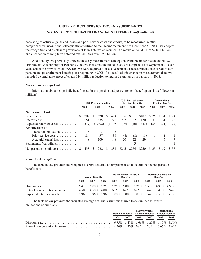consisting of actuarial gains and losses and prior service costs and credits, to be recognized in other comprehensive income and subsequently amortized to the income statement. On December 31, 2006, we adopted the recognition and disclosure provisions of FAS 158, which resulted in a reduction to AOCI of \$2.097 billion and a reduction of long-term deferred tax liabilities of \$1.258 billion.

Additionally, we previously utilized the early measurement date option available under Statement No. 87 "Employers' Accounting for Pensions", and we measured the funded status of our plans as of September 30 each year. Under the provisions of FAS 158, we were required to use a December 31 measurement date for all of our pension and postretirement benefit plans beginning in 2008. As a result of this change in measurement date, we recorded a cumulative effect after-tax \$44 million reduction to retained earnings as of January 1, 2008.

## *Net Periodic Benefit Cost*

Information about net periodic benefit cost for the pension and postretirement benefit plans is as follows (in millions):

|                                             | <b>U.S. Pension Benefits</b> |         |     | <b>U.S. Postretirement</b><br><b>Medical Benefits</b> |    |         | <b>International</b><br><b>Pension Benefits</b> |       |       |         |          |          |
|---------------------------------------------|------------------------------|---------|-----|-------------------------------------------------------|----|---------|-------------------------------------------------|-------|-------|---------|----------|----------|
|                                             |                              | 2008    |     | 2007                                                  |    | 2006    | 2008                                            | 2007  | 2006  | 2008    | 2007     | 2006     |
| <b>Net Periodic Cost:</b>                   |                              |         |     |                                                       |    |         |                                                 |       |       |         |          |          |
| Service cost                                | \$.                          | 707     | \$. | 520                                                   | -S | 474     | \$96                                            | \$101 | \$102 | S<br>26 | S.<br>31 | S<br>-24 |
| Interest $cost$                             |                              | 1,051   |     | 835                                                   |    | 726     | 202                                             | 182   | 170   | 31      | 31       | 26       |
| Expected return on assets $\dots\dots\dots$ |                              | (1,517) |     | (1,302)                                               |    | (1,106) | (49)                                            | (46)  | (43)  | (35)    | (31)     | (22)     |
| Amortization of:                            |                              |         |     |                                                       |    |         |                                                 |       |       |         |          |          |
| Transition obligation $\ldots \ldots$       |                              |         |     | 3                                                     |    | 3       |                                                 |       |       |         |          |          |
| Prior service cost                          |                              | 184     |     | 57                                                    |    | 36      | (4)                                             | (8)   | (8)   | I.      |          |          |
| Actuarial (gain) loss $\dots \dots$         |                              | 8       |     | 109                                                   |    | 148     | 20                                              | 22    | 29    |         |          |          |
| Settlements / curtailments                  |                              |         |     |                                                       |    |         |                                                 | 3     |       |         |          |          |
| Net periodic benefit cost $\dots\dots\dots$ |                              | 438     |     | 222                                                   | S  | 281     | \$265                                           | \$254 | \$250 | \$23    | 37<br>S. | \$ 37    |

#### *Actuarial Assumptions*

The table below provides the weighted average actuarial assumptions used to determine the net periodic benefit cost.

|                                                                                  | <b>Pension Benefits</b> |      |      |      | <b>Postretirement Medical</b><br><b>Benefits</b> |      | <b>International Pension</b><br><b>Benefits</b> |      |      |
|----------------------------------------------------------------------------------|-------------------------|------|------|------|--------------------------------------------------|------|-------------------------------------------------|------|------|
|                                                                                  | 2008                    | 2007 | 2006 | 2008 | 2007                                             | 2006 | 2008                                            | 2007 | 2006 |
|                                                                                  |                         |      |      |      |                                                  |      |                                                 |      |      |
| Rate of compensation increase  4.50% 4.50% 4.00% N/A N/A N/A 3.64% 3.40% 3.94%   |                         |      |      |      |                                                  |      |                                                 |      |      |
| Expected return on assets  8.96% 8.96% 8.96% 9.00% 9.00% 9.00% 7.54% 7.53% 7.67% |                         |      |      |      |                                                  |      |                                                 |      |      |

The table below provides the weighted average actuarial assumptions used to determine the benefit obligations of our plans.

|      |                     | Postretirement International<br><b>Pension Benefits Medical Benefits Pension Benefits</b> |      |
|------|---------------------|-------------------------------------------------------------------------------------------|------|
| 2008 | 2007 2008 2007 2008 |                                                                                           | 2007 |
|      |                     |                                                                                           |      |
|      |                     |                                                                                           |      |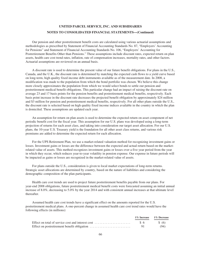Our pension and other postretirement benefit costs are calculated using various actuarial assumptions and methodologies as prescribed by Statement of Financial Accounting Standards No. 87, "Employers' Accounting for Pensions" and Statement of Financial Accounting Standards No. 106, "Employers' Accounting for Postretirement Benefits Other than Pensions." These assumptions include discount rates, expected return on plan assets, health care cost trend rates, inflation, rate of compensation increases, mortality rates, and other factors. Actuarial assumptions are reviewed on an annual basis.

A discount rate is used to determine the present value of our future benefit obligations. For plans in the U.S., Canada, and the U.K., the discount rate is determined by matching the expected cash flows to a yield curve based on long-term, high quality fixed income debt instruments available as of the measurement date. In 2008, a modification was made to the population from which the bond portfolio was chosen. We believe this change more closely approximates the population from which we would select bonds to settle our pension and postretirement medical benefit obligations. This particular change had an impact of raising the discount rate on average 23 and 17 basis points for the pension benefits and postretirement medical benefits, respectively. Each basis point increase in the discount rate decreases the projected benefit obligation by approximately \$24 million and \$3 million for pension and postretirement medical benefits, respectively. For all other plans outside the U.S., the discount rate is selected based on high quality fixed income indices available in the country in which the plan is domiciled. These assumptions are updated each year.

An assumption for return on plan assets is used to determine the expected return on asset component of net periodic benefit cost for the fiscal year. This assumption for our U.S. plans was developed using a long-term projection of returns for each asset class, and taking into consideration our target asset allocation. For our U.S. plans, the 10-year U.S. Treasury yield is the foundation for all other asset class returns, and various risk premiums are added to determine the expected return for each allocation.

For the UPS Retirement Plan, we use a market-related valuation method for recognizing investment gains or losses. Investment gains or losses are the difference between the expected and actual return based on the marketrelated value of assets. This method recognizes investment gains or losses over a five year period from the year in which they occur, which reduces year-to-year volatility in pension expense. Our expense in future periods will be impacted as gains or losses are recognized in the market-related value of assets.

For plans outside the U.S., consideration is given to local market expectations of long-term returns. Strategic asset allocations are determined by country, based on the nature of liabilities and considering the demographic composition of the plan participants.

Health care cost trends are used to project future postretirement benefits payable from our plans. For year-end 2008 obligations, future postretirement medical benefit costs were forecasted assuming an initial annual increase of 8.0%, decreasing to 5.0% by the year 2014 and with consistent annual increases at that ultimate level thereafter.

Assumed health care cost trends have a significant effect on the amounts reported for the U.S. postretirement medical plans. A one-percent change in assumed health care cost trend rates would have the following effects (in millions):

| 1\% Increase 1\% Decrease |  |
|---------------------------|--|
|                           |  |
|                           |  |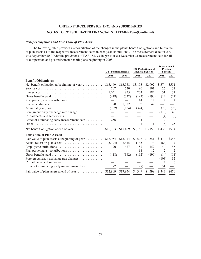# *Benefit Obligations and Fair Value of Plan Assets*

The following table provides a reconciliation of the changes in the plans' benefit obligations and fair value of plan assets as of the respective measurement dates in each year (in millions). The measurement date for 2007 was September 30. Under the provisions of FAS 158, we began to use a December 31 measurement date for all of our pension and postretirement benefit plans beginning in 2008.

|                                                                                       | <b>U.S. Pension Benefits</b> |          | <b>U.S. Postretirement</b><br><b>Medical Benefits</b> |           | <b>International</b><br><b>Pension</b><br><b>Benefits</b> |                |
|---------------------------------------------------------------------------------------|------------------------------|----------|-------------------------------------------------------|-----------|-----------------------------------------------------------|----------------|
|                                                                                       | 2008                         | 2007     | 2008                                                  | 2007      | 2008                                                      | 2007           |
| <b>Benefit Obligations:</b>                                                           |                              |          |                                                       |           |                                                           |                |
| Net benefit obligation at beginning of year                                           | \$15,469                     | \$13,558 | \$3,153                                               | \$2,992   | \$574                                                     | \$551          |
|                                                                                       | 707                          | 520      | 96                                                    | 101       | 26                                                        | 31             |
| Interest cost $\ldots \ldots \ldots \ldots \ldots \ldots \ldots \ldots \ldots \ldots$ | 1,051                        | 835      | 202                                                   | 182       | 31                                                        | 31             |
|                                                                                       | (418)                        | (342)    | (192)                                                 | (190)     | (14)                                                      | (11)           |
| Plan participants' contributions                                                      |                              |          | 14                                                    | 12        | 2                                                         | $\overline{2}$ |
| Plan amendments                                                                       | 20                           | 1,722    | 182                                                   | 47        |                                                           |                |
|                                                                                       | (782)                        | (824)    | (324)                                                 | 8         | (70)                                                      | (95)           |
| Foreign currency exchange rate changes                                                |                              |          |                                                       |           | (113)                                                     | 46             |
| Curtailments and settlements                                                          |                              |          |                                                       |           | (4)                                                       | (6)            |
| Effect of eliminating early measurement date                                          | 256                          |          | 34                                                    |           | 12                                                        |                |
| Other                                                                                 |                              |          | 1                                                     | -1        | (6)                                                       | 25             |
| Net benefit obligation at end of year                                                 | \$16,303                     | \$15,469 | \$3,166                                               | \$3,153   | \$438                                                     | \$574          |
| <b>Fair Value of Plan Assets:</b>                                                     |                              |          |                                                       |           |                                                           |                |
| Fair value of plan assets at beginning of year                                        | \$17,954                     | \$15,374 | 598<br>\$.                                            | 551<br>S. | \$470                                                     | \$348          |
| Actual return on plan assets                                                          | (5, 124)                     | 2,445    | (145)                                                 | 73        | (83)                                                      | 37             |
| Employer contributions                                                                | 120                          | 477      | 82                                                    | 152       | 44                                                        | 56             |
| Plan participants' contributions                                                      |                              |          | 14                                                    | 12        | 2                                                         | $\overline{2}$ |
|                                                                                       | (418)                        | (342)    | (192)                                                 | (190)     | (14)                                                      | (11)           |
| Foreign currency exchange rate changes                                                |                              |          |                                                       |           | (103)                                                     | 32             |
| Curtailments and settlements                                                          |                              |          |                                                       |           | (4)                                                       | 6              |
| Effect of eliminating early measurement date                                          | 277                          |          | (8)                                                   |           | 31                                                        |                |
| Fair value of plan assets at end of year                                              | \$12,809                     | \$17,954 | \$<br>349                                             | 598<br>S  | \$ 343                                                    | \$470          |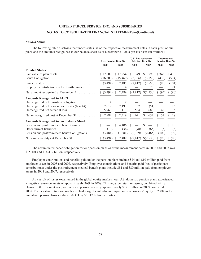## **NOTES TO CONSOLIDATED FINANCIAL STATEMENTS—(Continued)**

### *Funded Status*

The following table discloses the funded status, as of the respective measurement dates in each year, of our plans and the amounts recognized in our balance sheet as of December 31, on a pre-tax basis (in millions):

|                                                            | <b>U.S. Pension Benefits</b> |             | <b>U.S. Postretirement</b><br><b>Medical Benefits</b> |            | <b>International</b><br><b>Pension Benefits</b> |            |
|------------------------------------------------------------|------------------------------|-------------|-------------------------------------------------------|------------|-------------------------------------------------|------------|
|                                                            | 2008                         | 2007        | 2008                                                  | 2007       | 2008                                            | 2007       |
| <b>Funded Status:</b>                                      |                              |             |                                                       |            |                                                 |            |
|                                                            | \$12,809                     | \$17,954    | 349<br>S                                              | 598<br>\$. | \$ 343                                          | \$470      |
|                                                            | (16,303)                     | (15, 469)   | (3,166)                                               | (3,153)    | (438)                                           | (574)      |
|                                                            | (3,494)                      | 2,485       | (2,817)                                               | (2,555)    | (95)                                            | (104)      |
| Employer contributions in the fourth quarter $\dots\dots$  |                              | 4           |                                                       | 25         |                                                 | 24         |
| Net amount recognized at December 31                       | \$ (3,494)                   | \$<br>2,489 | \$(2,817)                                             | \$(2,530)  | \$ (95)                                         | (80)<br>S. |
| <b>Amounts Recognized in AOCI:</b>                         |                              |             |                                                       |            |                                                 |            |
| Unrecognized net transition obligation $\dots \dots \dots$ | 4                            | 9           |                                                       |            |                                                 |            |
| Unrecognized net prior service cost / (benefit)            | 2,017                        | 2,197       | 137                                                   | (51)       | 10                                              | 13         |
| Unrecognized net actuarial loss                            | 5,963                        | 113         | 534                                                   | 683        | 42                                              | 5          |
| Net unrecognized cost at December 31                       | 7,984                        | 2,319<br>\$ | 671<br>S                                              | 632        | 52                                              | S<br>18    |
| <b>Amounts Recognized in our Balance Sheet:</b>            |                              |             |                                                       |            |                                                 |            |
| Pension and postretirement benefit assets                  | <sup>\$</sup>                | 4,406       | S                                                     |            | S.<br>10                                        | 15<br>£.   |
| Other current liabilities                                  | (10)                         | (36)        | (78)                                                  | (65)       | (5)                                             | (3)        |
| Pension and postretirement benefit obligations             | (3,484)                      | (1,881)     | (2,739)                                               | (2,465)    | (100)                                           | (92)       |
| Net asset (liability) at December 31                       | (3,494)<br>S.                | 2,489<br>S. | \$(2,817)                                             | \$(2,530)  | S.<br>(95)                                      | (80)<br>S  |

The accumulated benefit obligation for our pension plans as of the measurement dates in 2008 and 2007 was \$15.301 and \$14.419 billion, respectively.

Employer contributions and benefits paid under the pension plans include \$24 and \$19 million paid from employer assets in 2008 and 2007, respectively. Employer contributions and benefits paid (net of participant contributions) under the postretirement medical benefit plans include \$81 and \$80 million paid from employer assets in 2008 and 2007, respectively.

As a result of losses experienced in the global equity markets, our U.S. domestic pension plans experienced a negative return on assets of approximately 26% in 2008. This negative return on assets, combined with a change in the discount rate, will increase pension costs by approximately \$121 million in 2009 compared to 2008. The negative return on assets also had a significant adverse impact on shareowners' equity in 2008, as the unrealized pension losses reduced AOCI by \$3.717 billion, after-tax.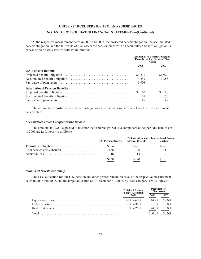### **NOTES TO CONSOLIDATED FINANCIAL STATEMENTS—(Continued)**

At the respective measurement dates in 2008 and 2007, the projected benefit obligation, the accumulated benefit obligation, and the fair value of plan assets for pension plans with an accumulated benefit obligation in excess of plan assets were as follows (in millions):

|                                       |         | <b>Accumulated Benefit Obligation</b><br><b>Exceeds the Fair Value of Plan</b><br><b>Assets</b> |
|---------------------------------------|---------|-------------------------------------------------------------------------------------------------|
|                                       | 2008    | 2007                                                                                            |
| <b>U.S. Pension Benefits</b>          |         |                                                                                                 |
|                                       | \$4,274 | \$1,920                                                                                         |
|                                       | 4.249   | 1,883                                                                                           |
|                                       | 1.908   |                                                                                                 |
| <b>International Pension Benefits</b> |         |                                                                                                 |
|                                       | \$165   | 180                                                                                             |
|                                       | 137     | 150                                                                                             |
|                                       | 89      | 99                                                                                              |

The accumulated postretirement benefit obligation exceeds plan assets for all of our U.S. postretirement benefit plans.

## *Accumulated Other Comprehensive Income*

The amounts in AOCI expected to be amortized and recognized as a component of net periodic benefit cost in 2009 are as follows (in millions):

|                                                                      | <b>U.S. Pension Benefits</b> | <b>Medical Benefits</b> | U.S. Postretirement International Pension<br><b>Benefits</b> |
|----------------------------------------------------------------------|------------------------------|-------------------------|--------------------------------------------------------------|
| Transition obligation                                                | $\frac{1}{2}$                |                         |                                                              |
| Prior service $cost / (benefit) \dots \dots \dots \dots \dots \dots$ | 178                          |                         |                                                              |
|                                                                      | 46                           | 14                      |                                                              |
|                                                                      | \$228                        | \$20                    |                                                              |

### *Plan Asset Investment Policy*

The asset allocation for our U.S. pension and other postretirement plans as of the respective measurement dates in 2008 and 2007, and the target allocation as of December 31, 2008, by asset category, are as follows:

| <b>Weighted Average</b> | <b>Percentage of</b><br><b>Plan Assets</b><br><b>Target Allocation</b> |                  |
|-------------------------|------------------------------------------------------------------------|------------------|
| 2008                    | 2008                                                                   | 2007             |
| $45\% - 60\%$           |                                                                        | $44.2\%$ 59.0\%  |
| $20\% - 35\%$           |                                                                        | $31.0\%$ 25.0\%  |
| $10\% - 25\%$           |                                                                        | 24.8% 16.0%      |
|                         |                                                                        | $100.0\%$ 100.0% |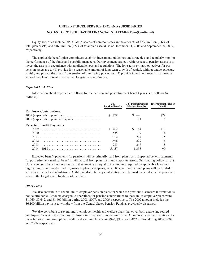Equity securities include UPS Class A shares of common stock in the amounts of \$338 million (2.6% of total plan assets) and \$460 million (2.5% of total plan assets), as of December 31, 2008 and September 30, 2007, respectively.

The applicable benefit plan committees establish investment guidelines and strategies, and regularly monitor the performance of the funds and portfolio managers. Our investment strategy with respect to pension assets is to invest the assets in accordance with applicable laws and regulations. The long-term primary objectives for our pension assets are to (1) provide for a reasonable amount of long-term growth of capital, without undue exposure to risk; and protect the assets from erosion of purchasing power, and (2) provide investment results that meet or exceed the plans' actuarially assumed long-term rate of return.

## *Expected Cash Flows*

Information about expected cash flows for the pension and postretirement benefit plans is as follows (in millions):

|                                        | U.S.<br><b>Pension Benefits</b> | <b>Medical Benefits</b> | <b>U.S. Postretirement</b> International Pension<br><b>Benefits</b> |
|----------------------------------------|---------------------------------|-------------------------|---------------------------------------------------------------------|
| <b>Employer Contributions:</b>         |                                 |                         |                                                                     |
|                                        | \$ 778                          |                         | \$29                                                                |
| $2009$ (expected) to plan participants | 11                              | 81                      |                                                                     |
| <b>Expected Benefit Payments:</b>      |                                 |                         |                                                                     |
|                                        | -462                            | - 184                   | \$13                                                                |
|                                        | 535                             | 199                     | 14                                                                  |
|                                        | 612                             | 217                     | 15                                                                  |
|                                        | 696                             | 229                     | 16                                                                  |
|                                        | 783                             | 247                     | 18                                                                  |
|                                        | 5.457                           | 1.355                   | 99                                                                  |

Expected benefit payments for pensions will be primarily paid from plan trusts. Expected benefit payments for postretirement medical benefits will be paid from plan trusts and corporate assets. Our funding policy for U.S. plans is to contribute amounts annually that are at least equal to the amounts required by applicable laws and regulations, or to directly fund payments to plan participants, as applicable. International plans will be funded in accordance with local regulations. Additional discretionary contributions will be made when deemed appropriate to meet the long-term obligations of the plans.

### *Other Plans*

We also contribute to several multi-employer pension plans for which the previous disclosure information is not determinable. Amounts charged to operations for pension contributions to these multi-employer plans were \$1.069, \$7.642, and \$1.405 billion during 2008, 2007, and 2006, respectively. The 2007 amount includes the \$6.100 billion payment to withdraw from the Central States Pension Fund, as previously discussed.

We also contribute to several multi-employer health and welfare plans that cover both active and retired employees for which the previous disclosure information is not determinable. Amounts charged to operations for contributions to multi-employer health and welfare plans were \$990, \$919, and \$862 million during 2008, 2007, and 2006, respectively.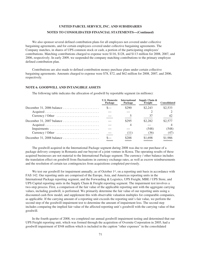We also sponsor several defined contribution plans for all employees not covered under collective bargaining agreements, and for certain employees covered under collective bargaining agreements. The Company matches, in shares of UPS common stock or cash, a portion of the participating employees' contributions. Matching contributions charged to expense were \$116, \$128, and \$113 million for 2008, 2007, and 2006, respectively. In early 2009, we suspended the company matching contributions to the primary employee defined contribution plan.

Contributions are also made to defined contribution money purchase plans under certain collective bargaining agreements. Amounts charged to expense were \$78, \$72, and \$62 million for 2008, 2007, and 2006, respectively.

#### **NOTE 6. GOODWILL AND INTANGIBLE ASSETS**

**U.S. Domestic Package International Package Supply Chain & Freight Consolidated** December 31, 2006 balance . . . . . . . . . . . . . . . . . . . . . . \$— \$290 \$2,243 \$2,533 Acquired ................................. — — 2 2 Currency / Other . . . . . . . . . . . . . . . . . . . . . . . . . . — 5 37 42 December 31, 2007 balance ...................... — \$295 \$2,282 \$2,577 Acquired ................................. — 4 — 4 Impairments .............................. — — (548) (548) Currency / Other .......................... — (11) (36) (47) December 31, 2008 balance . . . . . . . . . . . . . . . . . . . . . . \$— \$288 \$1,698 \$1,986

The following table indicates the allocation of goodwill by reportable segment (in millions):

The goodwill acquired in the International Package segment during 2008 was due to our purchase of a package delivery company in Romania and our buyout of a joint venture in Korea. The operating results of these acquired businesses are not material to the International Package segment. The currency / other balance includes the translation effect on goodwill from fluctuations in currency exchange rates, as well as escrow reimbursements and the resolution of certain tax contingencies from acquisitions completed previously.

We test our goodwill for impairment annually, as of October 1<sup>st</sup>, on a reporting unit basis in accordance with FAS 142. Our reporting units are comprised of the Europe, Asia, and Americas reporting units in the International Package reporting segment, and the Forwarding & Logistics, UPS Freight, MBE / UPS Store, and UPS Capital reporting units in the Supply Chain & Freight reporting segment. The impairment test involves a two-step process. First, a comparison of the fair value of the applicable reporting unit with the aggregate carrying values, including goodwill, is performed. We primarily determine the fair value of our reporting units using a discounted cash flow model, and supplement this with observable valuation multiples for comparable companies, as applicable. If the carrying amount of a reporting unit exceeds the reporting unit's fair value, we perform the second step of the goodwill impairment test to determine the amount of impairment loss. The second step includes comparing the implied fair value of the affected reporting unit's goodwill with the carrying value of that goodwill.

In the fourth quarter of 2008, we completed our annual goodwill impairment testing and determined that our UPS Freight reporting unit, which was formed through the acquisition of Overnite Corporation in 2005, had a goodwill impairment of \$548 million which is included in the caption "other expenses" in the consolidated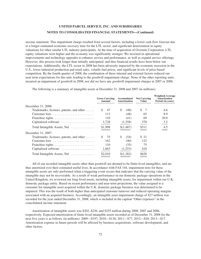income statement. This impairment charge resulted from several factors, including a lower cash flow forecast due to a longer estimated economic recovery time for the LTL sector, and significant deterioration in equity valuations for other similar LTL industry participants. At the time of acquisition of Overnite Corporation, LTL equity valuations were higher and the economy was significantly stronger. We invested in operational improvements and technology upgrades to enhance service and performance, as well as expand service offerings. However, this process took longer than initially anticipated, and thus financial results have been below our expectations. Additionally, the LTL sector in 2008 has been adversely impacted by the economic recession in the U.S., lower industrial production and retail sales, volatile fuel prices, and significant levels of price-based competition. By the fourth quarter of 2008, the combination of these internal and external factors reduced our near term expectations for this unit, leading to the goodwill impairment charge. None of the other reporting units incurred an impairment of goodwill in 2008, nor did we have any goodwill impairment charges in 2007 or 2006.

|                                          | <b>Gross Carrying</b><br><b>Amount</b> | Accumulated<br><b>Amortization</b> | <b>Net Carrying</b><br>Value | <b>Weighted-Average</b><br>Amortization<br>Period (in years) |
|------------------------------------------|----------------------------------------|------------------------------------|------------------------------|--------------------------------------------------------------|
| December 31, 2008:                       |                                        |                                    |                              |                                                              |
| Trademarks, licenses, patents, and other | 47                                     | \$.<br>(40)                        | S <sub>7</sub>               | 4.6                                                          |
| Customer lists                           | 113                                    | (48)                               | 65                           | 8.9                                                          |
| Franchise rights                         | 110                                    | (41)                               | 69                           | 20.0                                                         |
| Capitalized software                     | 1,728                                  | (1,358)                            | 370                          | $\frac{3.2}{1}$                                              |
| Total Intangible Assets, Net             | \$1,998                                | \$(1,487)                          | \$511                        | 4.5                                                          |
| December 31, 2007:                       |                                        |                                    |                              |                                                              |
| Trademarks, licenses, patents, and other | 75<br>S.                               | S.<br>(54)                         | \$21                         |                                                              |
| Customer lists                           | 162                                    | (40)                               | 122                          |                                                              |
| Franchise rights                         | 110                                    | (35)                               | 75                           |                                                              |
| Capitalized software                     | 1,663                                  | (1,253)                            | 410                          |                                                              |
| Total Intangible Assets, Net             | \$2,010                                | \$(1.382)                          | \$628                        |                                                              |

The following is a summary of intangible assets at December 31, 2008 and 2007 (in millions):

All of our recorded intangible assets other than goodwill are deemed to be finite-lived intangibles, and are thus amortized over their estimated useful lives. In accordance with FAS 144, impairment tests for these intangible assets are only performed when a triggering event occurs that indicates that the carrying value of the intangible may not be recoverable. As a result of weak performance in our domestic package operations in the United Kingdom, we reviewed our long-lived assets, including intangible assets, for impairment within our U.K. domestic package entity. Based on recent performance and near-term projections, the value assigned to a customer list intangible asset acquired within the U.K. domestic package business was determined to be impaired. This was the result of both higher than anticipated customer turnover and reduced operating margins associated with an acquired business. Accordingly, an intangible asset impairment charge of \$27 million was recorded for the year ended December 31, 2008, which is included in the caption "Other expenses" in the consolidated income statement.

Amortization of intangible assets was \$202, \$236, and \$255 million during 2008, 2007 and 2006, respectively. Expected amortization of finite-lived intangible assets recorded as of December 31, 2008 for the next five years is as follows (in millions): 2009—\$197; 2010—\$138; 2011—\$77; 2012—\$20; 2013—\$17. Amortization expense in future periods will be affected by business acquisitions, software development, and other factors.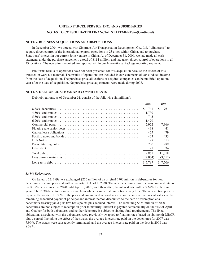### **NOTE 7. BUSINESS ACQUISITIONS AND DISPOSITIONS**

In December 2004, we agreed with Sinotrans Air Transportation Development Co., Ltd. ("Sinotrans") to acquire direct control of the international express operations in 23 cities within China, and to purchase Sintotrans' interest in our current joint venture in China. As of December 31, 2006, we had made all cash payments under the purchase agreement, a total of \$114 million, and had taken direct control of operations in all 23 locations. The operations acquired are reported within our International Package reporting segment.

Pro forma results of operations have not been presented for this acquisition because the effects of this transaction were not material. The results of operations are included in our statements of consolidated income from the date of acquisition. The purchase price allocations of acquired companies can be modified up to one year after the date of acquisition. No purchase price adjustments were made during 2008.

## **NOTE 8. DEBT OBLIGATIONS AND COMMITMENTS**

Debt obligations, as of December 31, consist of the following (in millions):

| 2008    | 2007      |
|---------|-----------|
| \$741   | S.<br>761 |
| 1.739   |           |
| 745     |           |
| 1,479   |           |
| 2.922   | 7.366     |
| 438     | 441       |
| 425     | 479       |
| 433     | 435       |
| 198     | 513       |
| 730     | 989       |
| 21      | 34        |
| 9.871   | 11,018    |
| (2,074) | (3,512)   |
| \$7.797 | \$ 7,506  |

#### *8.38% Debentures:*

On January 22, 1998, we exchanged \$276 million of an original \$700 million in debentures for new debentures of equal principal with a maturity of April 1, 2030. The new debentures have the same interest rate as the 8.38% debentures due 2020 until April 1, 2020, and, thereafter, the interest rate will be 7.62% for the final 10 years. The 2030 debentures are redeemable in whole or in part at our option at any time. The redemption price is equal to the greater of 100% of the principal amount and accrued interest, or the sum of the present values of the remaining scheduled payout of principal and interest thereon discounted to the date of redemption at a benchmark treasury yield plus five basis points plus accrued interest. The remaining \$424 million of 2020 debentures are not subject to redemption prior to maturity. Interest is payable semiannually on the first of April and October for both debentures and neither debenture is subject to sinking fund requirements. The fixed obligations associated with the debentures were previously swapped to floating rates, based on six month LIBOR plus a spread. Including the effect of the swaps, the average interest rate paid on the debentures for 2007 was 7.99%. The swaps were subsequently terminated, and the average interest rate paid on the debt in 2008 was 8.38%.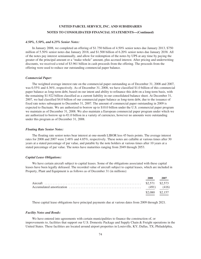#### *4.50%, 5.50%, and 6.25% Senior Notes:*

In January 2008, we completed an offering of \$1.750 billion of 4.50% senior notes due January 2013, \$750 million of 5.50% senior notes due January 2018, and \$1.500 billion of 6.20% senior notes due January 2038. All of the notes pay interest semiannually, and allow for redemption of the notes by UPS at any time by paying the greater of the principal amount or a "make-whole" amount, plus accrued interest. After pricing and underwriting discounts, we received a total of \$3.961 billion in cash proceeds from the offering. The proceeds from the offering were used to reduce our outstanding commercial paper balance.

#### *Commercial Paper:*

The weighted average interest rate on the commercial paper outstanding as of December 31, 2008 and 2007, was 0.55% and 4.36%, respectively. As of December 31, 2008, we have classified \$1.0 billion of this commercial paper balance as long-term debt, based on our intent and ability to refinance this debt on a long-term basis, with the remaining \$1.922 billion classified as a current liability in our consolidated balance sheet. At December 31, 2007, we had classified \$4.0 billion of our commercial paper balance as long-term debt, due to the issuance of fixed rate notes subsequent to December 31, 2007. The amount of commercial paper outstanding in 2009 is expected to fluctuate. We are authorized to borrow up to \$10.0 billion under the U.S. commercial paper program we maintain as of December 31, 2008. We also maintain a European commercial paper program under which we are authorized to borrow up to  $E1.0$  billion in a variety of currencies, however no amounts were outstanding under this program as of December 31, 2008.

#### *Floating Rate Senior Notes:*

The floating rate senior notes bear interest at one-month LIBOR less 45 basis points. The average interest rates for 2008 and 2007 were 2.48% and 4.85%, respectively. These notes are callable at various times after 30 years at a stated percentage of par value, and putable by the note holders at various times after 10 years at a stated percentage of par value. The notes have maturities ranging from 2049 through 2053.

## *Capital Lease Obligations:*

We have certain aircraft subject to capital leases. Some of the obligations associated with these capital leases have been legally defeased. The recorded value of aircraft subject to capital leases, which are included in Property, Plant and Equipment is as follows as of December 31 (in millions):

| 2008              | 2007 |
|-------------------|------|
|                   |      |
|                   |      |
| $$2,080$ $$2,157$ |      |
|                   |      |

These capital lease obligations have principal payments due at various dates from 2009 through 2021.

#### *Facility Notes and Bonds:*

We have entered into agreements with certain municipalities to finance the construction of, or improvements to, facilities that support our U.S. Domestic Package and Supply Chain & Freight operations in the United States. These facilities are located around airport properties in Louisville, KY; Dallas, TX; Philadelphia,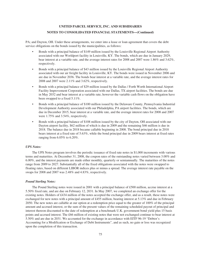PA; and Dayton, OH. Under these arrangements, we enter into a lease or loan agreement that covers the debt service obligations on the bonds issued by the municipalities, as follows:

- Bonds with a principal balance of \$149 million issued by the Louisville Regional Airport Authority associated with our Worldport facility in Louisville, KY. The bonds, which are due in January 2029, bear interest at a variable rate, and the average interest rates for 2008 and 2007 were 1.86% and 3.62%, respectively.
- Bonds with a principal balance of \$43 million issued by the Louisville Regional Airport Authority associated with our air freight facility in Louisville, KY. The bonds were issued in November 2006 and are due in November 2036. The bonds bear interest at a variable rate, and the average interest rates for 2008 and 2007 were 2.11% and 3.62%, respectively.
- Bonds with a principal balance of \$29 million issued by the Dallas / Forth Worth International Airport Facility Improvement Corporation associated with our Dallas, TX airport facilities. The bonds are due in May 2032 and bear interest at a variable rate, however the variable cash flows on the obligation have been swapped to a fixed 5.11%.
- Bonds with a principal balance of \$100 million issued by the Delaware County, Pennsylvania Industrial Development Authority associated with our Philadelphia, PA airport facilities. The bonds, which are due in December 2015, bear interest at a variable rate, and the average interest rates for 2008 and 2007 were 1.75% and 3.54%, respectively.
- Bonds with a principal balance of \$108 million issued by the city of Dayton, OH associated with our Dayton airport facility, \$62 million of which is due in 2009 and the remaining \$46 million is due in 2018. The balance due in 2018 became callable beginning in 2008. The bond principal due in 2018 bears interest at a fixed rate of 5.63%, while the bond principal due in 2009 bears interest at fixed rates ranging from 6.05% to 6.20%.

### *UPS Notes:*

The UPS Notes program involves the periodic issuance of fixed rate notes in \$1,000 increments with various terms and maturities. At December 31, 2008, the coupon rates of the outstanding notes varied between 3.00% and 6.00%, and the interest payments are made either monthly, quarterly or semiannually. The maturities of the notes range from 2009 to 2027. Substantially all of the fixed obligations associated with the notes were swapped to floating rates, based on different LIBOR indices plus or minus a spread. The average interest rate payable on the swaps for 2008 and 2007 was 2.48% and 4.83%, respectively.

### *Pound Sterling Notes:*

The Pound Sterling notes were issued in 2001 with a principal balance of £500 million, accrue interest at a 5.50% fixed rate, and are due on February 12, 2031. In May 2007, we completed an exchange offer for the existing notes. Holders of £434 million of the notes accepted the exchange offer, and as a result, these notes were exchanged for new notes with a principal amount of £455 million, bearing interest at 5.13% and due in February 2050. The new notes are callable at our option at a redemption price equal to the greater of 100% of the principal amount and accrued interest, or the sum of the present values of the remaining scheduled payout of principal and interest thereon discounted to the date of redemption at a benchmark U.K. government bond yield plus 15 basis points and accrued interest. The £66 million of existing notes that were not exchanged continue to bear interest at 5.50% and are due in 2031. We accounted for the exchange in accordance with EITF 96-19 "Debtor's Accounting for a Modification or Exchange of Debt Instruments", and as such, no gain or loss was recognized upon the completion of this transaction.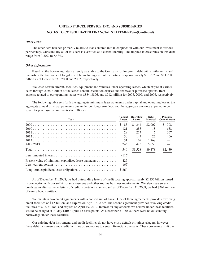#### *Other Debt:*

The other debt balance primarily relates to loans entered into in conjunction with our investment in various partnerships. Substantially all of this debt is classified as a current liability. The implied interest rates on this debt range from 3.20% to 6.43%.

#### *Other Information*

Based on the borrowing rates currently available to the Company for long-term debt with similar terms and maturities, the fair value of long-term debt, including current maturities, is approximately \$10.287 and \$11.238 billion as of December 31, 2008 and 2007, respectively.

We lease certain aircraft, facilities, equipment and vehicles under operating leases, which expire at various dates through 2055. Certain of the leases contain escalation clauses and renewal or purchase options. Rent expense related to our operating leases was \$834, \$896, and \$912 million for 2008, 2007, and 2006, respectively.

The following table sets forth the aggregate minimum lease payments under capital and operating leases, the aggregate annual principal payments due under our long-term debt, and the aggregate amounts expected to be spent for purchase commitments (in millions).

| Year                                                                               | Capital<br><b>Leases</b> | <b>Operating</b><br><b>Leases</b> | <b>Debt</b><br><b>Principal</b> | <b>Purchase</b><br><b>Commitments</b> |
|------------------------------------------------------------------------------------|--------------------------|-----------------------------------|---------------------------------|---------------------------------------|
|                                                                                    | <sup>S</sup><br>-83      | \$ 344                            | \$2,007                         | 708<br>S.                             |
|                                                                                    | 121                      | 288                               | 18                              | 658                                   |
|                                                                                    | 29                       | 217                               | 5                               | 667                                   |
|                                                                                    | 30                       | 147                               | 22                              | 406                                   |
|                                                                                    | 31                       | 109                               | 1.768                           |                                       |
|                                                                                    | 246                      | 423                               | 5,658                           |                                       |
|                                                                                    | 540                      | \$1,528                           | \$9,478                         | \$2,439                               |
|                                                                                    | (115)                    |                                   |                                 |                                       |
| Present value of minimum capitalized lease payments                                | 425                      |                                   |                                 |                                       |
|                                                                                    | (65)                     |                                   |                                 |                                       |
| Long-term capitalized lease obligations $\dots\dots\dots\dots\dots\dots\dots\dots$ | \$360                    |                                   |                                 |                                       |

As of December 31, 2008, we had outstanding letters of credit totaling approximately \$2.132 billion issued in connection with our self-insurance reserves and other routine business requirements. We also issue surety bonds as an alternative to letters of credit in certain instances, and as of December 31, 2008, we had \$262 million of surety bonds written.

We maintain two credit agreements with a consortium of banks. One of these agreements provides revolving credit facilities of \$4.5 billion, and expires on April 16, 2009. The second agreement provides revolving credit facilities of \$1.0 billion, and expires on April 19, 2012. Interest on any amounts we borrow under these facilities would be charged at 90-day LIBOR plus 15 basis points. At December 31, 2008, there were no outstanding borrowings under these facilities.

Our existing debt instruments and credit facilities do not have cross-default or ratings triggers, however these debt instruments and credit facilities do subject us to certain financial covenants. These covenants limit the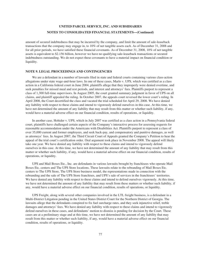amount of secured indebtedness that may be incurred by the company, and limit the amount of sale-leaseback transactions that the company may engage in, to 10% of net tangible assets each. As of December 31, 2008 and for all prior periods, we have satisfied these financial covenants. As of December 31, 2008, 10% of net tangible assets is equivalent to \$2.156 billion, however we have no qualifying sale-leaseback transactions or secured indebtedness outstanding. We do not expect these covenants to have a material impact on financial condition or liquidity.

#### **NOTE 9. LEGAL PROCEEDINGS AND CONTINGENCIES**

We are a defendant in a number of lawsuits filed in state and federal courts containing various class-action allegations under state wage-and-hour laws. In one of these cases, Marlo v. UPS, which was certified as a class action in a California federal court in June 2004, plaintiffs allege that they improperly were denied overtime, and seek penalties for missed meal and rest periods, and interest and attorneys' fees. Plaintiffs purport to represent a class of 1,300 full-time supervisors. In August 2005, the court granted summary judgment in favor of UPS on all claims, and plaintiff appealed the ruling. In October 2007, the appeals court reversed the lower court's ruling. In April 2008, the Court decertified the class and vacated the trial scheduled for April 29, 2008. We have denied any liability with respect to these claims and intend to vigorously defend ourselves in this case. At this time, we have not determined the amount of any liability that may result from this matter or whether such liability, if any, would have a material adverse effect on our financial condition, results of operations, or liquidity.

In another case, Hohider v. UPS, which in July 2007 was certified as a class action in a Pennsylvania federal court, plaintiffs have challenged certain aspects of the Company's interactive process for assessing requests for reasonable accommodation under the Americans with Disabilities Act. Plaintiffs purport to represent a class of over 35,000 current and former employees, and seek back-pay, and compensatory and punitive damages, as well as attorneys' fees. In August 2007, the Third Circuit Court of Appeals granted the Company's Petition to hear the appeal of the trial court's certification order. Oral argument took place in November 2008. The appeal will likely take one year. We have denied any liability with respect to these claims and intend to vigorously defend ourselves in this case. At this time, we have not determined the amount of any liability that may result from this matter or whether such liability, if any, would have a material adverse effect on our financial condition, results of operations, or liquidity.

UPS and Mail Boxes Etc., Inc. are defendants in various lawsuits brought by franchisees who operate Mail Boxes Etc. centers and The UPS Store locations. These lawsuits relate to the rebranding of Mail Boxes Etc. centers to The UPS Store, The UPS Store business model, the representations made in connection with the rebranding and the sale of The UPS Store franchises, and UPS's sale of services in the franchisees' territories. We have denied any liability with respect to these claims and intend to defend ourselves vigorously. At this time, we have not determined the amount of any liability that may result from these matters or whether such liability, if any, would have a material adverse effect on our financial condition, results of operations, or liquidity.

UPS Freight, along with several other companies involved in the LTL freight business, is a defendant in a Multi-District Litigation pending in the United States District Court for the Northern District of Georgia. The lawsuits allege that the defendants conspired to fix fuel surcharge rates, and they seek injunctive relief, treble damages and attorneys' fees. We have denied any liability with respect to these claims and intend to vigorously defend ourselves in these cases, and defendants' motion to dismiss is pending for decision by the Court. These cases are at a preliminary stage and at this time, we have not determined the amount of any liability that may result from this matter or whether such liability, if any, would have a material adverse effect on our financial condition, results of operations, or liquidity.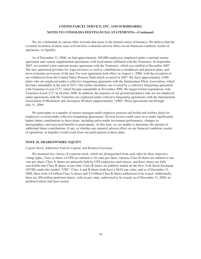We are a defendant in various other lawsuits that arose in the normal course of business. We believe that the eventual resolution of these cases will not have a material adverse effect on our financial condition, results of operations, or liquidity.

As of December 31, 2008, we had approximately 260,000 employees employed under a national master agreement and various supplemental agreements with local unions affiliated with the Teamsters. In September 2007, we reached a new national master agreement with the Teamsters, which was ratified in December 2007. The new agreement provides for wage increases as well as contributions to healthcare and pension plans, and most economic provisions of the new five year agreement took effect on August 1, 2008, with the exception of our withdrawal from the Central States Pension Fund which occurred in 2007. We have approximately 2,900 pilots who are employed under a collective bargaining agreement with the Independent Pilots Association, which becomes amendable at the end of 2011. Our airline mechanics are covered by a collective bargaining agreement with Teamsters Local 2727, which became amendable in November 2006. We began formal negotiations with Teamsters Local 2727 in October 2006. In addition, the majority of our ground mechanics who are not employed under agreements with the Teamsters are employed under collective bargaining agreements with the International Association of Machinists and Aerospace Workers (approximately 3,000). These agreements run through July 31, 2009.

We participate in a number of trustee-managed multi-employer pension and health and welfare plans for employees covered under collective bargaining agreements. Several factors could cause us to make significantly higher future contributions to these plans, including unfavorable investment performance, changes in demographics, and increased benefits to participants. At this time, we are unable to determine the amount of additional future contributions, if any, or whether any material adverse effect on our financial condition, results of operations, or liquidity would result from our participation in these plans.

#### **NOTE 10. SHAREOWNERS' EQUITY**

#### *Capital Stock, Additional Paid-In Capital, and Retained Earnings*

We maintain two classes of common stock, which are distinguished from each other by their respective voting rights. Class A shares of UPS are entitled to 10 votes per share, whereas Class B shares are entitled to one vote per share. Class A shares are primarily held by UPS employees and retirees, and these shares are fully convertible into Class B shares at any time. Class B shares are publicly traded on the New York Stock Exchange (NYSE) under the symbol "UPS." Class A and B shares both have a \$0.01 par value, and as of December 31, 2008, there were 4.6 billion Class A shares and 5.6 billion Class B shares authorized to be issued. Additionally, there are 200 million preferred shares, with no par value, authorized to be issued; as of December 31, 2008, no preferred shares had been issued.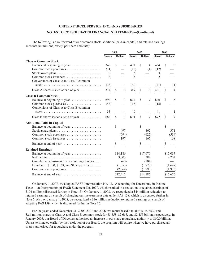### **NOTES TO CONSOLIDATED FINANCIAL STATEMENTS—(Continued)**

The following is a rollforward of our common stock, additional paid-in capital, and retained earnings accounts (in millions, except per share amounts):

|                                                                    | 2008          |                    |               | 2007               | 2006            |                    |  |
|--------------------------------------------------------------------|---------------|--------------------|---------------|--------------------|-----------------|--------------------|--|
|                                                                    | <b>Shares</b> | <b>Dollars</b>     | <b>Shares</b> | <b>Dollars</b>     | <b>Shares</b>   | <b>Dollars</b>     |  |
| <b>Class A Common Stock</b>                                        |               |                    |               |                    |                 |                    |  |
| Balance at beginning of year                                       | 349           | $\mathbb{S}$<br>3  | 401           | \$<br>4            | 454             | S<br>5             |  |
| Common stock purchases                                             | (11)          |                    | (18)          | (1)                | (17)            |                    |  |
|                                                                    | 6             |                    | 3             |                    | 3               |                    |  |
| Common stock issuances<br>Conversions of Class A to Class B common | 3             |                    | 3             |                    | $\overline{2}$  |                    |  |
|                                                                    | (33)          |                    | (40)          |                    | (41)            | (1)                |  |
| Class A shares issued at end of year                               | 314           | \$<br>3            | 349           | \$<br>3            | 401<br>$\equiv$ | 4                  |  |
| <b>Class B Common Stock</b>                                        |               |                    |               |                    |                 |                    |  |
| Balance at beginning of year                                       | 694           | $\mathcal{S}$<br>7 | 672           | <sup>\$</sup><br>7 | 646             | $\mathcal{S}$<br>6 |  |
| Common stock purchases<br>Conversions of Class A to Class B common | (43)          |                    | (18)          |                    | (15)            |                    |  |
|                                                                    | 33            |                    | 40            |                    | 41              | 1                  |  |
| Class B shares issued at end of year                               | 684           | \$<br>7            | 694           | \$                 | 672             | 7                  |  |
| <b>Additional Paid-In Capital</b>                                  |               |                    |               |                    |                 |                    |  |
| Balance at beginning of year                                       |               | \$                 |               | \$                 |                 | \$                 |  |
|                                                                    |               | 497                |               | 462                |                 | 371                |  |
| Common stock purchases                                             |               | (694)              |               | (627)              |                 | (539)              |  |
| Common stock issuances                                             |               | 197                |               | 165                |                 | 168                |  |
|                                                                    |               |                    |               |                    |                 |                    |  |
| <b>Retained Earnings</b>                                           |               |                    |               |                    |                 |                    |  |
| Balance at beginning of year                                       |               | \$14,186           |               | \$17,676           |                 | \$17,037           |  |
| Net income                                                         |               | 3,003              |               | 382                |                 | 4,202              |  |
| Cumulative adjustment for accounting changes                       |               | (60)               |               | (104)              |                 |                    |  |
| Dividends $(\$1.80, \$1.68,$ and $\$1.52$ per share)               |               | (1,853)            |               | (1,778)            |                 | (1,647)            |  |
| Common stock purchases                                             |               | (2,864)            |               | (1,990)            |                 | (1,916)            |  |
|                                                                    |               | \$12,412           |               | \$14,186           |                 | \$17,676           |  |

On January 1, 2007, we adopted FASB Interpretation No. 48, "Accounting for Uncertainty in Income Taxes—an Interpretation of FASB Statement No. 109", which resulted in a reduction to retained earnings of \$104 million (discussed further in Note 13). On January 1, 2008, we recognized a \$44 million reduction to retained earnings as a result of changing our measurement date under FAS 158, which is discussed further in Note 5. Also on January 1, 2008, we recognized a \$16 million reduction to retained earnings as a result of adopting FAS 159, which is discussed further in Note 16.

For the years ended December 31, 2008, 2007 and 2006, we repurchased a total of 53.6, 35.9, and 32.6 million shares of Class A and Class B common stock for \$3.558, \$2.618, and \$2.455 billion, respectively. In January 2008, our Board of Directors authorized an increase in our share repurchase authority to \$10.0 billion. Unless terminated earlier by the resolution of our Board, the program will expire when we have purchased all shares authorized for repurchase under the program.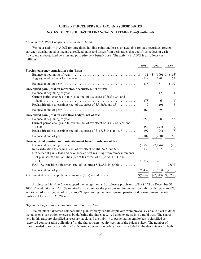## **NOTES TO CONSOLIDATED FINANCIAL STATEMENTS—(Continued)**

#### *Accumulated Other Comprehensive Income (Loss)*

We incur activity in AOCI for unrealized holding gains and losses on available-for-sale securities, foreign currency translation adjustments, unrealized gains and losses from derivatives that qualify as hedges of cash flows, and unrecognized pension and postretirement benefit costs. The activity in AOCI is as follows (in millions):

|                                                                                                                                                                 | 2008                | 2007                | 2006       |
|-----------------------------------------------------------------------------------------------------------------------------------------------------------------|---------------------|---------------------|------------|
| Foreign currency translation gain (loss):                                                                                                                       | 81<br><sup>\$</sup> | S<br>(109)          | S<br>(163) |
|                                                                                                                                                                 | (119)               | 190                 | 54         |
|                                                                                                                                                                 | (38)                | 81                  | (109)      |
| Unrealized gain (loss) on marketable securities, net of tax:                                                                                                    |                     |                     |            |
|                                                                                                                                                                 | 9                   | 12                  | 11         |
| Current period changes in fair value (net of tax effect of $\S(33)$ , \$4, and                                                                                  |                     |                     |            |
|                                                                                                                                                                 | (78)                | 6                   | (4)        |
| Reclassification to earnings (net of tax effect of \$5, \$(5), and \$3) $\dots$                                                                                 | 9                   | (9)                 | 5          |
|                                                                                                                                                                 | (60)                | 9                   | 12         |
| Unrealized gain (loss) on cash flow hedges, net of tax:                                                                                                         |                     |                     |            |
|                                                                                                                                                                 | (250)               | 68                  | 83         |
| Current period changes in fair value (net of tax effect of $\S(33)$ , $\S(177)$ , and                                                                           |                     |                     |            |
|                                                                                                                                                                 | (54)                | (294)               | (7)        |
| Reclassification to earnings (net of tax effect of \$118, \$(14), and \$(5))                                                                                    | 197                 | (24)                | (8)        |
|                                                                                                                                                                 | (107)               | (250)               | 68         |
| Unrecognized pension and postretirement benefit costs, net of tax:                                                                                              |                     |                     |            |
|                                                                                                                                                                 | (1,853)             | (2,176)             | (95)       |
| Reclassification to earnings (net of tax effect of \$81, \$73, and \$0)                                                                                         | 133                 | 122                 |            |
| Net actuarial gain / loss and prior service cost resulting from remeasurements<br>of plan assets and liabilities (net of tax effect of $\S(2,235)$ , \$111, and |                     |                     |            |
|                                                                                                                                                                 | (3,717)             | 201                 | 16         |
| FAS 158 transition adjustment (net of tax effect $$(1,258)$ in 2006)                                                                                            |                     |                     | (2,097)    |
|                                                                                                                                                                 | (5,437)             | (1,853)             | (2,176)    |
| Accumulated other comprehensive income (loss) at end of year                                                                                                    |                     | \$(5,642) \$(2,013) | \$(2,205)  |

As discussed in Note 5, we adopted the recognition and disclosure provisions of FAS 158 on December 31, 2006. The adoption of FAS 158 required us to eliminate the previous minimum pension liability charge to AOCI, and to record a charge, net of tax, to AOCI representing the unrecognized pension and postretirement benefit costs as of December 31, 2006.

#### *Deferred Compensation Obligations and Treasury Stock*

We maintain a deferred compensation plan whereby certain employees were previously able to elect to defer the gains on stock option exercises by deferring the shares received upon exercise into a rabbi trust. The shares held in this trust are classified as treasury stock, and the liability to participating employees is classified as "deferred compensation obligations" in the shareowners' equity section of the balance sheet. The number of shares needed to settle the liability for deferred compensation obligations is included in the denominator in both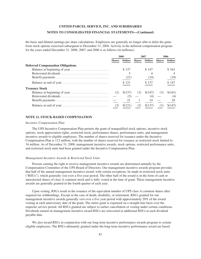### **NOTES TO CONSOLIDATED FINANCIAL STATEMENTS—(Continued)**

the basic and diluted earnings per share calculations. Employees are generally no longer able to defer the gains from stock options exercised subsequent to December 31, 2004. Activity in the deferred compensation program for the years ended December 31, 2008, 2007, and 2006 is as follows (in millions):

|                                          | 2008          |                | 2007          |                | 2006          |                |
|------------------------------------------|---------------|----------------|---------------|----------------|---------------|----------------|
|                                          | <b>Shares</b> | <b>Dollars</b> | <b>Shares</b> | <b>Dollars</b> | <b>Shares</b> | <b>Dollars</b> |
| <b>Deferred Compensation Obligations</b> |               |                |               |                |               |                |
|                                          |               | \$137          |               | \$147          |               | \$161          |
| Reinvested dividends                     |               |                |               |                |               |                |
|                                          |               | (21)           |               | (14)           |               | (18)           |
|                                          |               | \$121          |               | \$137          |               | \$147          |
| <b>Treasury Stock</b>                    |               |                |               |                |               |                |
|                                          | (2)           | \$(137)        | (3)           | \$(147)        | (3)           | \$(161)        |
| Reinvested dividends                     |               | (5)            |               | (4)            |               | (4)            |
|                                          |               |                |               | 14             |               | 18             |
|                                          | (2)           | \$(121)        | (2)           | \$(137)        | (3)           | \$(147)        |

## **NOTE 11. STOCK-BASED COMPENSATION**

#### *Incentive Compensation Plan*

The UPS Incentive Compensation Plan permits the grant of nonqualified stock options, incentive stock options, stock appreciation rights, restricted stock, performance shares, performance units, and management incentive awards to eligible employees. The number of shares reserved for issuance under the Incentive Compensation Plan is 112 million, with the number of shares reserved for issuance as restricted stock limited to 34 million. As of December 31, 2008, management incentive awards, stock options, restricted performance units, and restricted stock units had been granted under the Incentive Compensation Plan.

#### *Management Incentive Awards & Restricted Stock Units*

Persons earning the right to receive management incentive awards are determined annually by the Compensation Committee of the UPS Board of Directors. Our management incentive awards program provides that half of the annual management incentive award, with certain exceptions, be made in restricted stock units ("RSUs"), which generally vest over a five-year period. The other half of the award is in the form of cash or unrestricted shares of class A common stock and is fully vested at the time of grant. These management incentive awards are generally granted in the fourth quarter of each year.

Upon vesting, RSUs result in the issuance of the equivalent number of UPS class A common shares after required tax withholdings. Except in the case of death, disability, or retirement, RSUs granted for our management incentive awards generally vest over a five year period with approximately 20% of the award vesting at each anniversary date of the grant. The entire grant is expensed on a straight-line basis over the requisite service period. All RSUs granted are subject to earlier cancellation or vesting under certain conditions. Dividends earned on management incentive award RSUs are reinvested in additional RSUs at each dividend payable date.

We also award RSUs in conjunction with our long-term incentive performance awards program to certain eligible employees. The RSUs ultimately granted under the long-term incentive performance award are based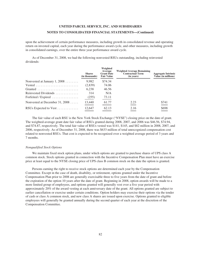upon the achievement of certain performance measures, including growth in consolidated revenue and operating return on invested capital, each year during the performance award cycle, and other measures, including growth in consolidated earnings, over the entire three year performance award cycle.

As of December 31, 2008, we had the following nonvested RSUs outstanding, including reinvested dividends:

|                                                 | <b>Shares</b><br>(in thousands) | Weighted<br>Average<br><b>Grant Date</b><br><b>Fair Value</b> | <b>Weighted Average Remaining</b><br><b>Contractual Term</b><br>(in years) | <b>Aggregate Intrinsic</b><br>Value (in millions) |
|-------------------------------------------------|---------------------------------|---------------------------------------------------------------|----------------------------------------------------------------------------|---------------------------------------------------|
| Nonvested at January $1, 2008 \ldots \ldots$    | 9.982                           | \$74.34                                                       |                                                                            |                                                   |
| Vested                                          | (2,839)                         | 74.06                                                         |                                                                            |                                                   |
| Granted                                         | 6.238                           | 46.56                                                         |                                                                            |                                                   |
| Reinvested Dividends                            | 314                             | N/A                                                           |                                                                            |                                                   |
| Forfeited / Expired $\dots\dots\dots\dots\dots$ | (255)                           | 73.11                                                         |                                                                            |                                                   |
| Nonvested at December 31, $2008$                | 13,440                          | 61.77                                                         | 2.23                                                                       | \$741<br>$\equiv$                                 |
| RSUs Expected to Vest                           | 12,647                          | 62.13                                                         | 2.16<br>___                                                                | \$698                                             |

The fair value of each RSU is the New York Stock Exchange ("NYSE") closing price on the date of grant. The weighted-average grant date fair value of RSUs granted during 2008, 2007, and 2006 was \$46.56, \$74.94, and \$74.87, respectively. The total fair value of RSUs vested was \$141, \$145, and \$82 million in 2008, 2007, and 2006, respectively. As of December 31, 2008, there was \$633 million of total unrecognized compensation cost related to nonvested RSUs. That cost is expected to be recognized over a weighted average period of 3 years and 7 months.

### *Nonqualified Stock Options*

We maintain fixed stock option plans, under which options are granted to purchase shares of UPS class A common stock. Stock options granted in connection with the Incentive Compensation Plan must have an exercise price at least equal to the NYSE closing price of UPS class B common stock on the date the option is granted.

Persons earning the right to receive stock options are determined each year by the Compensation Committee. Except in the case of death, disability, or retirement, options granted under the Incentive Compensation Plan prior to 2008 are generally exercisable three to five years from the date of grant and before the expiration of the option 10 years after the date of grant. Beginning in 2008, option awards will be made to a more limited group of employees, and options granted will generally vest over a five year period with approximately 20% of the award vesting at each anniversary date of the grant. All options granted are subject to earlier cancellation or exercise under certain conditions. Option holders may exercise their options via the tender of cash or class A common stock, and new class A shares are issued upon exercise. Options granted to eligible employees will generally be granted annually during the second quarter of each year at the discretion of the Compensation Committee.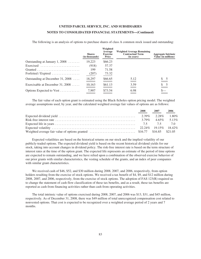# **NOTES TO CONSOLIDATED FINANCIAL STATEMENTS—(Continued)**

The following is an analysis of options to purchase shares of class A common stock issued and outstanding:

|                                          | <b>Shares</b><br>(in thousands) | Weighted<br>Average<br><b>Exercise</b><br>Price | <b>Weighted Average Remaining</b><br><b>Contractual Term</b><br>(in years) | <b>Aggregate Intrinsic</b><br>Value (in millions) |
|------------------------------------------|---------------------------------|-------------------------------------------------|----------------------------------------------------------------------------|---------------------------------------------------|
| Outstanding at January $1,2008$          | 19.223                          | \$66.23                                         |                                                                            |                                                   |
| Exercised                                | (918)                           | 57.37                                           |                                                                            |                                                   |
|                                          | 199                             | 71.58                                           |                                                                            |                                                   |
| Forfeited / Expired                      | (207)                           | 73.32                                           |                                                                            |                                                   |
| Outstanding at December 31, 2008 $\dots$ | 18,297                          | \$66.65<br><b>Contract Contract</b>             | 5.12<br>$\equiv$ $\equiv$                                                  | $\frac{1}{2}$ 5                                   |
| Exercisable at December 31, $2008$       | 10,163                          | \$61.13                                         | 3.59<br>$\equiv$ $\equiv$                                                  | \$5                                               |
| Options Expected to Vest                 | 7,907                           | \$73.54                                         | 6.98<br><u> Electronic</u>                                                 |                                                   |

The fair value of each option grant is estimated using the Black-Scholes option pricing model. The weighted average assumptions used, by year, and the calculated weighted average fair values of options are as follows:

| 2008 | 2007 | 2006      |
|------|------|-----------|
|      |      | $-1.80\%$ |
|      |      |           |
|      |      |           |
|      |      |           |
|      |      |           |

Expected volatilities are based on the historical returns on our stock and the implied volatility of our publicly-traded options. The expected dividend yield is based on the recent historical dividend yields for our stock, taking into account changes in dividend policy. The risk-free interest rate is based on the term structure of interest rates at the time of the option grant. The expected life represents an estimate of the period of time options are expected to remain outstanding, and we have relied upon a combination of the observed exercise behavior of our prior grants with similar characteristics, the vesting schedule of the grants, and an index of peer companies with similar grant characteristics.

We received cash of \$46, \$52, and \$30 million during 2008, 2007, and 2006, respectively, from option holders resulting from the exercise of stock options. We received a tax benefit of \$4, \$9, and \$12 million during 2008, 2007, and 2006, respectively, from the exercise of stock options. The adoption of FAS 123(R) required us to change the statement of cash flow classification of these tax benefits, and as a result, these tax benefits are reported as cash from financing activities rather than cash from operating activities.

The total intrinsic value of options exercised during 2008, 2007, and 2006 was \$13, \$31, and \$45 million, respectively. As of December 31, 2008, there was \$49 million of total unrecognized compensation cost related to nonvested options. That cost is expected to be recognized over a weighted average period of 2 years and 7 months.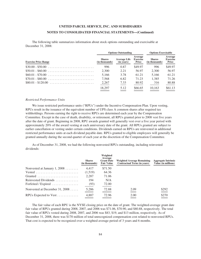## **NOTES TO CONSOLIDATED FINANCIAL STATEMENTS—(Continued)**

The following table summarizes information about stock options outstanding and exercisable at December 31, 2008:

|                             |                                 | <b>Options Outstanding</b>        |                                     |                                 | <b>Options Exercisable</b>          |
|-----------------------------|---------------------------------|-----------------------------------|-------------------------------------|---------------------------------|-------------------------------------|
| <b>Exercise Price Range</b> | <b>Shares</b><br>(in thousands) | <b>Average Life</b><br>(in years) | Average<br><b>Exercise</b><br>Price | <b>Shares</b><br>(in thousands) | Average<br><b>Exercise</b><br>Price |
| $$30.00 - $50.00        $   | 996                             | 0.87                              | \$49.97                             | 996                             | \$49.97                             |
|                             | 2.300                           | 2.21                              | 56.97                               | 2.300                           | 56.97                               |
| $$60.01 - $70.00       $    | 5,166                           | 3.78                              | 61.21                               | 5.166                           | 61.21                               |
| $$70.01 - $80.00       $    | 7.568                           | 6.82                              | 71.23                               | 1.385                           | 71.26                               |
| $$80.01 - $120.00       $   | 2,267                           | 7.33                              | 80.92                               | 316                             | 80.88                               |
|                             | 18.297                          | 5.12                              | \$66.65                             | 10.163                          | \$61.13                             |

## *Restricted Performance Units*

We issue restricted performance units ("RPUs") under the Incentive Compensation Plan. Upon vesting, RPUs result in the issuance of the equivalent number of UPS class A common shares after required tax withholdings. Persons earning the right to receive RPUs are determined each year by the Compensation Committee. Except in the case of death, disability, or retirement, all RPUs granted prior to 2008 vest five years after the date of grant. Beginning in 2008, RPU awards granted will generally vest over a five year period with approximately 20% of the award vesting at each anniversary date of the grant. All RPUs granted are subject to earlier cancellation or vesting under certain conditions. Dividends earned on RPUs are reinvested in additional restricted performance units at each dividend payable date. RPUs granted to eligible employees will generally be granted annually during the second quarter of each year at the discretion of the Compensation Committee.

As of December 31, 2008, we had the following nonvested RPUs outstanding, including reinvested dividends:

|                                                                | <b>Shares</b><br>(in thousands) | Weighted<br>Average<br><b>Grant Date</b><br><b>Fair Value</b> | <b>Weighted Average Remaining</b><br>Contractual Term (in years) | <b>Aggregate Intrinsic</b><br>Value (in millions) |
|----------------------------------------------------------------|---------------------------------|---------------------------------------------------------------|------------------------------------------------------------------|---------------------------------------------------|
| Nonvested at January $1, 2008 \ldots \ldots$                   | 4.417                           | \$71.50                                                       |                                                                  |                                                   |
| $Vested \dots \dots \dots \dots \dots \dots \dots \dots \dots$ | (1,519)                         | 64.36                                                         |                                                                  |                                                   |
| Granted                                                        | 2.287                           | 71.06                                                         |                                                                  |                                                   |
| Reinvested Dividends                                           | 194                             | N/A                                                           |                                                                  |                                                   |
| Forfeited / Expired $\dots\dots\dots\dots\dots$                | (93)                            | 72.00                                                         |                                                                  |                                                   |
| Nonvested at December 31, $2008$                               | 5,286                           | 72.88                                                         | 2.09<br>$\sim$                                                   | \$292                                             |
| RPUs Expected to Vest                                          | 4,887<br>$\sim$ $\sim$          | 72.96                                                         | 2.00                                                             | \$270                                             |

The fair value of each RPU is the NYSE closing price on the date of grant. The weighted-average grant date fair value of RPUs granted during 2008, 2007, and 2006 was \$71.06, \$70.90, and \$80.88, respectively. The total fair value of RPUs vested during 2008, 2007, and 2006 was \$83, \$19, and \$13 million, respectively. As of December 31, 2008, there was \$170 million of total unrecognized compensation cost related to nonvested RPUs. That cost is expected to be recognized over a weighted average period of 3 years and 6 months.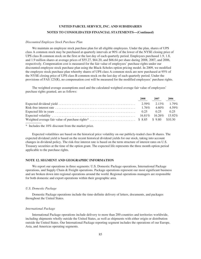#### *Discounted Employee Stock Purchase Plan*

We maintain an employee stock purchase plan for all eligible employees. Under the plan, shares of UPS class A common stock may be purchased at quarterly intervals at 90% of the lower of the NYSE closing price of UPS class B common stock on the first or the last day of each quarterly period. Employees purchased 1.9, 1.8, and 1.9 million shares at average prices of \$55.27, \$64.20, and \$66.64 per share during 2008, 2007, and 2006, respectively. Compensation cost is measured for the fair value of employees' purchase rights under our discounted employee stock purchase plan using the Black-Scholes option pricing model. In 2009, we modified the employee stock purchase plan whereby shares of UPS class A common stock are now purchased at 95% of the NYSE closing price of UPS class B common stock on the last day of each quarterly period. Under the provisions of FAS 123(R), no compensation cost will be measured for the modified employees' purchase rights.

The weighted average assumptions used and the calculated weighted average fair value of employees' purchase rights granted, are as follows:

| 2008 | 2007 | 2006 |
|------|------|------|
|      |      |      |
|      |      |      |
|      |      |      |
|      |      |      |
|      |      |      |

\* Includes the 10% discount from the market price.

Expected volatilities are based on the historical price volatility on our publicly-traded class B shares. The expected dividend yield is based on the recent historical dividend yields for our stock, taking into account changes in dividend policy. The risk-free interest rate is based on the term structure of interest rates on U.S. Treasury securities at the time of the option grant. The expected life represents the three month option period applicable to the purchase rights.

#### **NOTE 12. SEGMENT AND GEOGRAPHIC INFORMATION**

We report our operations in three segments: U.S. Domestic Package operations, International Package operations, and Supply Chain & Freight operations. Package operations represent our most significant business and are broken down into regional operations around the world. Regional operations managers are responsible for both domestic and export operations within their geographic area.

#### *U.S. Domestic Package*

Domestic Package operations include the time-definite delivery of letters, documents, and packages throughout the United States.

### *International Package*

International Package operations include delivery to more than 200 countries and territories worldwide, including shipments wholly outside the United States, as well as shipments with either origin or distribution outside the United States. Our International Package reporting segment includes the operations of our Europe, Asia, and Americas operating segments.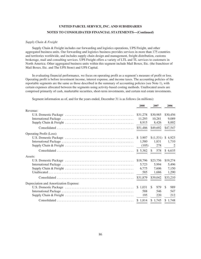### *Supply Chain & Freight*

Supply Chain & Freight includes our forwarding and logistics operations, UPS Freight, and other aggregated business units. Our forwarding and logistics business provides services in more than 175 countries and territories worldwide, and includes supply chain design and management, freight distribution, customs brokerage, mail and consulting services. UPS Freight offers a variety of LTL and TL services to customers in North America. Other aggregated business units within this segment include Mail Boxes, Etc. (the franchisor of Mail Boxes, Etc. and The UPS Store) and UPS Capital.

In evaluating financial performance, we focus on operating profit as a segment's measure of profit or loss. Operating profit is before investment income, interest expense, and income taxes. The accounting policies of the reportable segments are the same as those described in the summary of accounting policies (see Note 1), with certain expenses allocated between the segments using activity-based costing methods. Unallocated assets are comprised primarily of cash, marketable securities, short-term investments, and certain real estate investments.

|                                        | 2008          | 2007                 | 2006                 |
|----------------------------------------|---------------|----------------------|----------------------|
| Revenue:                               |               |                      |                      |
|                                        | \$31,278      | \$30,985             | \$30,456             |
|                                        | 11,293        | 10,281               | 9,089                |
|                                        | 8,915         | 8,426                | 8,002                |
|                                        | \$51,486      | \$49,692             | \$47,547             |
| Operating Profit (Loss):               |               |                      |                      |
|                                        | \$3,907       | $(1,531)$ \$ 4,923   |                      |
|                                        | 1,580         | 1,831                | 1,710                |
|                                        | (105)         | 278                  | 2                    |
| Considered                             | \$5,382 \$578 |                      | \$6,635              |
| Assets:                                |               |                      |                      |
|                                        | \$18,796      | \$23,756             | \$19,274             |
|                                        | 5,723         | 5,994                | 5,496                |
|                                        | 6,775         | 7,606                | 7,150                |
|                                        | 585           | 1,686                | 1,290                |
|                                        | \$31,879      | \$39,042             | \$33,210             |
| Depreciation and Amortization Expense: |               |                      |                      |
|                                        | \$1,031       | <sup>\$</sup><br>979 | <sup>\$</sup><br>989 |
|                                        | 588           | 546                  | 547                  |
|                                        | 195           | 220                  | 212                  |
|                                        | \$1,814       | \$1,745              | \$1,748              |

Segment information as of, and for the years ended, December 31 is as follows (in millions):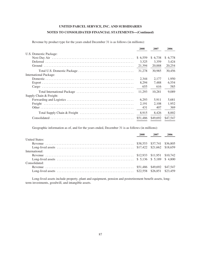# **NOTES TO CONSOLIDATED FINANCIAL STATEMENTS—(Continued)**

Revenue by product type for the years ended December 31 is as follows (in millions):

|                         | 2008     | 2007     | 2006     |
|-------------------------|----------|----------|----------|
| U.S. Domestic Package:  |          |          |          |
|                         | \$ 6,559 | \$ 6.738 | \$ 6,778 |
|                         | 3.325    | 3.359    | 3,424    |
|                         | 21,394   | 20,888   | 20,254   |
|                         | 31,278   | 30,985   | 30.456   |
| International Package:  |          |          |          |
|                         | 2.344    | 2,177    | 1,950    |
|                         | 8,294    | 7,488    | 6,554    |
|                         | 655      | 616      | 585      |
|                         | 11.293   | 10.281   | 9.089    |
| Supply Chain & Freight: |          |          |          |
|                         | 6,293    | 5.911    | 5,681    |
|                         | 2.191    | 2.108    | 1.952    |
|                         | 431      | 407      | 369      |
|                         | 8,915    | 8,426    | 8,002    |
|                         | \$51,486 | \$49,692 | \$47,547 |

Geographic information as of, and for the years ended, December 31 is as follows (in millions):

|                       | 2008 | 2007 | 2006 |
|-----------------------|------|------|------|
| <b>United States:</b> |      |      |      |
|                       |      |      |      |
|                       |      |      |      |
| International:        |      |      |      |
|                       |      |      |      |
|                       |      |      |      |
| Consolidated:         |      |      |      |
|                       |      |      |      |
|                       |      |      |      |

Long-lived assets include property, plant and equipment, pension and postretirement benefit assets, longterm investments, goodwill, and intangible assets.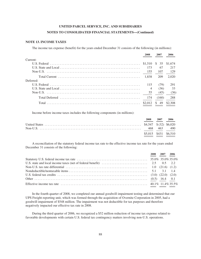### **NOTE 13. INCOME TAXES**

The income tax expense (benefit) for the years ended December 31 consists of the following (in millions):

|           |                    | 2007  | 2006    |
|-----------|--------------------|-------|---------|
| Current:  |                    |       |         |
|           |                    |       |         |
|           | 173                | 67    | 217     |
|           | 155                | 107   | 129     |
|           | 1.838              | 209   | 2.020   |
| Deferred: |                    |       |         |
|           | 115                | (79)  | 291     |
|           | $\overline{4}$     | (36)  | 33      |
|           | 55                 | (45)  | (36)    |
|           | 174                | (160) | 288     |
|           | $$2.012 \quad $49$ |       | \$2,308 |

Income before income taxes includes the following components (in millions):

|                                                                                                                                                                                                                                | 2008                  | 2007 | 2006 |
|--------------------------------------------------------------------------------------------------------------------------------------------------------------------------------------------------------------------------------|-----------------------|------|------|
|                                                                                                                                                                                                                                |                       |      |      |
| Non-U.S. (168) 400 (168) 400 (168) 400 (168) 400 (168) 400 (168) 400 (168) 400 (168) 400 (168) 400 (168) 400 (168) 400 (168) 400 (168) 400 (168) 400 (168) 400 (168) 400 (168) 400 (168) 400 (168) 400 (168) 400 (168) 400 (16 |                       |      |      |
|                                                                                                                                                                                                                                | \$5,015 \$431 \$6,510 |      |      |

A reconciliation of the statutory federal income tax rate to the effective income tax rate for the years ended December 31 consists of the following:

|  | $\frac{2008}{ }$ $\frac{2007}{ }$ $\frac{2006}{ }$ |  |
|--|----------------------------------------------------|--|
|  |                                                    |  |
|  |                                                    |  |
|  |                                                    |  |
|  |                                                    |  |
|  |                                                    |  |
|  |                                                    |  |
|  |                                                    |  |

In the fourth quarter of 2008, we completed our annual goodwill impairment testing and determined that our UPS Freight reporting unit, which was formed through the acquisition of Overnite Corporation in 2005, had a goodwill impairment of \$548 million. The impairment was not deductible for tax purposes and therefore negatively impacted our effective tax rate in 2008.

During the third quarter of 2006, we recognized a \$52 million reduction of income tax expense related to favorable developments with certain U.S. federal tax contingency matters involving non-U.S. operations.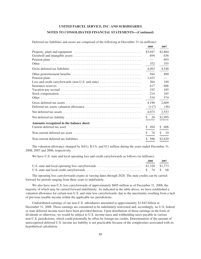## **NOTES TO CONSOLIDATED FINANCIAL STATEMENTS—(Continued)**

**2008 2007** Property, plant and equipment  $\dots\dots\dots\dots\dots\dots\dots\dots\dots\dots$  \$3,047 \$2,864 Goodwill and intangible assets . . . . . . . . . . . . . . . . . . . . . . . . . . . . . . . . . . . . . . . . . 694 636 Pension plans . . . . . . . . . . . . . . . . . . . . . . . . . . . . . . . . . . . . . . . . . . . . . . . . . . . . . . . — 693 Other . . . . . . . . . . . . . . . . . . . . . . . . . . . . . . . . . . . . . . . . . . . . . . . . . . . . . . . . . . . . . 352 355 Gross deferred tax liabilities ........................................... 4,093 4,548 Other postretirement benefits . . . . . . . . . . . . . . . . . . . . . . . . . . . . . . . . . . . . . . . . . . 944 890 Pension plans ....................................................... 1,425 — Loss and credit carryforwards (non-U.S. and state) . . . . . . . . . . . . . . . . . . . . . . . . . 264 189 Insurance reserves . . . . . . . . . . . . . . . . . . . . . . . . . . . . . . . . . . . . . . . . . . . . . . . . . . . 617 606 Vacation pay accrual . . . . . . . . . . . . . . . . . . . . . . . . . . . . . . . . . . . . . . . . . . . . . . . . . 192 185 Stock compensation . . . . . . . . . . . . . . . . . . . . . . . . . . . . . . . . . . . . . . . . . . . . . . . . . . 214 165 Other . . . . . . . . . . . . . . . . . . . . . . . . . . . . . . . . . . . . . . . . . . . . . . . . . . . . . . . . . . . . . 534 574 Gross deferred tax assets .............................................. 4,190 2,609 Deferred tax assets valuation allowance .................................. (117) (56) Net deferred tax assets ................................................ 4,073 2,553 Net deferred tax liability . . . . . . . . . . . . . . . . . . . . . . . . . . . . . . . . . . . . . . . . . . . . . . \$ 20 \$1,995 **Amounts recognized in the balance sheet:** Current deferred tax asset . . . . . . . . . . . . . . . . . . . . . . . . . . . . . . . . . . . . . . . . . . . . . \$ 494 \$ 606 Non-current deferred tax asset . . . . . . . . . . . . . . . . . . . . . . . . . . . . . . . . . . . . . . . . . \$ 74 \$ 19 Non-current deferred tax liabilities . . . . . . . . . . . . . . . . . . . . . . . . . . . . . . . . . . . . . . \$ 588 \$2,620

Deferred tax liabilities and assets are comprised of the following at December 31 (in millions):

The valuation allowance changed by  $\$(61), \$(13),$  and  $\$11$  million during the years ended December 31, 2008, 2007 and 2006, respectively.

We have U.S. state and local operating loss and credit carryforwards as follows (in millions):

| 2008 | 2007 |
|------|------|
|      |      |
|      |      |

The operating loss carryforwards expire at varying dates through 2028. The state credits can be carried forward for periods ranging from three years to indefinitely.

We also have non-U.S. loss carryforwards of approximately \$605 million as of December 31, 2008, the majority of which may be carried forward indefinitely. As indicated in the table above, we have established a valuation allowance for certain non-U.S. and state loss carryforwards, due to the uncertainty resulting from a lack of previous taxable income within the applicable tax jurisdictions.

Undistributed earnings of our non-U.S. subsidiaries amounted to approximately \$1.842 billion at December 31, 2008. Those earnings are considered to be indefinitely reinvested and, accordingly, no U.S. federal or state deferred income taxes have been provided thereon. Upon distribution of those earnings in the form of dividends or otherwise, we would be subject to U.S. income taxes and withholding taxes payable in various non-U.S. jurisdictions, which could potentially be offset by foreign tax credits. Determination of the amount of unrecognized deferred U.S. income tax liability is not practicable because of the complexities associated with its hypothetical calculation.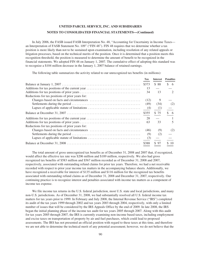In July 2006, the FASB issued FASB Interpretation No. 48, "Accounting for Uncertainty in Income Taxes an Interpretation of FASB Statement No. 109" ("FIN 48"). FIN 48 requires that we determine whether a tax position is more likely than not to be sustained upon examination, including resolution of any related appeals or litigation processes, based on the technical merits of the position. Once it is determined that a position meets this recognition threshold, the position is measured to determine the amount of benefit to be recognized in the financial statements. We adopted FIN 48 on January 1, 2007. The cumulative effect of adopting this standard was to recognize a \$104 million decrease in the January 1, 2007 balance of retained earnings.

The following table summarizes the activity related to our unrecognized tax benefits (in millions):

|                                                  | <b>Tax</b> | Interest | <b>Penalties</b> |
|--------------------------------------------------|------------|----------|------------------|
|                                                  | \$373      | \$88     | \$6              |
|                                                  | 13         |          |                  |
|                                                  | 34         | 13       | $\mathcal{L}$    |
| Reductions for tax positions of prior years for: |            |          |                  |
|                                                  | (12)       | 9        |                  |
|                                                  | (49)       | (34)     | (2)              |
|                                                  | (4)        | (1)      | $\equiv$         |
|                                                  | \$355      | \$75     | \$6              |
|                                                  | 28         |          |                  |
|                                                  | 63         | 33       | 5                |
| Reductions for tax positions of prior years for: |            |          |                  |
|                                                  | (46)       | (9)      | (2)              |
|                                                  | (9)        | (2)      |                  |
|                                                  | (3)        |          |                  |
|                                                  | \$388      | \$97     | \$10             |

The total amount of gross unrecognized tax benefits as of December 31, 2008 and 2007 that, if recognized, would affect the effective tax rate was \$206 million and \$189 million, respectively. We also had gross recognized tax benefits of \$583 million and \$567 million recorded as of December 31, 2008 and 2007, respectively, associated with outstanding refund claims for prior tax years. Therefore, we had a net receivable recorded with respect to prior year income tax matters in the accompanying balance sheets. Additionally, we have recognized a receivable for interest of \$135 million and \$116 million for the recognized tax benefits associated with outstanding refund claims as of December 31, 2008 and December 31, 2007, respectively. Our continuing practice is to recognize interest and penalties associated with income tax matters as a component of income tax expense.

We file income tax returns in the U.S. federal jurisdiction, most U.S. state and local jurisdictions, and many non-U.S. jurisdictions. As of December 31, 2008, we had substantially resolved all U.S. federal income tax matters for tax years prior to 1999. In February and July 2008, the Internal Revenue Service ("IRS") completed its audit of the tax years 1999 through 2002 and tax years 2003 through 2004, respectively, with only a limited number of issues that will be considered by the IRS Appeals Office by the end of 2009. In late 2008, the IRS began the initial planning phase of the income tax audit for tax years 2005 through 2007. Along with this audit for tax years 2005 through 2007, the IRS is currently examining non-income based taxes, including employment and excise taxes on transportation of property by air and fuel purchases, which could lead to proposed assessments. The IRS has not presented an official position with regard to these taxes at this time, and therefore we are not able to determine the technical merit of any potential assessment; however, we do not believe that the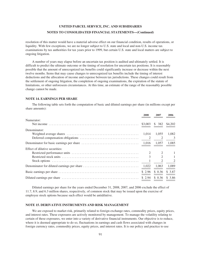resolution of this matter would have a material adverse effect on our financial condition, results of operations, or liquidity. With few exceptions, we are no longer subject to U.S. state and local and non-U.S. income tax examinations by tax authorities for tax years prior to 1999, but certain U.S. state and local matters are subject to ongoing litigation.

A number of years may elapse before an uncertain tax position is audited and ultimately settled. It is difficult to predict the ultimate outcome or the timing of resolution for uncertain tax positions. It is reasonably possible that the amount of unrecognized tax benefits could significantly increase or decrease within the next twelve months. Items that may cause changes to unrecognized tax benefits include the timing of interest deductions and the allocation of income and expense between tax jurisdictions. These changes could result from the settlement of ongoing litigation, the completion of ongoing examinations, the expiration of the statute of limitations, or other unforeseen circumstances. At this time, an estimate of the range of the reasonably possible change cannot be made.

#### **NOTE 14. EARNINGS PER SHARE**

The following table sets forth the computation of basic and diluted earnings per share (in millions except per share amounts):

|                                | 2008    | 2007   | 2006           |
|--------------------------------|---------|--------|----------------|
| Numerator:                     |         |        |                |
|                                | \$3,003 | \$ 382 | \$4,202        |
| Denominator:                   |         |        |                |
|                                | 1.014   | 1,055  | 1,082          |
|                                |         |        | 3              |
|                                |         | 1.057  | 1.085          |
| Effect of dilutive securities: |         |        |                |
|                                | 2       |        |                |
|                                | 3       |        | $\mathbf{1}$   |
|                                |         | 2      | $\overline{2}$ |
|                                | 1,022   | 1,063  | 1,089          |
|                                | \$2.96  | \$0.36 | \$3.87         |
|                                | \$2.94  | \$0.36 | \$3.86         |

Diluted earnings per share for the years ended December 31, 2008, 2007, and 2006 exclude the effect of 11.7, 8.9, and 6.3 million shares, respectively, of common stock that may be issued upon the exercise of employee stock options because such effect would be antidilutive.

# **NOTE 15. DERIVATIVE INSTRUMENTS AND RISK MANAGEMENT**

We are exposed to market risk, primarily related to foreign exchange rates, commodity prices, equity prices, and interest rates. These exposures are actively monitored by management. To manage the volatility relating to certain of these exposures, we enter into a variety of derivative financial instruments. Our objective is to reduce, where it is deemed appropriate to do so, fluctuations in earnings and cash flows associated with changes in foreign currency rates, commodity prices, equity prices, and interest rates. It is our policy and practice to use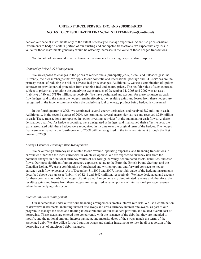derivative financial instruments only to the extent necessary to manage exposures. As we use price sensitive instruments to hedge a certain portion of our existing and anticipated transactions, we expect that any loss in value for those instruments generally would be offset by increases in the value of those hedged transactions.

We do not hold or issue derivative financial instruments for trading or speculative purposes.

#### *Commodity Price Risk Management*

We are exposed to changes in the prices of refined fuels, principally jet-A, diesel, and unleaded gasoline. Currently, the fuel surcharges that we apply to our domestic and international package and LTL services are the primary means of reducing the risk of adverse fuel price changes. Additionally, we use a combination of options contracts to provide partial protection from changing fuel and energy prices. The net fair value of such contracts subject to price risk, excluding the underlying exposures, as of December 31, 2008 and 2007 was an asset (liability) of \$0 and \$(179) million, respectively. We have designated and account for these contracts as cash flow hedges, and to the extent the hedges remain effective, the resulting gains and losses from these hedges are recognized in the income statement when the underlying fuel or energy product being hedged is consumed.

In the fourth quarter of 2008, we terminated several energy derivatives and received \$87 million in cash. Additionally, in the second quarter of 2006, we terminated several energy derivatives and received \$229 million in cash. These transactions are reported in "other investing activities" in the statement of cash flows. As these derivatives qualified for hedge accounting, were designated as hedges, and maintained their effectiveness, the gains associated with these hedges were recognized in income over the original term of the hedges. The hedges that were terminated in the fourth quarter of 2008 will be recognized in the income statement through the first quarter of 2009.

#### *Foreign Currency Exchange Risk Management*

We have foreign currency risks related to our revenue, operating expenses, and financing transactions in currencies other than the local currencies in which we operate. We are exposed to currency risk from the potential changes in functional currency values of our foreign currency denominated assets, liabilities, and cash flows. Our most significant foreign currency exposures relate to the Euro, the British Pound Sterling, and the Canadian Dollar. We use a combination of purchased and written options and forward contracts to hedge currency cash flow exposures. As of December 31, 2008 and 2007, the net fair value of the hedging instruments described above was an asset (liability) of \$241 and \$(42) million, respectively. We have designated and account for these contracts as cash flow hedges of anticipated foreign currency denominated revenue and, therefore, the resulting gains and losses from these hedges are recognized as a component of international package revenue when the underlying sales occur.

#### *Interest Rate Risk Management*

Our indebtedness under our various financing arrangements creates interest rate risk. We use a combination of derivative instruments, including interest rate swaps and cross-currency interest rate swaps, as part of our program to manage the fixed and floating interest rate mix of our total debt portfolio and related overall cost of borrowing. These swaps are entered into concurrently with the issuance of the debt that they are intended to modify, and the notional amount, interest payment, and maturity dates of the swaps match the terms of the associated debt. We also utilize forward starting swaps and similar instruments to lock in all or a portion of the borrowing cost of anticipated debt issuances.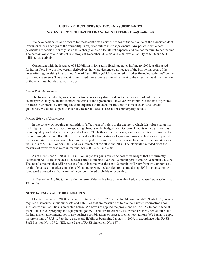We have designated and account for these contracts as either hedges of the fair value of the associated debt instruments, or as hedges of the variability in expected future interest payments. Any periodic settlement payments are accrued monthly, as either a charge or credit to interest expense, and are not material to net income. The net fair value of our interest rate swaps at December 31, 2008 and 2007 was a liability of \$388 and \$94 million, respectively.

Concurrent with the issuance of \$4.0 billion in long-term fixed rate notes in January 2008, as discussed further in Note 8, we settled certain derivatives that were designated as hedges of the borrowing costs of the notes offering, resulting in a cash outflow of \$84 million (which is reported in "other financing activities" on the cash flow statement). This amount is amortized into expense as an adjustment to the effective yield over the life of the individual bonds that were hedged.

#### *Credit Risk Management*

The forward contracts, swaps, and options previously discussed contain an element of risk that the counterparties may be unable to meet the terms of the agreements. However, we minimize such risk exposures for these instruments by limiting the counterparties to financial institutions that meet established credit guidelines. We do not expect to incur any material losses as a result of counterparty default.

### *Income Effects of Derivatives*

In the context of hedging relationships, "effectiveness" refers to the degree to which fair value changes in the hedging instrument offset corresponding changes in the hedged item. Certain elements of hedge positions cannot qualify for hedge accounting under FAS 133 whether effective or not, and must therefore be marked to market through income. Both the effective and ineffective portions of gains and losses on hedges are reported in the income statement category related to the hedged exposure. Ineffectiveness included in the income statement was a loss of \$12 million for 2007, and was immaterial for 2008 and 2006. The elements excluded from the measure of effectiveness were immaterial for 2008, 2007 and 2006.

As of December 31, 2008, \$191 million in pre-tax gains related to cash flow hedges that are currently deferred in AOCI are expected to be reclassified to income over the 12 month period ending December 31, 2009. The actual amounts that will be reclassified to income over the next 12 months will vary from this amount as a result of changes in market conditions. No amounts were reclassified to income during 2008 in connection with forecasted transactions that were no longer considered probable of occurring.

At December 31, 2008, the maximum term of derivative instruments that hedge forecasted transactions was 18 months.

#### **NOTE 16. FAIR VALUE DISCLOSURES**

Effective January 1, 2008, we adopted Statement No. 157 "Fair Value Measurements" ("FAS 157"), which requires disclosures about our assets and liabilities that are measured at fair value. Further information about such assets and liabilities is presented below. We have not applied the provisions of FAS 157 to non-financial assets, such as our property and equipment, goodwill and certain other assets, which are measured at fair value for impairment assessment, nor to any business combinations or asset retirement obligations. We began to apply the provisions of FAS 157 to these assets and liabilities beginning January 1, 2009, in accordance with FASB Staff Position No. 157-2, "Effective Date of FASB Statement No. 157".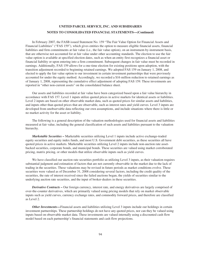In February 2007, the FASB issued Statement No. 159 "The Fair Value Option for Financial Assets and Financial Liabilities" ("FAS 159"), which gives entities the option to measure eligible financial assets, financial liabilities and firm commitments at fair value (i.e., the fair value option), on an instrument-by-instrument basis, that are otherwise not accounted for at fair value under other accounting standards. The election to use the fair value option is available at specified election dates, such as when an entity first recognizes a financial asset or financial liability or upon entering into a firm commitment. Subsequent changes in fair value must be recorded in earnings. Additionally, FAS 159 allows for a one-time election for existing positions upon adoption, with the transition adjustment recorded to beginning retained earnings. We adopted FAS 159 on January 1, 2008, and elected to apply the fair value option to our investment in certain investment partnerships that were previously accounted for under the equity method. Accordingly, we recorded a \$16 million reduction to retained earnings as of January 1, 2008, representing the cumulative effect adjustment of adopting FAS 159. These investments are reported in "other non-current assets" on the consolidated balance sheet.

Our assets and liabilities recorded at fair value have been categorized based upon a fair value hierarchy in accordance with FAS 157. Level 1 inputs utilize quoted prices in active markets for identical assets or liabilities. Level 2 inputs are based on other observable market data, such as quoted prices for similar assets and liabilities, and inputs other than quoted prices that are observable, such as interest rates and yield curves. Level 3 inputs are developed from unobservable data reflecting our own assumptions, and include situations where there is little or no market activity for the asset or liability.

The following is a general description of the valuation methodologies used for financial assets and liabilities measured at fair value, including the general classification of such assets and liabilities pursuant to the valuation hierarchy.

*Marketable Securities –* Marketable securities utilizing Level 1 inputs include active exchange-traded equity securities and equity index funds, and most U.S. Government debt securities, as these securities all have quoted prices in active markets. Marketable securities utilizing Level 2 inputs include non-auction rate assetbacked securities, corporate bonds, and municipal bonds. These securities are valued using market corroborated pricing, matrix pricing, or other models that utilize observable inputs such as yield curves.

We have classified our auction rate securities portfolio as utilizing Level 3 inputs, as their valuation requires substantial judgment and estimation of factors that are not currently observable in the market due to the lack of trading in the securities. These valuations may be revised in future periods as market conditions evolve. These securities were valued as of December 31, 2008 considering several factors, including the credit quality of the securities, the rate of interest received since the failed auctions began, the yields of securities similar to the underlying auction rate securities, and the input of broker-dealers in these securities.

*Derivative Contracts –* Our foreign currency, interest rate, and energy derivatives are largely comprised of over-the-counter derivatives, which are primarily valued using pricing models that rely on market observable inputs such as yield curves, currency exchange rates, and commodity forward prices, and therefore are classified as Level 2.

*Other Investments—Financial assets and liabilities utilizing Level 3 inputs include our holdings in certain* investment partnerships. These partnership holdings do not have any quoted prices, nor can they be valued using inputs based on observable market data. These investments are valued internally using a discounted cash flow model based on each partnership's financial statements and cash flow projections.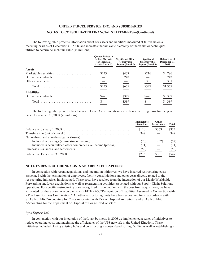### **NOTES TO CONSOLIDATED FINANCIAL STATEMENTS—(Continued)**

The following table presents information about our assets and liabilities measured at fair value on a recurring basis as of December 31, 2008, and indicates the fair value hierarchy of the valuation techniques utilized to determine such fair value (in millions).

|                                                                   | <b>Ouoted Prices in</b><br><b>Active Markets</b><br>for Identical<br>Assets (Level 1) | <b>Significant Other</b><br><b>Observable</b><br><b>Inputs (Level 2)</b> | <b>Significant</b><br>Unobservable<br><b>Inputs (Level 3)</b> | <b>Balance as of</b><br>December 31,<br>2008 |  |
|-------------------------------------------------------------------|---------------------------------------------------------------------------------------|--------------------------------------------------------------------------|---------------------------------------------------------------|----------------------------------------------|--|
| <b>Assets</b>                                                     |                                                                                       |                                                                          |                                                               |                                              |  |
| Marketable securities                                             | \$133                                                                                 | \$437                                                                    | \$216                                                         | 786                                          |  |
| Derivative contracts                                              |                                                                                       | 242                                                                      |                                                               | 242                                          |  |
| Other investments $\dots\dots\dots\dots\dots\dots\dots\dots\dots$ |                                                                                       |                                                                          | 331                                                           | 331                                          |  |
| Total                                                             | \$133                                                                                 | \$679                                                                    | \$547                                                         | \$1,359                                      |  |
| <b>Liabilities</b>                                                |                                                                                       |                                                                          |                                                               |                                              |  |
| Derivative contracts                                              |                                                                                       | \$389                                                                    |                                                               | 389                                          |  |
| Total                                                             | $\frac{\epsilon}{2}$                                                                  | \$389                                                                    | $S-$                                                          | \$389                                        |  |

The following table presents the changes in Level 3 instruments measured on a recurring basis for the year ended December 31, 2008 (in millions).

|                                                                                         | <b>Marketable</b><br><b>Securities</b> | <b>Other</b><br><b>Investments</b> | Total |
|-----------------------------------------------------------------------------------------|----------------------------------------|------------------------------------|-------|
|                                                                                         | \$10                                   | \$363                              | \$373 |
|                                                                                         | 347                                    |                                    | 347   |
| Net realized and unrealized gains (losses):                                             |                                        |                                    |       |
| Included in earnings (in investment income) $\dots \dots \dots \dots \dots \dots \dots$ | (20)                                   | (32)                               | (52)  |
| Included in accumulated other comprehensive income ( $pre-tax)$ ,                       | (71)                                   | $\overline{\phantom{a}}$           | (71)  |
|                                                                                         | (50)                                   | $\overline{\phantom{m}}$           | (50)  |
|                                                                                         | \$216                                  | \$331                              | \$547 |

# **NOTE 17. RESTRUCTURING COSTS AND RELATED EXPENSES**

In connection with recent acquisitions and integration initiatives, we have incurred restructuring costs associated with the termination of employees, facility consolidations and other costs directly related to the restructuring initiatives implemented. These costs have resulted from the integration of our Menlo Worldwide Forwarding and Lynx acquisitions as well as restructuring activities associated with our Supply Chain Solutions operations. For specific restructuring costs recognized in conjunction with the cost from acquisitions, we have accounted for these costs in accordance with EITF 95-3, "Recognition of Liabilities Assumed in Connection with a Purchase Business Combination." All other restructuring costs have been accounted for in accordance with SFAS No. 146, "Accounting for Costs Associated with Exit or Disposal Activities" and SFAS No. 144, "Accounting for the Impairment or Disposal of Long-Lived Assets."

#### *Lynx Express Ltd.*

In conjunction with our integration of the Lynx business, in 2006 we implemented a series of initiatives to reduce operating costs and maximize the efficiencies of the UPS network in the United Kingdom. These initiatives included closing existing hubs and constructing a consolidated sorting facility as well as establishing a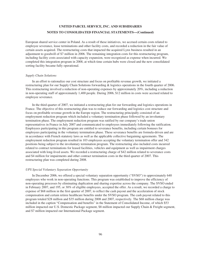European shared service center in Poland. As a result of these initiatives, we accrued certain costs related to employee severance, lease terminations and other facility costs, and recorded a reduction in the fair value of certain assets acquired. The restructuring costs that impacted the acquired Lynx business resulted in an adjustment to goodwill of \$7 million in 2006. The remaining integration costs for this restructuring program, including facility costs associated with capacity expansion, were recognized as expense when incurred. We completed this integration program in 2008, at which time certain hubs were closed and the new consolidated sorting facility became fully operational.

### *Supply Chain Solutions*

In an effort to rationalize our cost structure and focus on profitable revenue growth, we initiated a restructuring plan for our Supply Chain Solutions forwarding & logistics operations in the fourth quarter of 2006. This restructuring involved a reduction of non-operating expenses by approximately 20%, including a reduction in non-operating staff of approximately 1,400 people. During 2006, \$12 million in costs were accrued related to employee severance.

In the third quarter of 2007, we initiated a restructuring plan for our forwarding and logistics operations in France. The objective of this restructuring plan was to reduce our forwarding and logistics cost structure and focus on profitable revenue growth in the Europe region. The restructuring principally consisted of an employment reduction program which included a voluntary termination phase followed by an involuntary termination phase. The employment reduction program was ratified by our company's trade union representatives in France in July 2007 and communicated to employees immediately following the ratification. Employees participating in this program are entitled to severance benefits, including certain bonuses for employees participating in the voluntary termination phase. These severance benefits are formula-driven and are in accordance with French statutory laws as well as the applicable collective bargaining agreements. The employment reduction program resulted in 103 employees accepting the voluntary termination offer and 342 positions being subject to the involuntary termination program. The restructuring also included costs incurred related to contract terminations for leased facilities, vehicles and equipment as well as impairment charges associated with long-lived assets. We recorded a restructuring charge of \$42 million related to severance costs and \$4 million for impairments and other contract termination costs in the third quarter of 2007. This restructuring plan was completed during 2008.

#### *UPS Special Voluntary Separation Opportunity*

In December 2006, we offered a special voluntary separation opportunity ("SVSO") to approximately 640 employees who work in non-operating functions. This program was established to improve the efficiency of non-operating processes by eliminating duplication and sharing expertise across the company. The SVSO ended in February 2007, and 195, or 30% of eligible employees, accepted the offer. As a result, we recorded a charge to expense of \$68 million in the first quarter of 2007, to reflect the cash payout and the acceleration of stock compensation and certain retiree healthcare benefits under the SVSO program. The cash payout related to this program totaled \$28 million and \$35 million during 2008 and 2007, respectively. The \$68 million charge was included in the caption "Compensation and benefits" in the Statement of Consolidated Income, of which \$53 million impacted our U.S. Domestic Package segment, \$8 million impacted our Supply Chain & Freight segment, and \$7 million impacted our International Package segment.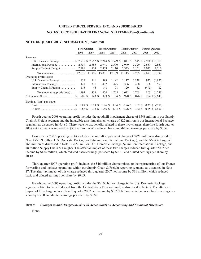## **NOTES TO CONSOLIDATED FINANCIAL STATEMENTS—(Continued)**

#### **NOTE 18. QUARTERLY INFORMATION (unaudited)**

|                                                                                               | <b>First Ouarter</b> |        | <b>Second Quarter</b> |                 | <b>Third Quarter</b> |                    | <b>Fourth Quarter</b> |                             |
|-----------------------------------------------------------------------------------------------|----------------------|--------|-----------------------|-----------------|----------------------|--------------------|-----------------------|-----------------------------|
|                                                                                               | 2008                 | 2007   | 2008                  | 2007            | 2008                 | 2007               | 2008                  | 2007                        |
| Revenue:                                                                                      |                      |        |                       |                 |                      |                    |                       |                             |
| U.S. Domestic Package \$ 7,735 \$ 7,552 \$ 7,714 \$ 7,579 \$ 7,841 \$ 7,545 \$ 7,988 \$ 8,309 |                      |        |                       |                 |                      |                    |                       |                             |
| International Package $\dots \dots \dots \dots$ 2,759                                         |                      | 2,385  | 2,948                 | 2,500           | 2,949                | 2,529              | 2,637                 | 2,867                       |
| Supply Chain & Freight  2,181                                                                 |                      | 1,969  | 2,339                 | 2,110           | 2,323                | 2,131              | 2,072                 | 2,216                       |
| Total revenue $\ldots \ldots \ldots \ldots 12,675$ 11,906 13,001                              |                      |        |                       | 12,189          | 13.113               | 12.205             | 12,697                | 13,392                      |
| Operating profit (loss):                                                                      |                      |        |                       |                 |                      |                    |                       |                             |
| U.S. Domestic Package                                                                         | 959                  | 941    | 899                   | 1.192           | 1,117                | 1,228              | 932                   | (4,892)                     |
| International Package                                                                         | 421                  | 371    | 407                   | 475             | 386                  | 428                | 366                   | 557                         |
| Supply Chain & Freight                                                                        | 113                  | 46     | 148                   | 98              | 129                  | 52                 | (495)                 | 82                          |
| Total operating profit $(\text{loss}) \dots$                                                  | 1,493                | 1,358  | 1,454                 | 1,765           | 1,632                | 1,708              | 803                   | (4,253)                     |
| Net income $(\text{loss})$ \$ 906\$                                                           |                      | 843 \$ |                       | 873 \$ 1.104 \$ |                      | 970 \$ 1.076 \$    |                       | $254 \text{ } $(2,641)$     |
| Earnings (loss) per share:                                                                    |                      |        |                       |                 |                      |                    |                       |                             |
| Basic \$ $0.87 \text{~} 0.79 \text{~}$                                                        |                      |        | $0.86$ \$             |                 | $1.04 \tS 0.96 \tS$  | $1.02 \text{ }$ \$ |                       | $0.25 \text{ }$ \$ $(2.52)$ |
| Diluted \$ $0.87 \t\$ 0.78 \$ 0.85 \$                                                         |                      |        |                       |                 | $1.04 \tS 0.96 \tS$  | $1.02 \text{ }$ \$ |                       | $0.25 \text{ }$ \$ $(2.52)$ |

Fourth quarter 2008 operating profit includes the goodwill impairment charge of \$548 million in our Supply Chain & Freight segment and the intangible asset impairment charge of \$27 million in our International Package segment, as discussed in Note 6. There were no tax benefits related to these two charges, therefore fourth quarter 2008 net income was reduced by \$575 million, which reduced basic and diluted earnings per share by \$0.58.

First quarter 2007 operating profit includes the aircraft impairment charge of \$221 million as discussed in Note 4 (\$159 million U.S. Domestic Package and \$62 million International Package), and the SVSO charge of \$68 million as discussed in Note 17 (\$53 million U.S. Domestic Package, \$7 million International Package, and \$8 million Supply Chain & Freight). The after-tax impact of these two charges reduced first quarter 2007 net income by \$184 million, which reduced basic earnings per share by \$0.17, and diluted earnings per share by \$0.18.

Third quarter 2007 operating profit includes the \$46 million charge related to the restructuring of our France forwarding and logistics operations within our Supply Chain & Freight reporting segment, as discussed in Note 17. The after-tax impact of this charge reduced third quarter 2007 net income by \$31 million, which reduced basic and diluted earnings per share by \$0.03.

Fourth quarter 2007 operating profit includes the \$6.100 billion charge in the U.S. Domestic Package segment related to the withdrawal from the Central States Pension Fund, as discussed in Note 5. The after-tax impact of this charge reduced fourth quarter 2007 net income by \$3.772 billion, which reduced basic earnings per share by \$3.60 and diluted earnings per share by \$3.59.

### **Item 9.** *Changes in and Disagreements with Accountants on Accounting and Financial Disclosure*

None.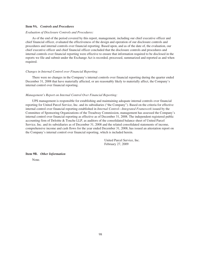### **Item 9A.** *Controls and Procedures*

### *Evaluation of Disclosure Controls and Procedures:*

As of the end of the period covered by this report, management, including our chief executive officer and chief financial officer, evaluated the effectiveness of the design and operation of our disclosure controls and procedures and internal controls over financial reporting. Based upon, and as of the date of, the evaluation, our chief executive officer and chief financial officer concluded that the disclosure controls and procedures and internal controls over financial reporting were effective to ensure that information required to be disclosed in the reports we file and submit under the Exchange Act is recorded, processed, summarized and reported as and when required.

### *Changes in Internal Control over Financial Reporting:*

There were no changes in the Company's internal controls over financial reporting during the quarter ended December 31, 2008 that have materially affected, or are reasonably likely to materially affect, the Company's internal control over financial reporting.

### *Management's Report on Internal Control Over Financial Reporting:*

UPS management is responsible for establishing and maintaining adequate internal controls over financial reporting for United Parcel Service, Inc. and its subsidiaries ("the Company"). Based on the criteria for effective internal control over financial reporting established in *Internal Control—Integrated Framework* issued by the Committee of Sponsoring Organizations of the Treadway Commission, management has assessed the Company's internal control over financial reporting as effective as of December 31, 2008. The independent registered public accounting firm of Deloitte & Touche LLP, as auditors of the consolidated balance sheet of United Parcel Service, Inc. and its subsidiaries as of December 31, 2008 and the related consolidated statements of income, comprehensive income and cash flows for the year ended December 31, 2008, has issued an attestation report on the Company's internal control over financial reporting, which is included herein.

> United Parcel Service, Inc. February 27, 2009

### **Item 9B.** *Other Information*

None.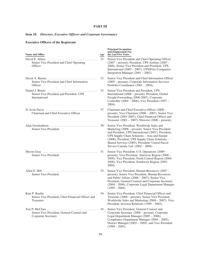## **PART III**

## **Item 10.** *Directors, Executive Officers and Corporate Governance*

# **Executive Officers of the Registrant**

| <b>Name and Office</b>                                                                                         | Age | <b>Principal Occupation</b><br>and Employment For<br>the Last Five Years                                                                                                                                                                                                                                                                             |
|----------------------------------------------------------------------------------------------------------------|-----|------------------------------------------------------------------------------------------------------------------------------------------------------------------------------------------------------------------------------------------------------------------------------------------------------------------------------------------------------|
| David P. Abney<br>Senior Vice President and Chief Operating<br>Officer                                         | 53  | Senior Vice President and Chief Operating Officer<br>(2007 – present), President, UPS Airlines (2007 –<br>2008), Senior Vice President and President, UPS<br>International (2003 – 2007), UPS/Fritz Companies<br>Integration Manager $(2001 – 2002)$ .                                                                                               |
| Senior Vice President and Chief Information<br>Officer                                                         | 53  | Senior Vice President and Chief Information Officer<br>(2005 – present), Corporate Information Services<br>Portfolio Coordinator (2001 – 2004).                                                                                                                                                                                                      |
| Daniel J. Brutto<br>Senior Vice President and President, UPS<br>International                                  | 52  | Senior Vice President and President, UPS<br>International (2008 – present), President, Global<br>Freight Forwarding (2006-2007), Corporate<br>Controller (2004 – 2006), Vice President (1997 –<br>2004).                                                                                                                                             |
| D. Scott Davis<br>Chairman and Chief Executive Officer                                                         | 57  | Chairman and Chief Executive Officer (2008 –<br>present), Vice Chairman (2006 – 2007), Senior Vice<br>President (2001-2007), Chief Financial Officer and<br>Treasurer $(2001 – 2007)$ , Director $(2006 – present)$ .                                                                                                                                |
| Alan Gershenhorn<br>Senior Vice President                                                                      | 50  | Senior Vice President, Worldwide Sales and<br>Marketing (2008 - present), Senior Vice President<br>and President, UPS International (2007), President,<br>UPS Supply Chain Solutions - Asia and Europe<br>(2006), President, UPS Supply Chain Solutions -<br>Shared Services (2005), President, United Parcel<br>Service Canada, Ltd. (2002 - 2004). |
| Senior Vice President                                                                                          | 51  | Senior Vice President, U.S. Operations (2009 –<br>present), Vice President, Americas Region (2008 -<br>2009), Vice President, North Central Region (2004-<br>2008), Vice President, Southwest Region (2002-<br>2004).                                                                                                                                |
| Allen E. Hill $\ldots \ldots \ldots \ldots \ldots \ldots \ldots \ldots \ldots \ldots$<br>Senior Vice President | 53  | Senior Vice President, Human Resources (2007 -<br>present), Senior Vice President, Human Resources<br>and Public Affairs (2006 - 2007), Senior Vice<br>President, General Counsel and Corporate Secretary<br>(2004 - 2006), Corporate Legal Department Manager<br>$(1995 - 2004)$ .                                                                  |
| Senior Vice President, Chief Financial Officer and<br>Treasurer                                                | 54  | Senior Vice President, Chief Financial Officer and<br>Treasurer (2008 – present), Senior Vice President,<br>Worldwide Sales and Marketing (2004 – 2007), Vice<br>President, Investor Relations (1999 – 2003).                                                                                                                                        |
| Teri P. McClure<br>Senior Vice President, General Counsel and<br>Corporate Secretary                           | 45  | Senior Vice President, General Counsel and<br>Corporate Secretary (2006 – present), Corporate<br>Legal Department Manager (2005 - 2006),<br>Compliance Department Manager (2004 – 2005),<br>District Manager (2003 – 2005), and Vice President<br>$(1999 - 2003)$ .                                                                                  |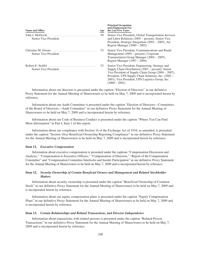| <b>Name and Office</b>                                                                                      | Age | <b>Principal Occupation</b><br>and Employment For<br>the Last Five Years                                                                                                                                                                                                                         |
|-------------------------------------------------------------------------------------------------------------|-----|--------------------------------------------------------------------------------------------------------------------------------------------------------------------------------------------------------------------------------------------------------------------------------------------------|
| John J. McDevitt<br>Senior Vice President                                                                   | 50  | Senior Vice President, Global Transportation Services<br>and Labor Relations (2005 – present), Senior Vice<br>President, Strategic Integration (2003 – 2005), Air<br>Region Manager $(2000 - 2002)$ .                                                                                            |
| Senior Vice President                                                                                       | 53  | Senior Vice President, Communications and Brand<br>Management $(2005 - present)$ , Corporate<br>Transportation Group Manager (2004 – 2005),<br>Region Manager (1997 – 2004).                                                                                                                     |
| Robert E. Stoffel $\ldots, \ldots, \ldots, \ldots, \ldots, \ldots, \ldots, \ldots$<br>Senior Vice President | 53  | Senior Vice President, Engineering, Strategy and<br>Supply Chain Distribution (2007 – present), Senior<br>Vice President of Supply Chain Group $(2004 – 2007)$ ,<br>President, UPS Supply Chain Solutions, Inc. (2002 –<br>2003), Vice President, UPS Logistics Group, Inc.<br>$(2000 - 2002)$ . |

Information about our directors is presented under the caption "Election of Directors" in our definitive Proxy Statement for the Annual Meeting of Shareowners to be held on May 7, 2009 and is incorporated herein by reference.

Information about our Audit Committee is presented under the caption "Election of Directors—Committees of the Board of Directors—Audit Committee" in our definitive Proxy Statement for the Annual Meeting of Shareowners to be held on May 7, 2009 and is incorporated herein by reference.

Information about our Code of Business Conduct is presented under the caption "Where You Can Find More Information" in Part I, Item 1 of this report.

Information about our compliance with Section 16 of the Exchange Act of 1934, as amended, is presented under the caption "Section 16(a) Beneficial Ownership Reporting Compliance" in our definitive Proxy Statement for the Annual Meeting of Shareowners to be held on May 7, 2009 and is incorporated herein by reference.

### **Item 11.** *Executive Compensation*

Information about executive compensation is presented under the captions "Compensation Discussion and Analysis," "Compensation to Executive Officers," "Compensation of Directors," "Report of the Compensation Committee" and "Compensation Committee Interlocks and Insider Participation" in our definitive Proxy Statement for the Annual Meeting of Shareowners to be held on May 7, 2009 and is incorporated herein by reference.

### **Item 12.** *Security Ownership of Certain Beneficial Owners and Management and Related Stockholder Matters*

Information about security ownership is presented under the caption "Beneficial Ownership of Common Stock" in our definitive Proxy Statement for the Annual Meeting of Shareowners to be held on May 7, 2009 and is incorporated herein by reference.

Information about our equity compensation plans is presented under the caption "Equity Compensation Plans" in our definitive Proxy Statement for the Annual Meeting of Shareowners to be held on May 7, 2009 and is incorporated herein by reference.

### **Item 13.** *Certain Relationships and Related Transactions, and Director Independence*

Information about transactions with related persons is presented under the caption "Related Person Transactions" in our definitive Proxy Statement for the Annual Meeting of Shareowners to be held on May 7, 2009 and is incorporated herein by reference.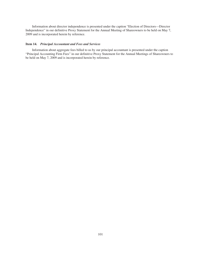Information about director independence is presented under the caption "Election of Directors—Director Independence" in our definitive Proxy Statement for the Annual Meeting of Shareowners to be held on May 7, 2009 and is incorporated herein by reference.

### **Item 14.** *Principal Accountant and Fees and Services*

Information about aggregate fees billed to us by our principal accountant is presented under the caption "Principal Accounting Firm Fees" in our definitive Proxy Statement for the Annual Meetings of Shareowners to be held on May 7, 2009 and is incorporated herein by reference.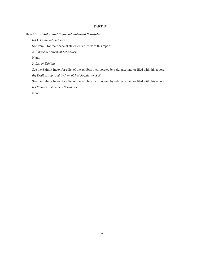## **PART IV**

### **Item 15.** *Exhibits and Financial Statement Schedules*

(a) 1. *Financial Statements*.

See Item 8 for the financial statements filed with this report.

2. *Financial Statement Schedules*.

None.

3. *List of Exhibits*.

See the Exhibit Index for a list of the exhibits incorporated by reference into or filed with this report.

(b) *Exhibits required by Item 601 of Regulation S-K*.

See the Exhibit Index for a list of the exhibits incorporated by reference into or filed with this report.

(c) *Financial Statement Schedules*.

None.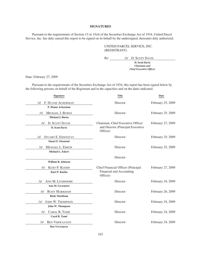### **SIGNATURES**

Pursuant to the requirements of Section 13 or 15(d) of the Securities Exchange Act of 1934, United Parcel Service, Inc. has duly caused this report to be signed on its behalf by the undersigned, thereunto duly authorized.

## UNITED PARCEL SERVICE, INC. (REGISTRANT)

By: /s/ D. SCOTT DAVIS **D. Scott Davis** *Chairman and Chief Executive Officer*

Date: February 27, 2009

Pursuant to the requirements of the Securities Exchange Act of 1934, this report has been signed below by the following persons on behalf of the Registrant and in the capacities and on the dates indicated.

| <b>Signature</b>                         | <b>Title</b>                                  | Date              |
|------------------------------------------|-----------------------------------------------|-------------------|
| F. DUANE ACKERMAN<br>$\sqrt{s}$          | Director                                      | February 25, 2009 |
| <b>F. Duane Ackerman</b>                 |                                               |                   |
| MICHAEL J. BURNS<br>$\sqrt{s}$           | Director                                      | February 25, 2009 |
| Michael J. Burns                         |                                               |                   |
| <b>D. SCOTT DAVIS</b><br>$\sqrt{s}$      | Chairman, Chief Executive Officer             | February 27, 2009 |
| <b>D. Scott Davis</b>                    | and Director (Principal Executive<br>Officer) |                   |
| <b>STUART E. EIZENSTAT</b><br>$\sqrt{s}$ | Director                                      | February 25, 2009 |
| <b>Stuart E. Eizenstat</b>               |                                               |                   |
| MICHAEL L. ESKEW<br>$\sqrt{s}$           | Director                                      | February 25, 2009 |
| Michael L. Eskew                         |                                               |                   |
|                                          | Director                                      |                   |
| <b>William R. Johnson</b>                |                                               |                   |
| <b>KURT P. KUEHN</b><br>$\sqrt{s}$       | Chief Financial Officer (Principal            | February 27, 2009 |
| <b>Kurt P. Kuehn</b>                     | Financial and Accounting<br>Officer)          |                   |
| ANN M. LIVERMORE<br>$\sqrt{s}$           | Director                                      | February 24, 2009 |
| <b>Ann M. Livermore</b>                  |                                               |                   |
| <b>RUDY MARKHAM</b><br>$\sqrt{s}$        | Director                                      | February 26, 2009 |
| <b>Rudy Markham</b>                      |                                               |                   |
| <b>JOHN W. THOMPSON</b><br>$\sqrt{s}$    | Director                                      | February 24, 2009 |
| John W. Thompson                         |                                               |                   |
| <b>CAROL B. TOMÉ</b><br>$\sqrt{s}$       | Director                                      | February 24, 2009 |
| Carol B. Tomé                            |                                               |                   |
| <b>BEN VERWAAYEN</b><br>$\sqrt{s}$       | Director                                      | February 24, 2009 |
| <b>Ben Verwaaven</b>                     |                                               |                   |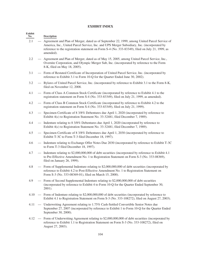## **EXHIBIT INDEX**

| <b>Exhibit</b><br>No. |                               | Description                                                                                                                                                                                                                                                                                                   |
|-----------------------|-------------------------------|---------------------------------------------------------------------------------------------------------------------------------------------------------------------------------------------------------------------------------------------------------------------------------------------------------------|
| 2.1                   |                               | - Agreement and Plan of Merger, dated as of September 22, 1999, among United Parcel Service of<br>America, Inc., United Parcel Service, Inc. and UPS Merger Subsidiary, Inc. (incorporated by<br>reference to the registration statement on Form S-4 (No. 333-83349), filed on July 21, 1999, as<br>amended). |
| 2.2                   | $\overbrace{\phantom{12333}}$ | Agreement and Plan of Merger, dated as of May 15, 2005, among United Parcel Service, Inc.,<br>Overnite Corporation, and Olympic Merger Sub, Inc. (incorporated by reference to the Form<br>8-K, filed on May 18, 2005).                                                                                       |
| 3.1                   |                               | - Form of Restated Certificate of Incorporation of United Parcel Service, Inc. (incorporated by<br>reference to Exhibit 3.1 to Form 10-Q for the Quarter Ended June 30, 2002).                                                                                                                                |
| 3.2                   |                               | - Bylaws of United Parcel Service, Inc. (incorporated by reference to Exhibit 3.1 to the Form 8-K,<br>filed on November 12, 2008.                                                                                                                                                                             |
| 4.1                   |                               | - Form of Class A Common Stock Certificate (incorporated by reference to Exhibit 4.1 to the<br>registration statement on Form S-4 (No. 333-83349), filed on July 21, 1999, as amended).                                                                                                                       |
| 4.2                   |                               | - Form of Class B Common Stock Certificate (incorporated by reference to Exhibit 4.2 to the<br>registration statement on Form S-4 (No. 333-83349), filed on July 21, 1999).                                                                                                                                   |
| 4.3                   |                               | - Specimen Certificate of 8 3/8% Debentures due April 1, 2020 (incorporated by reference to<br>Exhibit 4(c) to Registration Statement No. 33-32481, filed December 7, 1989).                                                                                                                                  |
| 4.4                   |                               | — Indenture relating to 8 3/8% Debentures due April 1, 2020 (incorporated by reference to<br>Exhibit 4(c) to Registration Statement No. 33-32481, filed December 7, 1989).                                                                                                                                    |
| 4.5                   |                               | - Specimen Certificate of 8 3/8% Debentures due April 1, 2030 (incorporated by reference to<br>Exhibit T-3C to Form T-3 filed December 18, 1997).                                                                                                                                                             |
| 4.6                   | $\overline{\phantom{m}}$      | Indenture relating to Exchange Offer Notes Due 2030 (incorporated by reference to Exhibit T-3C)<br>to Form T-3 filed December 18, 1997).                                                                                                                                                                      |
| 4.7                   |                               | - Indenture relating to \$2,000,000,000 of debt securities (incorporated by reference to Exhibit 4.1<br>to Pre-Effective Amendment No. 1 to Registration Statement on Form S-3 (No. 333-08369),<br>filed on January 26, 1999).                                                                                |
| 4.8                   | $\overline{\phantom{0}}$      | Form of Supplemental Indenture relating to \$2,000,000,000 of debt securities (incorporated by<br>reference to Exhibit 4.2 to Post-Effective Amendment No. 1 to Registration Statement on<br>Form S-3 (No. 333-08369-01), filed on March 15, 2000).                                                           |
| 4.9                   |                               | - Form of Second Supplemental Indenture relating to \$2,000,000,000 of debt securities<br>(incorporated by reference to Exhibit 4 to Form 10-Q for the Quarter Ended September 30,<br>2001).                                                                                                                  |
|                       |                               | 4.10 — Form of Indenture relating to \$2,000,000,000 of debt securities (incorporated by reference to<br>Exhibit 4.1 to Registration Statement on Form S-3 (No. 333-108272), filed on August 27, 2003).                                                                                                       |
|                       |                               | 4.11 - Underwriting Agreement relating to 1.75% Cash-Settled Convertible Senior Notes due<br>September 27, 2007 (incorporated by reference to Exhibit 1 to Form 10-Q for the Quarter Ended<br>September 30, 2000).                                                                                            |
| $4.12 -$              |                               | Form of Underwriting Agreement relating to \$2,000,000,000 of debt securities (incorporated by<br>reference to Exhibit 1.1 to Registration Statement on Form S-3 (No. 333-108272), filed on<br>August 27, 2003).                                                                                              |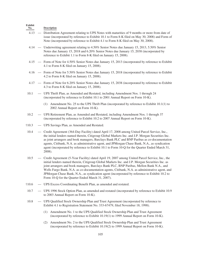| <b>Exhibit</b><br>No. | <b>Description</b>                                                                                                                                                                                                                                                                                                                                                                                                                                                                                                                                     |
|-----------------------|--------------------------------------------------------------------------------------------------------------------------------------------------------------------------------------------------------------------------------------------------------------------------------------------------------------------------------------------------------------------------------------------------------------------------------------------------------------------------------------------------------------------------------------------------------|
| 4.13                  | - Distribution Agreement relating to UPS Notes with maturities of 9 months or more from date of<br>issue (incorporated by reference to Exhibit 10.1 to Form 8-K filed on May 30, 2008) and Form of<br>Note (incorporated by reference to Exhibit 4.1 to Form 8-K filed on May 30, 2008).                                                                                                                                                                                                                                                               |
|                       | 4.14 — Underwriting agreement relating to 4.50% Senior Notes due January 15, 2013, 5.50% Senior<br>Notes due January 15, 2018 and 6.20% Senior Notes due January 15, 2038 (incorporated by<br>reference to Exhibit 1.1 to Form 8-K filed on January 15, 2008).                                                                                                                                                                                                                                                                                         |
|                       | 4.15 - Form of Note for 4.50% Senior Notes due January 15, 2013 (incorporated by reference to Exhibit<br>4.1 to Form 8-K filed on January 15, 2008).                                                                                                                                                                                                                                                                                                                                                                                                   |
| 4.16                  | - Form of Note for 5.50% Senior Notes due January 15, 2018 (incorporated by reference to Exhibit<br>4.2 to Form 8-K filed on January 15, 2008).                                                                                                                                                                                                                                                                                                                                                                                                        |
|                       | 4.17 - Form of Note for 6.20% Senior Notes due January 15, 2038 (incorporated by reference to Exhibit<br>4.3 to Form 8-K filed on January 15, 2008).                                                                                                                                                                                                                                                                                                                                                                                                   |
| 10.1                  | - UPS Thrift Plan, as Amended and Restated, including Amendment Nos. 1 through 24<br>(incorporated by reference to Exhibit 10.1 to 2001 Annual Report on Form 10-K).                                                                                                                                                                                                                                                                                                                                                                                   |
|                       | (1) Amendment No. 25 to the UPS Thrift Plan (incorporated by reference to Exhibit $10.1(1)$ to<br>2002 Annual Report on Form 10-K).                                                                                                                                                                                                                                                                                                                                                                                                                    |
| 10.2                  | — UPS Retirement Plan, as Amended and Restated, including Amendment Nos. 1 through 37<br>(incorporated by reference to Exhibit 10.2 to 2007 Annual Report on Form 10-K).                                                                                                                                                                                                                                                                                                                                                                               |
| $\dagger 10.3$        | - UPS Savings Plan, as Amended and Restated.                                                                                                                                                                                                                                                                                                                                                                                                                                                                                                           |
| 10.4                  | - Credit Agreement (364-Day Facility) dated April 17, 2008 among United Parcel Service, Inc.,<br>the initial lenders named therein, Citigroup Global Markets Inc. and J.P. Morgan Securities Inc.<br>as joint arrangers and book managers, Barclays Bank PLC and BNP Paribas as co-documentation<br>agents, Citibank, N.A. as administrative agent, and JPMorgan Chase Bank, N.A., as syndication<br>agent (incorporated by reference to Exhibit 10.1 to Form 10-Q for the Quarter Ended March 31,<br>2008).                                           |
| 10.5                  | — Credit Agreement (5-Year Facility) dated April 19, 2007 among United Parcel Service, Inc., the<br>initial lenders named therein, Citigroup Global Markets Inc. and J.P. Morgan Securities Inc. as<br>joint arrangers and book managers, Barclays Bank PLC, BNP Paribas, Mellon Bank N.A., and<br>Wells Fargo Bank, N.A. as co-documentation agents, Citibank, N.A. as administrative agent, and<br>JPMorgan Chase Bank, N.A., as syndication agent (incorporated by reference to Exhibit 10.2 to<br>Form 10-Q for the Quarter Ended March 31, 2007). |
| $\dagger 10.6$        | - UPS Excess Coordinating Benefit Plan, as amended and restated.                                                                                                                                                                                                                                                                                                                                                                                                                                                                                       |
| 10.7                  | — UPS 1996 Stock Option Plan, as amended and restated (incorporated by reference to Exhibit 10.9<br>to 2003 Annual Report on Form 10-K).                                                                                                                                                                                                                                                                                                                                                                                                               |
| 10.8                  | - UPS Qualified Stock Ownership Plan and Trust Agreement (incorporated by reference to<br>Exhibit 4.1 to Registration Statement No. 333-67479, filed November 18, 1998).                                                                                                                                                                                                                                                                                                                                                                               |
|                       | Amendment No. 1 to the UPS Qualified Stock Ownership Plan and Trust Agreement<br>(1)<br>(incorporated by reference to Exhibit 10.19(1) to 1999 Annual Report on Form 10-K).                                                                                                                                                                                                                                                                                                                                                                            |
|                       | Amendment No. 2 to the UPS Qualified Stock Ownership Plan and Trust Agreement<br>(2)<br>(incorporated by reference to Exhibit 10.19(2) to 1999 Annual Report on Form 10-K).                                                                                                                                                                                                                                                                                                                                                                            |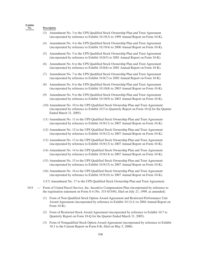| Amendment No. 3 to the UPS Qualified Stock Ownership Plan and Trust Agreement<br>(3)<br>(incorporated by reference to Exhibit 10.19(3) to 1999 Annual Report on Form 10-K).<br>Amendment No. 4 to the UPS Qualified Stock Ownership Plan and Trust Agreement<br>(4)<br>(incorporated by reference to Exhibit 10.19(4) to 2000 Annual Report on Form 10-K).<br>Amendment No. 5 to the UPS Qualified Stock Ownership Plan and Trust Agreement<br>(5) |  |
|----------------------------------------------------------------------------------------------------------------------------------------------------------------------------------------------------------------------------------------------------------------------------------------------------------------------------------------------------------------------------------------------------------------------------------------------------|--|
|                                                                                                                                                                                                                                                                                                                                                                                                                                                    |  |
|                                                                                                                                                                                                                                                                                                                                                                                                                                                    |  |
| (incorporated by reference to Exhibit 10.8(5) to 2001 Annual Report on Form 10-K).                                                                                                                                                                                                                                                                                                                                                                 |  |
| Amendment No. 6 to the UPS Qualified Stock Ownership Plan and Trust Agreement<br>(6)<br>(incorporated by reference to Exhibit 10.8(6) to 2001 Annual Report on Form 10-K).                                                                                                                                                                                                                                                                         |  |
| Amendment No. 7 to the UPS Qualified Stock Ownership Plan and Trust Agreement<br>(7)<br>(incorporated by reference to Exhibit 10.8(7) to 2002 Annual Report on Form 10-K).                                                                                                                                                                                                                                                                         |  |
| Amendment No. 8 to the UPS Qualified Stock Ownership Plan and Trust Agreement<br>(8)<br>(incorporated by reference to Exhibit 10.10(8) to 2003 Annual Report on Form 10-K).                                                                                                                                                                                                                                                                        |  |
| (9) Amendment No. 9 to the UPS Qualified Stock Ownership Plan and Trust Agreement<br>(incorporated by reference to Exhibit 10.10(9) to 2003 Annual Report on Form 10-K).                                                                                                                                                                                                                                                                           |  |
| (10) Amendment No. 10 to the UPS Qualified Stock Ownership Plan and Trust Agreement<br>(incorporated by reference to Exhibit 10.5 to Quarterly Report on Form 10-Q for the Quarter<br>Ended March 31, 2005).                                                                                                                                                                                                                                       |  |
| (11) Amendment No. 11 to the UPS Qualified Stock Ownership Plan and Trust Agreement<br>(incorporated by reference to Exhibit 10.9(11) to 2007 Annual Report on Form 10-K).                                                                                                                                                                                                                                                                         |  |
| (12) Amendment No. 12 to the UPS Qualified Stock Ownership Plan and Trust Agreement<br>(incorporated by reference to Exhibit 10.9(12) to 2007 Annual Report on Form 10-K).                                                                                                                                                                                                                                                                         |  |
| (13) Amendment No. 13 to the UPS Qualified Stock Ownership Plan and Trust Agreement<br>(incorporated by reference to Exhibit 10.9(13) to 2007 Annual Report on Form 10-K).                                                                                                                                                                                                                                                                         |  |
| (14) Amendment No. 14 to the UPS Qualified Stock Ownership Plan and Trust Agreement<br>(incorporated by reference to Exhibit 10.9(14) to 2007 Annual Report on Form 10-K).                                                                                                                                                                                                                                                                         |  |
| (15) Amendment No. 15 to the UPS Qualified Stock Ownership Plan and Trust Agreement<br>(incorporated by reference to Exhibit 10.9(15) to 2007 Annual Report on Form 10-K).                                                                                                                                                                                                                                                                         |  |
| (16) Amendment No. 16 to the UPS Qualified Stock Ownership Plan and Trust Agreement<br>(incorporated by reference to Exhibit 10.9(16) to 2007 Annual Report on Form 10-K).                                                                                                                                                                                                                                                                         |  |
| $\uparrow$ (17) Amendment No. 17 to the UPS Qualified Stock Ownership Plan and Trust Agreement.                                                                                                                                                                                                                                                                                                                                                    |  |
| - Form of United Parcel Service, Inc. Incentive Compensation Plan (incorporated by reference to<br>10.9<br>the registration statement on Form S-4 (No. 333-83349), filed on July 21, 1999, as amended).                                                                                                                                                                                                                                            |  |
| (1) Form of Non-Qualified Stock Option Award Agreement and Restricted Performance Unit<br>Award Agreement (incorporated by reference to Exhibit 10.11(1) to 2004 Annual Report on<br>Form 10-K).                                                                                                                                                                                                                                                   |  |

- (2) Form of Restricted Stock Award Agreement (incorporated by reference to Exhibit 10.7 to Quarterly Report on Form 10-Q for the Quarter Ended March 31, 2005).
- (3) Form of Nonqualified Stock Option Award Agreement (incorporated by reference to Exhibit 10.1 to the Current Report on Form 8-K, filed on May 5, 2006).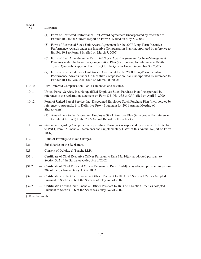| (4) Form of Restricted Performance Unit Award Agreement (incorporated by reference to<br>Exhibit 10.2 to the Current Report on Form 8-K filed on May 5, 2006).<br>(5) Form of Restricted Stock Unit Award Agreement for the 2007 Long-Term Incentive<br>Performance Awards under the Incentive Compensation Plan (incorporated by reference to<br>Exhibit 10.1 to Form 8-K, filed on March 7, 2007).<br>(6) Form of First Amendment to Restricted Stock Award Agreement for Non-Management<br>Directors under the Incentive Compensation Plan (incorporated by reference to Exhibit<br>10.4 to Quarterly Report on Form 10-Q for the Quarter Ended September 30, 2007).<br>(7) Form of Restricted Stock Unit Award Agreement for the 2008 Long-Term Incentive<br>Performance Awards under the Incentive Compensation Plan (incorporated by reference to<br>Exhibit 10.1 to Form 8-K, filed on March 20, 2008).<br>$\dagger 10.10$<br>- UPS Deferred Compensation Plan, as amended and restated.<br>10.11<br>— United Parcel Service, Inc. Nonqualified Employee Stock Purchase Plan (incorporated by<br>reference to the registration statement on Form S-8 (No. 333-34054), filed on April 5, 2000.<br>10.12<br>- Form of United Parcel Service, Inc. Discounted Employee Stock Purchase Plan (incorporated by<br>reference to Appendix B to Definitive Proxy Statement for 2001 Annual Meeting of<br>Shareowners).<br>(1) Amendment to the Discounted Employee Stock Purchase Plan (incorporated by reference<br>to Exhibit 10.12(1) to the 2005 Annual Report on Form 10-K).<br>11<br>Statement regarding Computation of per Share Earnings (incorporated by reference to Note 14<br>to Part I, Item 8 "Financial Statements and Supplementary Data" of this Annual Report on Form<br>$10-K$ ).<br>$\dagger$ 12<br>- Ratio of Earnings to Fixed Charges.<br>$+21$<br>Subsidiaries of the Registrant.<br>Consent of Deloitte & Touche LLP.<br>$+23$<br>$\dagger 31.1$<br>— Certificate of Chief Executive Officer Pursuant to Rule $13a-14(a)$ , as adopted pursuant to<br>Section 302 of the Sarbanes-Oxley Act of 2002.<br>- Certificate of Chief Financial Officer Pursuant to Rule 13a-14(a), as adopted pursuant to Section<br>$\dagger 31.2$<br>302 of the Sarbanes-Oxley Act of 2002.<br>- Certification of the Chief Executive Officer Pursuant to 18 U.S.C. Section 1350, as Adopted<br>†32.1<br>Pursuant to Section 906 of the Sarbanes-Oxley Act of 2002.<br>$\dagger 32.2$<br>Certification of the Chief Financial Officer Pursuant to 18 U.S.C. Section 1350, as Adopted<br>Pursuant to Section 906 of the Sarbanes-Oxley Act of 2002. | <b>Exhibit</b><br>No. | <b>Description</b> |
|-------------------------------------------------------------------------------------------------------------------------------------------------------------------------------------------------------------------------------------------------------------------------------------------------------------------------------------------------------------------------------------------------------------------------------------------------------------------------------------------------------------------------------------------------------------------------------------------------------------------------------------------------------------------------------------------------------------------------------------------------------------------------------------------------------------------------------------------------------------------------------------------------------------------------------------------------------------------------------------------------------------------------------------------------------------------------------------------------------------------------------------------------------------------------------------------------------------------------------------------------------------------------------------------------------------------------------------------------------------------------------------------------------------------------------------------------------------------------------------------------------------------------------------------------------------------------------------------------------------------------------------------------------------------------------------------------------------------------------------------------------------------------------------------------------------------------------------------------------------------------------------------------------------------------------------------------------------------------------------------------------------------------------------------------------------------------------------------------------------------------------------------------------------------------------------------------------------------------------------------------------------------------------------------------------------------------------------------------------------------------------------------------------------------------------------------------------------------------------------------------------------------------------------------------------------------------------------------------------------------------------------------------------|-----------------------|--------------------|
|                                                                                                                                                                                                                                                                                                                                                                                                                                                                                                                                                                                                                                                                                                                                                                                                                                                                                                                                                                                                                                                                                                                                                                                                                                                                                                                                                                                                                                                                                                                                                                                                                                                                                                                                                                                                                                                                                                                                                                                                                                                                                                                                                                                                                                                                                                                                                                                                                                                                                                                                                                                                                                                       |                       |                    |
|                                                                                                                                                                                                                                                                                                                                                                                                                                                                                                                                                                                                                                                                                                                                                                                                                                                                                                                                                                                                                                                                                                                                                                                                                                                                                                                                                                                                                                                                                                                                                                                                                                                                                                                                                                                                                                                                                                                                                                                                                                                                                                                                                                                                                                                                                                                                                                                                                                                                                                                                                                                                                                                       |                       |                    |
|                                                                                                                                                                                                                                                                                                                                                                                                                                                                                                                                                                                                                                                                                                                                                                                                                                                                                                                                                                                                                                                                                                                                                                                                                                                                                                                                                                                                                                                                                                                                                                                                                                                                                                                                                                                                                                                                                                                                                                                                                                                                                                                                                                                                                                                                                                                                                                                                                                                                                                                                                                                                                                                       |                       |                    |
|                                                                                                                                                                                                                                                                                                                                                                                                                                                                                                                                                                                                                                                                                                                                                                                                                                                                                                                                                                                                                                                                                                                                                                                                                                                                                                                                                                                                                                                                                                                                                                                                                                                                                                                                                                                                                                                                                                                                                                                                                                                                                                                                                                                                                                                                                                                                                                                                                                                                                                                                                                                                                                                       |                       |                    |
|                                                                                                                                                                                                                                                                                                                                                                                                                                                                                                                                                                                                                                                                                                                                                                                                                                                                                                                                                                                                                                                                                                                                                                                                                                                                                                                                                                                                                                                                                                                                                                                                                                                                                                                                                                                                                                                                                                                                                                                                                                                                                                                                                                                                                                                                                                                                                                                                                                                                                                                                                                                                                                                       |                       |                    |
|                                                                                                                                                                                                                                                                                                                                                                                                                                                                                                                                                                                                                                                                                                                                                                                                                                                                                                                                                                                                                                                                                                                                                                                                                                                                                                                                                                                                                                                                                                                                                                                                                                                                                                                                                                                                                                                                                                                                                                                                                                                                                                                                                                                                                                                                                                                                                                                                                                                                                                                                                                                                                                                       |                       |                    |
|                                                                                                                                                                                                                                                                                                                                                                                                                                                                                                                                                                                                                                                                                                                                                                                                                                                                                                                                                                                                                                                                                                                                                                                                                                                                                                                                                                                                                                                                                                                                                                                                                                                                                                                                                                                                                                                                                                                                                                                                                                                                                                                                                                                                                                                                                                                                                                                                                                                                                                                                                                                                                                                       |                       |                    |
|                                                                                                                                                                                                                                                                                                                                                                                                                                                                                                                                                                                                                                                                                                                                                                                                                                                                                                                                                                                                                                                                                                                                                                                                                                                                                                                                                                                                                                                                                                                                                                                                                                                                                                                                                                                                                                                                                                                                                                                                                                                                                                                                                                                                                                                                                                                                                                                                                                                                                                                                                                                                                                                       |                       |                    |
|                                                                                                                                                                                                                                                                                                                                                                                                                                                                                                                                                                                                                                                                                                                                                                                                                                                                                                                                                                                                                                                                                                                                                                                                                                                                                                                                                                                                                                                                                                                                                                                                                                                                                                                                                                                                                                                                                                                                                                                                                                                                                                                                                                                                                                                                                                                                                                                                                                                                                                                                                                                                                                                       |                       |                    |
|                                                                                                                                                                                                                                                                                                                                                                                                                                                                                                                                                                                                                                                                                                                                                                                                                                                                                                                                                                                                                                                                                                                                                                                                                                                                                                                                                                                                                                                                                                                                                                                                                                                                                                                                                                                                                                                                                                                                                                                                                                                                                                                                                                                                                                                                                                                                                                                                                                                                                                                                                                                                                                                       |                       |                    |
|                                                                                                                                                                                                                                                                                                                                                                                                                                                                                                                                                                                                                                                                                                                                                                                                                                                                                                                                                                                                                                                                                                                                                                                                                                                                                                                                                                                                                                                                                                                                                                                                                                                                                                                                                                                                                                                                                                                                                                                                                                                                                                                                                                                                                                                                                                                                                                                                                                                                                                                                                                                                                                                       |                       |                    |
|                                                                                                                                                                                                                                                                                                                                                                                                                                                                                                                                                                                                                                                                                                                                                                                                                                                                                                                                                                                                                                                                                                                                                                                                                                                                                                                                                                                                                                                                                                                                                                                                                                                                                                                                                                                                                                                                                                                                                                                                                                                                                                                                                                                                                                                                                                                                                                                                                                                                                                                                                                                                                                                       |                       |                    |
|                                                                                                                                                                                                                                                                                                                                                                                                                                                                                                                                                                                                                                                                                                                                                                                                                                                                                                                                                                                                                                                                                                                                                                                                                                                                                                                                                                                                                                                                                                                                                                                                                                                                                                                                                                                                                                                                                                                                                                                                                                                                                                                                                                                                                                                                                                                                                                                                                                                                                                                                                                                                                                                       |                       |                    |
|                                                                                                                                                                                                                                                                                                                                                                                                                                                                                                                                                                                                                                                                                                                                                                                                                                                                                                                                                                                                                                                                                                                                                                                                                                                                                                                                                                                                                                                                                                                                                                                                                                                                                                                                                                                                                                                                                                                                                                                                                                                                                                                                                                                                                                                                                                                                                                                                                                                                                                                                                                                                                                                       |                       |                    |
|                                                                                                                                                                                                                                                                                                                                                                                                                                                                                                                                                                                                                                                                                                                                                                                                                                                                                                                                                                                                                                                                                                                                                                                                                                                                                                                                                                                                                                                                                                                                                                                                                                                                                                                                                                                                                                                                                                                                                                                                                                                                                                                                                                                                                                                                                                                                                                                                                                                                                                                                                                                                                                                       |                       |                    |
|                                                                                                                                                                                                                                                                                                                                                                                                                                                                                                                                                                                                                                                                                                                                                                                                                                                                                                                                                                                                                                                                                                                                                                                                                                                                                                                                                                                                                                                                                                                                                                                                                                                                                                                                                                                                                                                                                                                                                                                                                                                                                                                                                                                                                                                                                                                                                                                                                                                                                                                                                                                                                                                       |                       |                    |

† Filed herewith.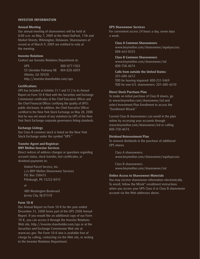## **investor information**

## **Annual Meeting**

Our annual meeting of shareowners will be held at 8:00 a.m. on May 7, 2009 at the Hotel DuPont, 11th and Market Streets, Wilmington, Delaware. Shareowners of record as of March 9, 2009 are entitled to vote at the meeting.

## **Investor Relations**

Contact our Investor Relations Department at:

UPS 800-877-1503 55 Glenlake Parkway NE 404-828-6059 Atlanta, GA 30328 http://investor.shareholder.com/ups

## **Certifications**

UPS has included as Exhibits 31.1 and 31.2 to its Annual Report on Form 10-K filed with the Securities and Exchange Commission certificates of the Chief Executive Officer and the Chief Financial Officer certifying the quality of UPS's public disclosure. In addition, the Chief Executive Officer certified to the New York Stock Exchange on May 28, 2008 that he was not aware of any violations by UPS of the New York Stock Exchange corporate governance listing standards.

## **Exchange Listings**

Our Class B common stock is listed on the New York Stock Exchange under the symbol "UPS."

## **Transfer Agent and Registrar: BNY Mellon Investor Services**

Direct notices of address changes or questions regarding account status, stock transfer, lost certificates, or dividend payments to:

United Parcel Service, Inc. c/o BNY Mellon Shareowner Services P.O. Box 358415 Pittsburgh, PA 15252-8415

or

480 Washington Boulevard Jersey City, NJ 07310

## **Form 10-K**

Our Annual Report on Form 10-K for the year ended December 31, 2008 forms part of the UPS 2008 Annual Report. If you would like an additional copy of our Form 10-K, you can access it through the Investor Relations Web site, http://investor.shareholder.com/ups or at the Securities and Exchange Commission Web site at www.sec.gov. The Form 10-K also is available free of charge by calling, contacting via the Web site, or writing to the Investor Relations Department.

## **UPS Shareowner Services**

For convenient access 24 hours a day, seven days a week.

## **Class A Common Shareowners**

www.bnymellon.com/shareowner/equityaccess 888-663-8325

### **Class B Common Shareowners**

www.bnymellon.com/shareowner/isd 800-758-4674

 **Calls from outside the United States:** 201-680-6612 TDD for hearing impaired: 800-231-5469 TDD for non-U.S. shareowners: 201-680-6610

## **Direct Stock Purchase Plan**

To make an initial purchase of Class B shares, go to www.bnymellon.com/shareowner/isd and select Investment Plan Enrollment to access the "Enrollment Wizard."

Current Class B shareowners can enroll in the plan online by accessing your accounts through www.bnymellon.com/shareowner/isd or calling 800-758-4674.

### **Dividend Reinvestment Plan**

To reinvest dividends in the purchase of additional UPS shares:

 Class A shareowners: www.bnymellon.com/shareowner/equityaccess

 Class B shareowners: www.bnymellon.com/shareowner/isd

## **Online Access to Shareowner Materials**

You may receive shareowner information electronically. To enroll, follow the MLink® enrollment instructions when you access your UPS Class A or Class B shareowner account via the Web addresses above.